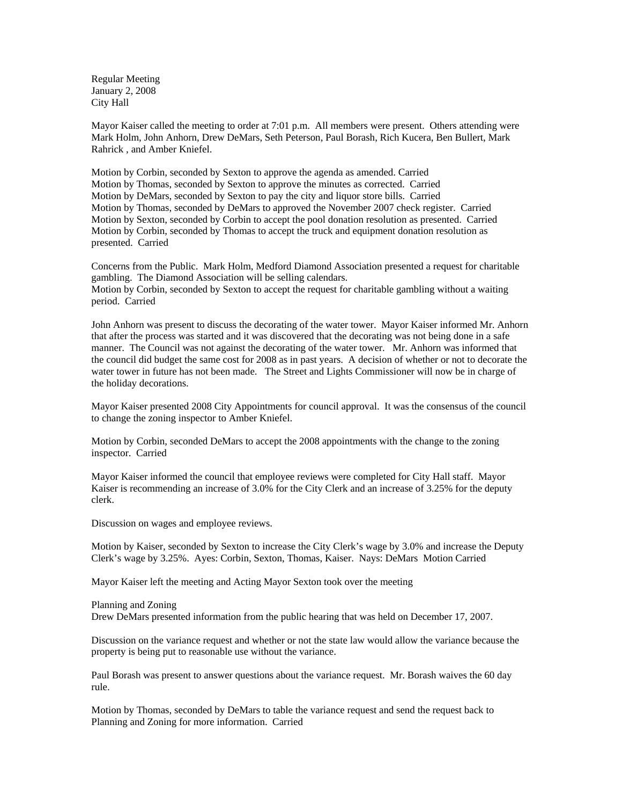Regular Meeting January 2, 2008 City Hall

Mayor Kaiser called the meeting to order at 7:01 p.m. All members were present. Others attending were Mark Holm, John Anhorn, Drew DeMars, Seth Peterson, Paul Borash, Rich Kucera, Ben Bullert, Mark Rahrick , and Amber Kniefel.

Motion by Corbin, seconded by Sexton to approve the agenda as amended. Carried Motion by Thomas, seconded by Sexton to approve the minutes as corrected. Carried Motion by DeMars, seconded by Sexton to pay the city and liquor store bills. Carried Motion by Thomas, seconded by DeMars to approved the November 2007 check register. Carried Motion by Sexton, seconded by Corbin to accept the pool donation resolution as presented. Carried Motion by Corbin, seconded by Thomas to accept the truck and equipment donation resolution as presented. Carried

Concerns from the Public. Mark Holm, Medford Diamond Association presented a request for charitable gambling. The Diamond Association will be selling calendars. Motion by Corbin, seconded by Sexton to accept the request for charitable gambling without a waiting period. Carried

John Anhorn was present to discuss the decorating of the water tower. Mayor Kaiser informed Mr. Anhorn that after the process was started and it was discovered that the decorating was not being done in a safe manner. The Council was not against the decorating of the water tower. Mr. Anhorn was informed that the council did budget the same cost for 2008 as in past years. A decision of whether or not to decorate the water tower in future has not been made. The Street and Lights Commissioner will now be in charge of the holiday decorations.

Mayor Kaiser presented 2008 City Appointments for council approval. It was the consensus of the council to change the zoning inspector to Amber Kniefel.

Motion by Corbin, seconded DeMars to accept the 2008 appointments with the change to the zoning inspector. Carried

Mayor Kaiser informed the council that employee reviews were completed for City Hall staff. Mayor Kaiser is recommending an increase of 3.0% for the City Clerk and an increase of 3.25% for the deputy clerk.

Discussion on wages and employee reviews.

Motion by Kaiser, seconded by Sexton to increase the City Clerk's wage by 3.0% and increase the Deputy Clerk's wage by 3.25%. Ayes: Corbin, Sexton, Thomas, Kaiser. Nays: DeMars Motion Carried

Mayor Kaiser left the meeting and Acting Mayor Sexton took over the meeting

Planning and Zoning

Drew DeMars presented information from the public hearing that was held on December 17, 2007.

Discussion on the variance request and whether or not the state law would allow the variance because the property is being put to reasonable use without the variance.

Paul Borash was present to answer questions about the variance request. Mr. Borash waives the 60 day rule.

Motion by Thomas, seconded by DeMars to table the variance request and send the request back to Planning and Zoning for more information. Carried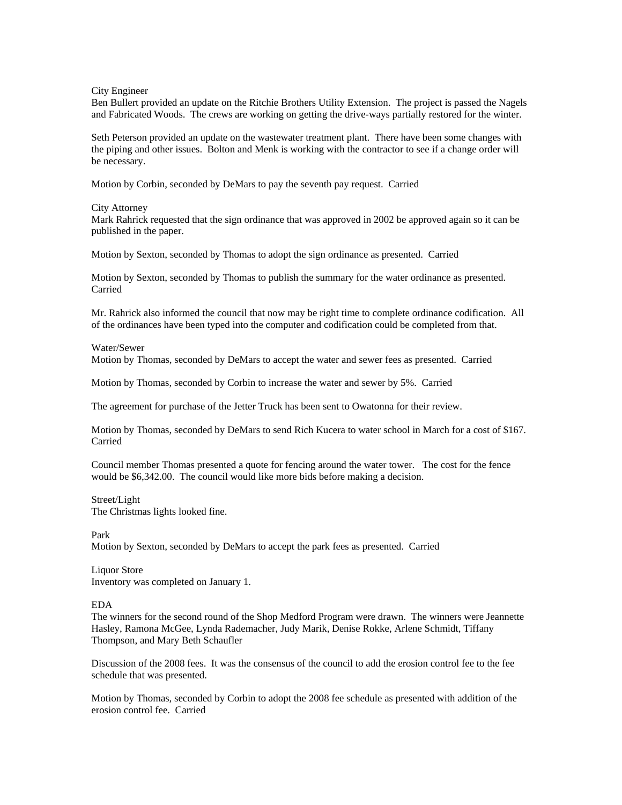City Engineer

Ben Bullert provided an update on the Ritchie Brothers Utility Extension. The project is passed the Nagels and Fabricated Woods. The crews are working on getting the drive-ways partially restored for the winter.

Seth Peterson provided an update on the wastewater treatment plant. There have been some changes with the piping and other issues. Bolton and Menk is working with the contractor to see if a change order will be necessary.

Motion by Corbin, seconded by DeMars to pay the seventh pay request. Carried

#### City Attorney

Mark Rahrick requested that the sign ordinance that was approved in 2002 be approved again so it can be published in the paper.

Motion by Sexton, seconded by Thomas to adopt the sign ordinance as presented. Carried

Motion by Sexton, seconded by Thomas to publish the summary for the water ordinance as presented. Carried

Mr. Rahrick also informed the council that now may be right time to complete ordinance codification. All of the ordinances have been typed into the computer and codification could be completed from that.

#### Water/Sewer

Motion by Thomas, seconded by DeMars to accept the water and sewer fees as presented. Carried

Motion by Thomas, seconded by Corbin to increase the water and sewer by 5%. Carried

The agreement for purchase of the Jetter Truck has been sent to Owatonna for their review.

Motion by Thomas, seconded by DeMars to send Rich Kucera to water school in March for a cost of \$167. Carried

Council member Thomas presented a quote for fencing around the water tower. The cost for the fence would be \$6,342.00. The council would like more bids before making a decision.

# Street/Light

The Christmas lights looked fine.

### Park

Motion by Sexton, seconded by DeMars to accept the park fees as presented. Carried

Liquor Store Inventory was completed on January 1.

### EDA

The winners for the second round of the Shop Medford Program were drawn. The winners were Jeannette Hasley, Ramona McGee, Lynda Rademacher, Judy Marik, Denise Rokke, Arlene Schmidt, Tiffany Thompson, and Mary Beth Schaufler

Discussion of the 2008 fees. It was the consensus of the council to add the erosion control fee to the fee schedule that was presented.

Motion by Thomas, seconded by Corbin to adopt the 2008 fee schedule as presented with addition of the erosion control fee. Carried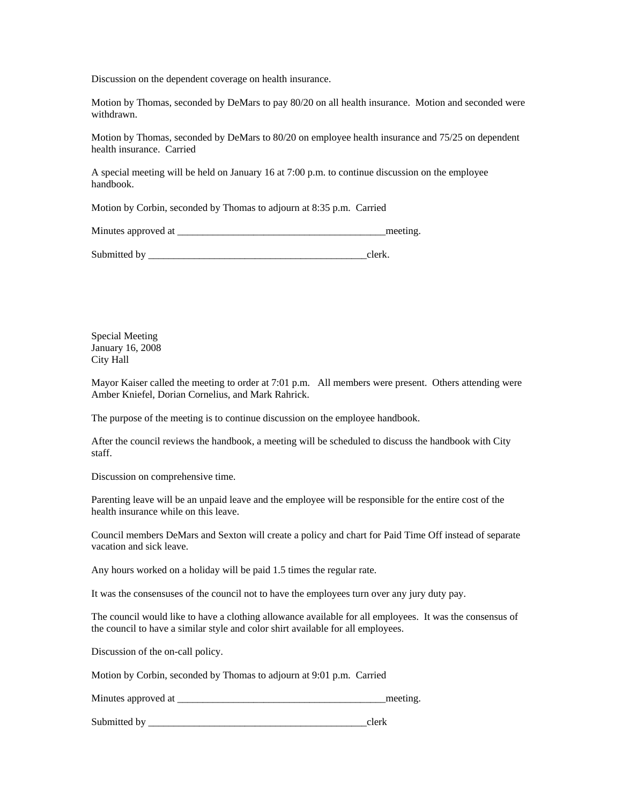Discussion on the dependent coverage on health insurance.

Motion by Thomas, seconded by DeMars to pay 80/20 on all health insurance. Motion and seconded were withdrawn.

Motion by Thomas, seconded by DeMars to 80/20 on employee health insurance and 75/25 on dependent health insurance. Carried

A special meeting will be held on January 16 at 7:00 p.m. to continue discussion on the employee handbook.

Motion by Corbin, seconded by Thomas to adjourn at 8:35 p.m. Carried

Minutes approved at \_\_\_\_\_\_\_\_\_\_\_\_\_\_\_\_\_\_\_\_\_\_\_\_\_\_\_\_\_\_\_\_\_\_\_\_\_\_\_\_\_meeting.

Submitted by exercise the set of the set of the set of the set of the set of the set of the set of the set of the set of the set of the set of the set of the set of the set of the set of the set of the set of the set of th

Special Meeting January 16, 2008 City Hall

Mayor Kaiser called the meeting to order at 7:01 p.m. All members were present. Others attending were Amber Kniefel, Dorian Cornelius, and Mark Rahrick.

The purpose of the meeting is to continue discussion on the employee handbook.

After the council reviews the handbook, a meeting will be scheduled to discuss the handbook with City staff.

Discussion on comprehensive time.

Parenting leave will be an unpaid leave and the employee will be responsible for the entire cost of the health insurance while on this leave.

Council members DeMars and Sexton will create a policy and chart for Paid Time Off instead of separate vacation and sick leave.

Any hours worked on a holiday will be paid 1.5 times the regular rate.

It was the consensuses of the council not to have the employees turn over any jury duty pay.

The council would like to have a clothing allowance available for all employees. It was the consensus of the council to have a similar style and color shirt available for all employees.

Discussion of the on-call policy.

Motion by Corbin, seconded by Thomas to adjourn at 9:01 p.m. Carried

| Minutes approved at |  |  |
|---------------------|--|--|
|---------------------|--|--|

Submitted by \_\_\_\_\_\_\_\_\_\_\_\_\_\_\_\_\_\_\_\_\_\_\_\_\_\_\_\_\_\_\_\_\_\_\_\_\_\_\_\_\_\_\_clerk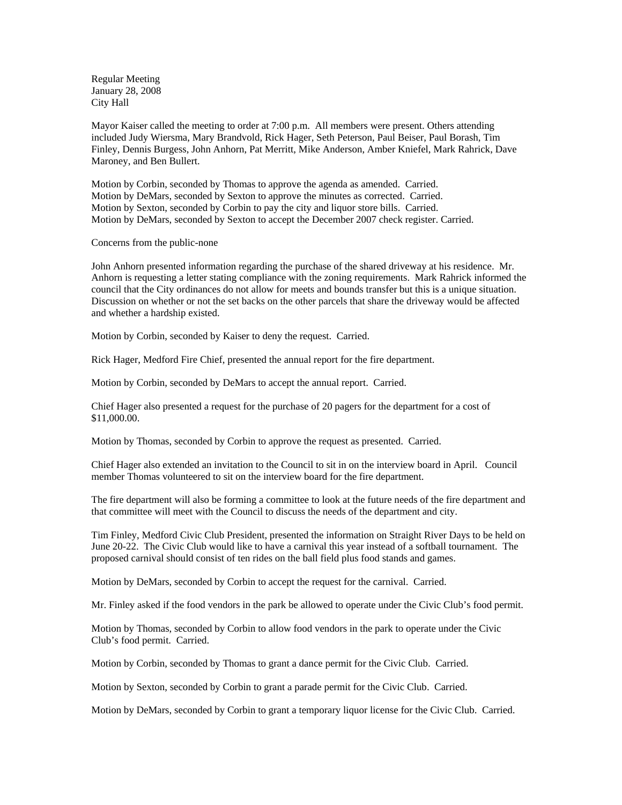Regular Meeting January 28, 2008 City Hall

Mayor Kaiser called the meeting to order at 7:00 p.m. All members were present. Others attending included Judy Wiersma, Mary Brandvold, Rick Hager, Seth Peterson, Paul Beiser, Paul Borash, Tim Finley, Dennis Burgess, John Anhorn, Pat Merritt, Mike Anderson, Amber Kniefel, Mark Rahrick, Dave Maroney, and Ben Bullert.

Motion by Corbin, seconded by Thomas to approve the agenda as amended. Carried. Motion by DeMars, seconded by Sexton to approve the minutes as corrected. Carried. Motion by Sexton, seconded by Corbin to pay the city and liquor store bills. Carried. Motion by DeMars, seconded by Sexton to accept the December 2007 check register. Carried.

### Concerns from the public-none

John Anhorn presented information regarding the purchase of the shared driveway at his residence. Mr. Anhorn is requesting a letter stating compliance with the zoning requirements. Mark Rahrick informed the council that the City ordinances do not allow for meets and bounds transfer but this is a unique situation. Discussion on whether or not the set backs on the other parcels that share the driveway would be affected and whether a hardship existed.

Motion by Corbin, seconded by Kaiser to deny the request. Carried.

Rick Hager, Medford Fire Chief, presented the annual report for the fire department.

Motion by Corbin, seconded by DeMars to accept the annual report. Carried.

Chief Hager also presented a request for the purchase of 20 pagers for the department for a cost of \$11,000.00.

Motion by Thomas, seconded by Corbin to approve the request as presented. Carried.

Chief Hager also extended an invitation to the Council to sit in on the interview board in April. Council member Thomas volunteered to sit on the interview board for the fire department.

The fire department will also be forming a committee to look at the future needs of the fire department and that committee will meet with the Council to discuss the needs of the department and city.

Tim Finley, Medford Civic Club President, presented the information on Straight River Days to be held on June 20-22. The Civic Club would like to have a carnival this year instead of a softball tournament. The proposed carnival should consist of ten rides on the ball field plus food stands and games.

Motion by DeMars, seconded by Corbin to accept the request for the carnival. Carried.

Mr. Finley asked if the food vendors in the park be allowed to operate under the Civic Club's food permit.

Motion by Thomas, seconded by Corbin to allow food vendors in the park to operate under the Civic Club's food permit. Carried.

Motion by Corbin, seconded by Thomas to grant a dance permit for the Civic Club. Carried.

Motion by Sexton, seconded by Corbin to grant a parade permit for the Civic Club. Carried.

Motion by DeMars, seconded by Corbin to grant a temporary liquor license for the Civic Club. Carried.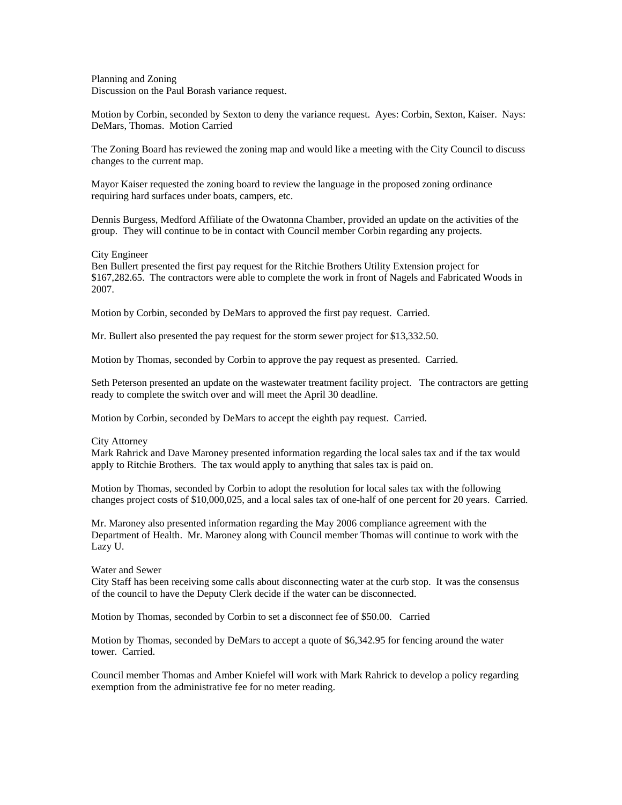Planning and Zoning Discussion on the Paul Borash variance request.

Motion by Corbin, seconded by Sexton to deny the variance request. Ayes: Corbin, Sexton, Kaiser. Nays: DeMars, Thomas. Motion Carried

The Zoning Board has reviewed the zoning map and would like a meeting with the City Council to discuss changes to the current map.

Mayor Kaiser requested the zoning board to review the language in the proposed zoning ordinance requiring hard surfaces under boats, campers, etc.

Dennis Burgess, Medford Affiliate of the Owatonna Chamber, provided an update on the activities of the group. They will continue to be in contact with Council member Corbin regarding any projects.

City Engineer

Ben Bullert presented the first pay request for the Ritchie Brothers Utility Extension project for \$167,282.65. The contractors were able to complete the work in front of Nagels and Fabricated Woods in 2007.

Motion by Corbin, seconded by DeMars to approved the first pay request. Carried.

Mr. Bullert also presented the pay request for the storm sewer project for \$13,332.50.

Motion by Thomas, seconded by Corbin to approve the pay request as presented. Carried.

Seth Peterson presented an update on the wastewater treatment facility project. The contractors are getting ready to complete the switch over and will meet the April 30 deadline.

Motion by Corbin, seconded by DeMars to accept the eighth pay request. Carried.

City Attorney

Mark Rahrick and Dave Maroney presented information regarding the local sales tax and if the tax would apply to Ritchie Brothers. The tax would apply to anything that sales tax is paid on.

Motion by Thomas, seconded by Corbin to adopt the resolution for local sales tax with the following changes project costs of \$10,000,025, and a local sales tax of one-half of one percent for 20 years. Carried.

Mr. Maroney also presented information regarding the May 2006 compliance agreement with the Department of Health. Mr. Maroney along with Council member Thomas will continue to work with the Lazy U.

Water and Sewer

City Staff has been receiving some calls about disconnecting water at the curb stop. It was the consensus of the council to have the Deputy Clerk decide if the water can be disconnected.

Motion by Thomas, seconded by Corbin to set a disconnect fee of \$50.00. Carried

Motion by Thomas, seconded by DeMars to accept a quote of \$6,342.95 for fencing around the water tower. Carried.

Council member Thomas and Amber Kniefel will work with Mark Rahrick to develop a policy regarding exemption from the administrative fee for no meter reading.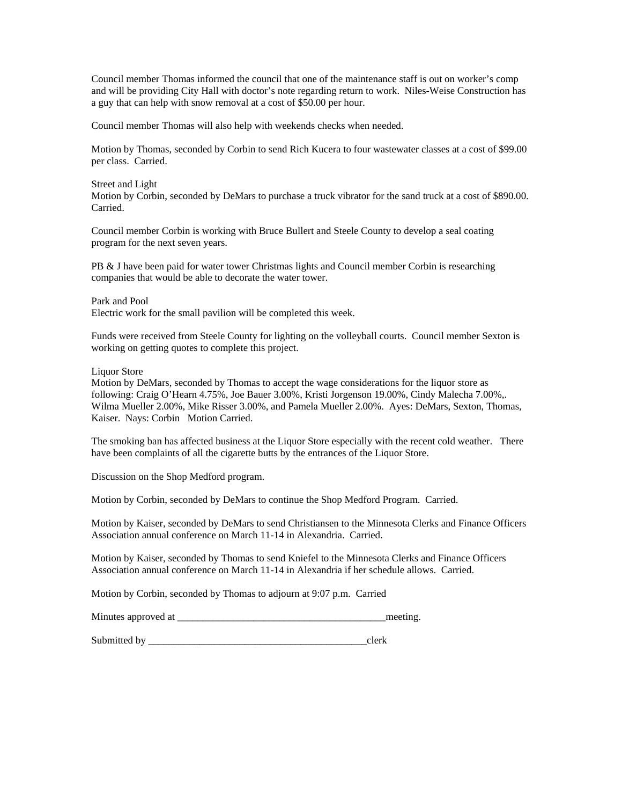Council member Thomas informed the council that one of the maintenance staff is out on worker's comp and will be providing City Hall with doctor's note regarding return to work. Niles-Weise Construction has a guy that can help with snow removal at a cost of \$50.00 per hour.

Council member Thomas will also help with weekends checks when needed.

Motion by Thomas, seconded by Corbin to send Rich Kucera to four wastewater classes at a cost of \$99.00 per class. Carried.

Street and Light

Motion by Corbin, seconded by DeMars to purchase a truck vibrator for the sand truck at a cost of \$890.00. Carried.

Council member Corbin is working with Bruce Bullert and Steele County to develop a seal coating program for the next seven years.

PB & J have been paid for water tower Christmas lights and Council member Corbin is researching companies that would be able to decorate the water tower.

Park and Pool Electric work for the small pavilion will be completed this week.

Funds were received from Steele County for lighting on the volleyball courts. Council member Sexton is working on getting quotes to complete this project.

Liquor Store

Motion by DeMars, seconded by Thomas to accept the wage considerations for the liquor store as following: Craig O'Hearn 4.75%, Joe Bauer 3.00%, Kristi Jorgenson 19.00%, Cindy Malecha 7.00%,. Wilma Mueller 2.00%, Mike Risser 3.00%, and Pamela Mueller 2.00%. Ayes: DeMars, Sexton, Thomas, Kaiser. Nays: Corbin Motion Carried.

The smoking ban has affected business at the Liquor Store especially with the recent cold weather. There have been complaints of all the cigarette butts by the entrances of the Liquor Store.

Discussion on the Shop Medford program.

Motion by Corbin, seconded by DeMars to continue the Shop Medford Program. Carried.

Motion by Kaiser, seconded by DeMars to send Christiansen to the Minnesota Clerks and Finance Officers Association annual conference on March 11-14 in Alexandria. Carried.

Motion by Kaiser, seconded by Thomas to send Kniefel to the Minnesota Clerks and Finance Officers Association annual conference on March 11-14 in Alexandria if her schedule allows. Carried.

Motion by Corbin, seconded by Thomas to adjourn at 9:07 p.m. Carried

| Minutes approved at |  | meeting |
|---------------------|--|---------|
|---------------------|--|---------|

Submitted by  $\Box$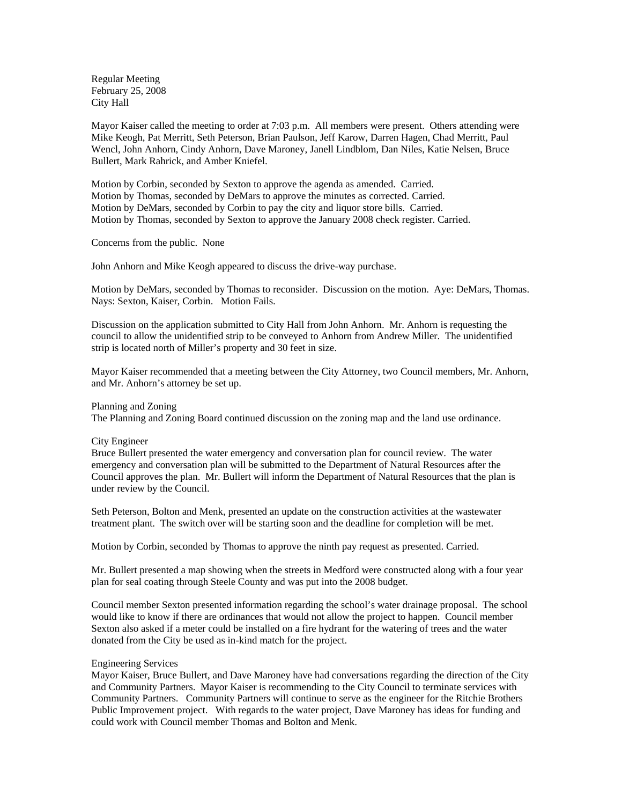Regular Meeting February 25, 2008 City Hall

Mayor Kaiser called the meeting to order at 7:03 p.m. All members were present. Others attending were Mike Keogh, Pat Merritt, Seth Peterson, Brian Paulson, Jeff Karow, Darren Hagen, Chad Merritt, Paul Wencl, John Anhorn, Cindy Anhorn, Dave Maroney, Janell Lindblom, Dan Niles, Katie Nelsen, Bruce Bullert, Mark Rahrick, and Amber Kniefel.

Motion by Corbin, seconded by Sexton to approve the agenda as amended. Carried. Motion by Thomas, seconded by DeMars to approve the minutes as corrected. Carried. Motion by DeMars, seconded by Corbin to pay the city and liquor store bills. Carried. Motion by Thomas, seconded by Sexton to approve the January 2008 check register. Carried.

Concerns from the public. None

John Anhorn and Mike Keogh appeared to discuss the drive-way purchase.

Motion by DeMars, seconded by Thomas to reconsider. Discussion on the motion. Aye: DeMars, Thomas. Nays: Sexton, Kaiser, Corbin. Motion Fails.

Discussion on the application submitted to City Hall from John Anhorn. Mr. Anhorn is requesting the council to allow the unidentified strip to be conveyed to Anhorn from Andrew Miller. The unidentified strip is located north of Miller's property and 30 feet in size.

Mayor Kaiser recommended that a meeting between the City Attorney, two Council members, Mr. Anhorn, and Mr. Anhorn's attorney be set up.

### Planning and Zoning

The Planning and Zoning Board continued discussion on the zoning map and the land use ordinance.

### City Engineer

Bruce Bullert presented the water emergency and conversation plan for council review. The water emergency and conversation plan will be submitted to the Department of Natural Resources after the Council approves the plan. Mr. Bullert will inform the Department of Natural Resources that the plan is under review by the Council.

Seth Peterson, Bolton and Menk, presented an update on the construction activities at the wastewater treatment plant. The switch over will be starting soon and the deadline for completion will be met.

Motion by Corbin, seconded by Thomas to approve the ninth pay request as presented. Carried.

Mr. Bullert presented a map showing when the streets in Medford were constructed along with a four year plan for seal coating through Steele County and was put into the 2008 budget.

Council member Sexton presented information regarding the school's water drainage proposal. The school would like to know if there are ordinances that would not allow the project to happen. Council member Sexton also asked if a meter could be installed on a fire hydrant for the watering of trees and the water donated from the City be used as in-kind match for the project.

### Engineering Services

Mayor Kaiser, Bruce Bullert, and Dave Maroney have had conversations regarding the direction of the City and Community Partners. Mayor Kaiser is recommending to the City Council to terminate services with Community Partners. Community Partners will continue to serve as the engineer for the Ritchie Brothers Public Improvement project. With regards to the water project, Dave Maroney has ideas for funding and could work with Council member Thomas and Bolton and Menk.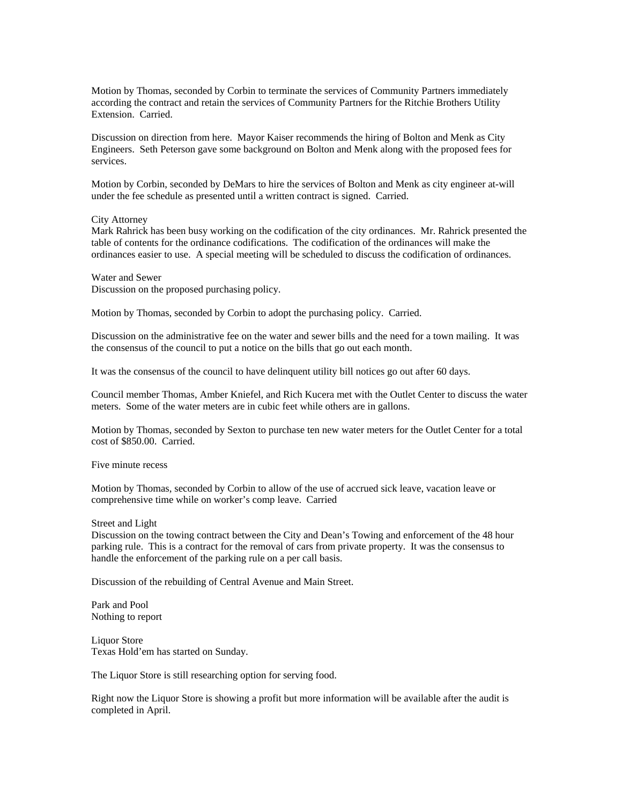Motion by Thomas, seconded by Corbin to terminate the services of Community Partners immediately according the contract and retain the services of Community Partners for the Ritchie Brothers Utility Extension. Carried.

Discussion on direction from here. Mayor Kaiser recommends the hiring of Bolton and Menk as City Engineers. Seth Peterson gave some background on Bolton and Menk along with the proposed fees for services.

Motion by Corbin, seconded by DeMars to hire the services of Bolton and Menk as city engineer at-will under the fee schedule as presented until a written contract is signed. Carried.

### City Attorney

Mark Rahrick has been busy working on the codification of the city ordinances. Mr. Rahrick presented the table of contents for the ordinance codifications. The codification of the ordinances will make the ordinances easier to use. A special meeting will be scheduled to discuss the codification of ordinances.

# Water and Sewer

Discussion on the proposed purchasing policy.

Motion by Thomas, seconded by Corbin to adopt the purchasing policy. Carried.

Discussion on the administrative fee on the water and sewer bills and the need for a town mailing. It was the consensus of the council to put a notice on the bills that go out each month.

It was the consensus of the council to have delinquent utility bill notices go out after 60 days.

Council member Thomas, Amber Kniefel, and Rich Kucera met with the Outlet Center to discuss the water meters. Some of the water meters are in cubic feet while others are in gallons.

Motion by Thomas, seconded by Sexton to purchase ten new water meters for the Outlet Center for a total cost of \$850.00. Carried.

Five minute recess

Motion by Thomas, seconded by Corbin to allow of the use of accrued sick leave, vacation leave or comprehensive time while on worker's comp leave. Carried

# Street and Light

Discussion on the towing contract between the City and Dean's Towing and enforcement of the 48 hour parking rule. This is a contract for the removal of cars from private property. It was the consensus to handle the enforcement of the parking rule on a per call basis.

Discussion of the rebuilding of Central Avenue and Main Street.

Park and Pool Nothing to report

Liquor Store Texas Hold'em has started on Sunday.

The Liquor Store is still researching option for serving food.

Right now the Liquor Store is showing a profit but more information will be available after the audit is completed in April.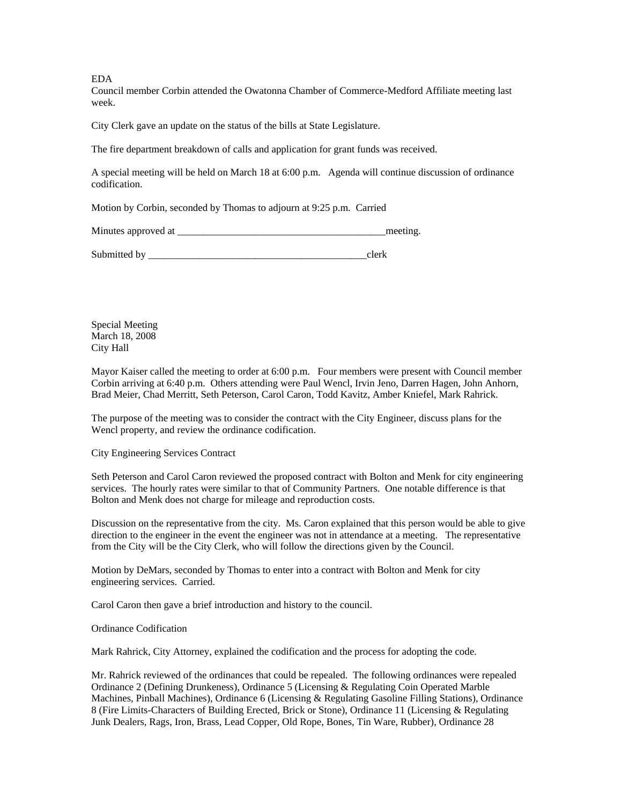EDA

Council member Corbin attended the Owatonna Chamber of Commerce-Medford Affiliate meeting last week.

City Clerk gave an update on the status of the bills at State Legislature.

The fire department breakdown of calls and application for grant funds was received.

A special meeting will be held on March 18 at 6:00 p.m. Agenda will continue discussion of ordinance codification.

Motion by Corbin, seconded by Thomas to adjourn at 9:25 p.m. Carried

Minutes approved at \_\_\_\_\_\_\_\_\_\_\_\_\_\_\_\_\_\_\_\_\_\_\_\_\_\_\_\_\_\_\_\_\_\_\_\_\_\_\_\_\_meeting.

Submitted by  $\Box$ 

Special Meeting March 18, 2008 City Hall

Mayor Kaiser called the meeting to order at 6:00 p.m. Four members were present with Council member Corbin arriving at 6:40 p.m. Others attending were Paul Wencl, Irvin Jeno, Darren Hagen, John Anhorn, Brad Meier, Chad Merritt, Seth Peterson, Carol Caron, Todd Kavitz, Amber Kniefel, Mark Rahrick.

The purpose of the meeting was to consider the contract with the City Engineer, discuss plans for the Wencl property, and review the ordinance codification.

City Engineering Services Contract

Seth Peterson and Carol Caron reviewed the proposed contract with Bolton and Menk for city engineering services. The hourly rates were similar to that of Community Partners. One notable difference is that Bolton and Menk does not charge for mileage and reproduction costs.

Discussion on the representative from the city. Ms. Caron explained that this person would be able to give direction to the engineer in the event the engineer was not in attendance at a meeting. The representative from the City will be the City Clerk, who will follow the directions given by the Council.

Motion by DeMars, seconded by Thomas to enter into a contract with Bolton and Menk for city engineering services. Carried.

Carol Caron then gave a brief introduction and history to the council.

Ordinance Codification

Mark Rahrick, City Attorney, explained the codification and the process for adopting the code.

Mr. Rahrick reviewed of the ordinances that could be repealed. The following ordinances were repealed Ordinance 2 (Defining Drunkeness), Ordinance 5 (Licensing & Regulating Coin Operated Marble Machines, Pinball Machines), Ordinance 6 (Licensing & Regulating Gasoline Filling Stations), Ordinance 8 (Fire Limits-Characters of Building Erected, Brick or Stone), Ordinance 11 (Licensing & Regulating Junk Dealers, Rags, Iron, Brass, Lead Copper, Old Rope, Bones, Tin Ware, Rubber), Ordinance 28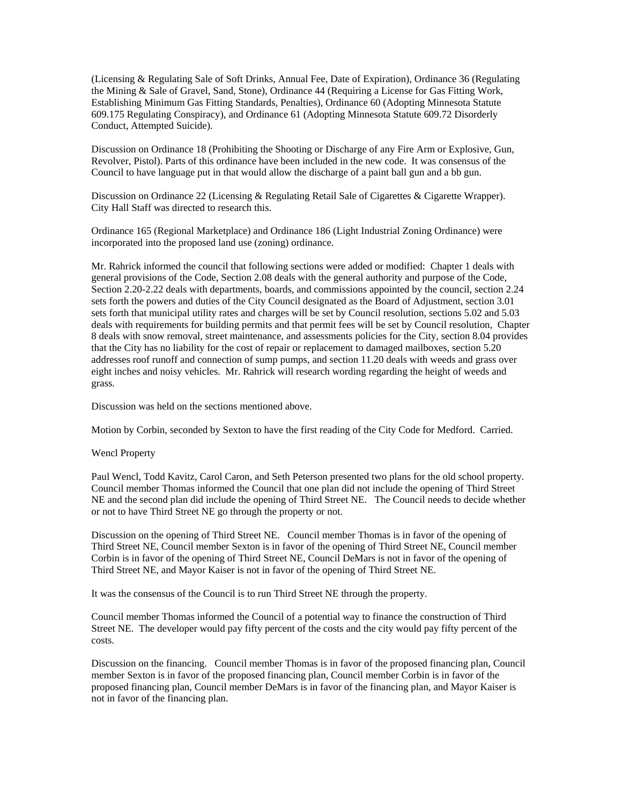(Licensing & Regulating Sale of Soft Drinks, Annual Fee, Date of Expiration), Ordinance 36 (Regulating the Mining & Sale of Gravel, Sand, Stone), Ordinance 44 (Requiring a License for Gas Fitting Work, Establishing Minimum Gas Fitting Standards, Penalties), Ordinance 60 (Adopting Minnesota Statute 609.175 Regulating Conspiracy), and Ordinance 61 (Adopting Minnesota Statute 609.72 Disorderly Conduct, Attempted Suicide).

Discussion on Ordinance 18 (Prohibiting the Shooting or Discharge of any Fire Arm or Explosive, Gun, Revolver, Pistol). Parts of this ordinance have been included in the new code. It was consensus of the Council to have language put in that would allow the discharge of a paint ball gun and a bb gun.

Discussion on Ordinance 22 (Licensing & Regulating Retail Sale of Cigarettes & Cigarette Wrapper). City Hall Staff was directed to research this.

Ordinance 165 (Regional Marketplace) and Ordinance 186 (Light Industrial Zoning Ordinance) were incorporated into the proposed land use (zoning) ordinance.

Mr. Rahrick informed the council that following sections were added or modified: Chapter 1 deals with general provisions of the Code, Section 2.08 deals with the general authority and purpose of the Code, Section 2.20-2.22 deals with departments, boards, and commissions appointed by the council, section 2.24 sets forth the powers and duties of the City Council designated as the Board of Adjustment, section 3.01 sets forth that municipal utility rates and charges will be set by Council resolution, sections 5.02 and 5.03 deals with requirements for building permits and that permit fees will be set by Council resolution, Chapter 8 deals with snow removal, street maintenance, and assessments policies for the City, section 8.04 provides that the City has no liability for the cost of repair or replacement to damaged mailboxes, section 5.20 addresses roof runoff and connection of sump pumps, and section 11.20 deals with weeds and grass over eight inches and noisy vehicles. Mr. Rahrick will research wording regarding the height of weeds and grass.

Discussion was held on the sections mentioned above.

Motion by Corbin, seconded by Sexton to have the first reading of the City Code for Medford. Carried.

### Wencl Property

Paul Wencl, Todd Kavitz, Carol Caron, and Seth Peterson presented two plans for the old school property. Council member Thomas informed the Council that one plan did not include the opening of Third Street NE and the second plan did include the opening of Third Street NE. The Council needs to decide whether or not to have Third Street NE go through the property or not.

Discussion on the opening of Third Street NE. Council member Thomas is in favor of the opening of Third Street NE, Council member Sexton is in favor of the opening of Third Street NE, Council member Corbin is in favor of the opening of Third Street NE, Council DeMars is not in favor of the opening of Third Street NE, and Mayor Kaiser is not in favor of the opening of Third Street NE.

It was the consensus of the Council is to run Third Street NE through the property.

Council member Thomas informed the Council of a potential way to finance the construction of Third Street NE. The developer would pay fifty percent of the costs and the city would pay fifty percent of the costs.

Discussion on the financing. Council member Thomas is in favor of the proposed financing plan, Council member Sexton is in favor of the proposed financing plan, Council member Corbin is in favor of the proposed financing plan, Council member DeMars is in favor of the financing plan, and Mayor Kaiser is not in favor of the financing plan.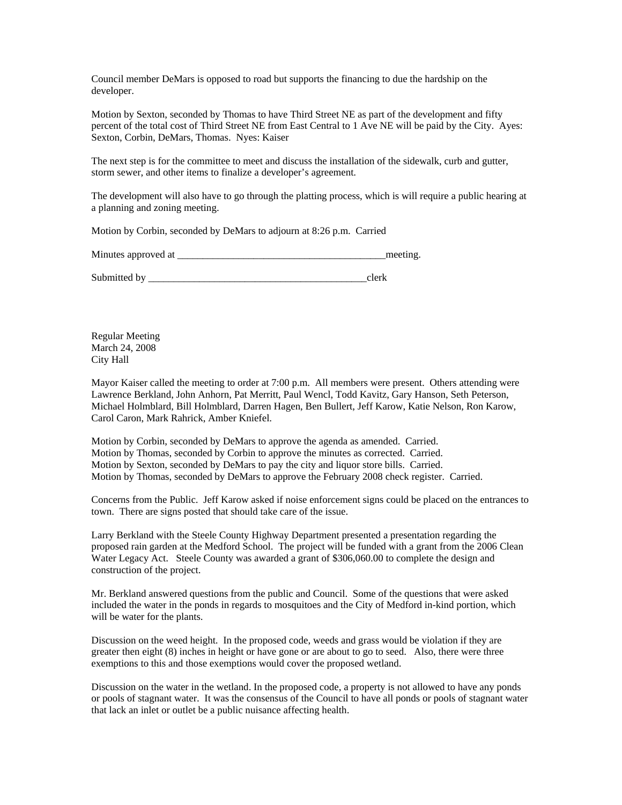Council member DeMars is opposed to road but supports the financing to due the hardship on the developer.

Motion by Sexton, seconded by Thomas to have Third Street NE as part of the development and fifty percent of the total cost of Third Street NE from East Central to 1 Ave NE will be paid by the City. Ayes: Sexton, Corbin, DeMars, Thomas. Nyes: Kaiser

The next step is for the committee to meet and discuss the installation of the sidewalk, curb and gutter, storm sewer, and other items to finalize a developer's agreement.

The development will also have to go through the platting process, which is will require a public hearing at a planning and zoning meeting.

Motion by Corbin, seconded by DeMars to adjourn at 8:26 p.m. Carried

Minutes approved at  $\blacksquare$ 

Submitted by \_\_\_\_\_\_\_\_\_\_\_\_\_\_\_\_\_\_\_\_\_\_\_\_\_\_\_\_\_\_\_\_\_\_\_\_\_\_\_\_\_\_\_clerk

Regular Meeting March 24, 2008 City Hall

Mayor Kaiser called the meeting to order at 7:00 p.m. All members were present. Others attending were Lawrence Berkland, John Anhorn, Pat Merritt, Paul Wencl, Todd Kavitz, Gary Hanson, Seth Peterson, Michael Holmblard, Bill Holmblard, Darren Hagen, Ben Bullert, Jeff Karow, Katie Nelson, Ron Karow, Carol Caron, Mark Rahrick, Amber Kniefel.

Motion by Corbin, seconded by DeMars to approve the agenda as amended. Carried. Motion by Thomas, seconded by Corbin to approve the minutes as corrected. Carried. Motion by Sexton, seconded by DeMars to pay the city and liquor store bills. Carried. Motion by Thomas, seconded by DeMars to approve the February 2008 check register. Carried.

Concerns from the Public. Jeff Karow asked if noise enforcement signs could be placed on the entrances to town. There are signs posted that should take care of the issue.

Larry Berkland with the Steele County Highway Department presented a presentation regarding the proposed rain garden at the Medford School. The project will be funded with a grant from the 2006 Clean Water Legacy Act. Steele County was awarded a grant of \$306,060.00 to complete the design and construction of the project.

Mr. Berkland answered questions from the public and Council. Some of the questions that were asked included the water in the ponds in regards to mosquitoes and the City of Medford in-kind portion, which will be water for the plants.

Discussion on the weed height. In the proposed code, weeds and grass would be violation if they are greater then eight (8) inches in height or have gone or are about to go to seed. Also, there were three exemptions to this and those exemptions would cover the proposed wetland.

Discussion on the water in the wetland. In the proposed code, a property is not allowed to have any ponds or pools of stagnant water. It was the consensus of the Council to have all ponds or pools of stagnant water that lack an inlet or outlet be a public nuisance affecting health.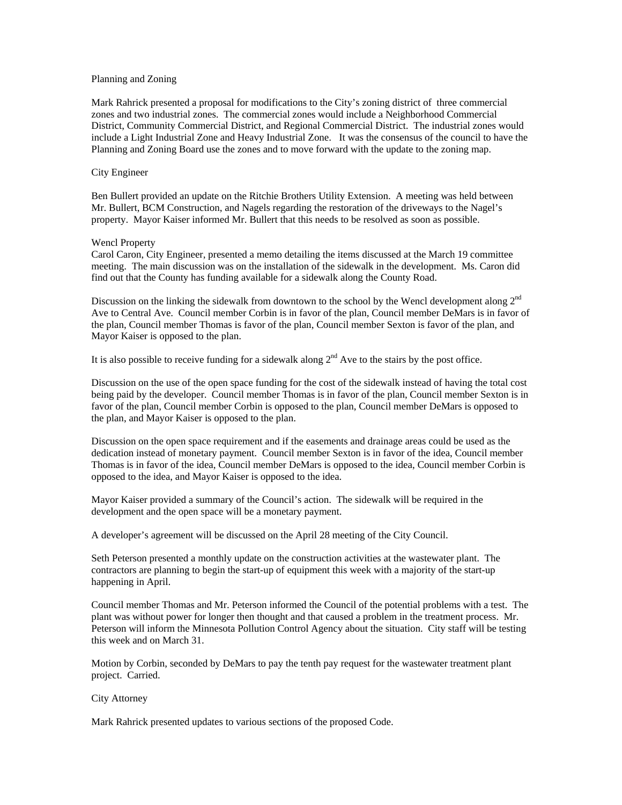### Planning and Zoning

Mark Rahrick presented a proposal for modifications to the City's zoning district of three commercial zones and two industrial zones. The commercial zones would include a Neighborhood Commercial District, Community Commercial District, and Regional Commercial District. The industrial zones would include a Light Industrial Zone and Heavy Industrial Zone. It was the consensus of the council to have the Planning and Zoning Board use the zones and to move forward with the update to the zoning map.

## City Engineer

Ben Bullert provided an update on the Ritchie Brothers Utility Extension. A meeting was held between Mr. Bullert, BCM Construction, and Nagels regarding the restoration of the driveways to the Nagel's property. Mayor Kaiser informed Mr. Bullert that this needs to be resolved as soon as possible.

### Wencl Property

Carol Caron, City Engineer, presented a memo detailing the items discussed at the March 19 committee meeting. The main discussion was on the installation of the sidewalk in the development. Ms. Caron did find out that the County has funding available for a sidewalk along the County Road.

Discussion on the linking the sidewalk from downtown to the school by the Wencl development along 2<sup>nd</sup> Ave to Central Ave. Council member Corbin is in favor of the plan, Council member DeMars is in favor of the plan, Council member Thomas is favor of the plan, Council member Sexton is favor of the plan, and Mayor Kaiser is opposed to the plan.

It is also possible to receive funding for a sidewalk along  $2<sup>nd</sup>$  Ave to the stairs by the post office.

Discussion on the use of the open space funding for the cost of the sidewalk instead of having the total cost being paid by the developer. Council member Thomas is in favor of the plan, Council member Sexton is in favor of the plan, Council member Corbin is opposed to the plan, Council member DeMars is opposed to the plan, and Mayor Kaiser is opposed to the plan.

Discussion on the open space requirement and if the easements and drainage areas could be used as the dedication instead of monetary payment. Council member Sexton is in favor of the idea, Council member Thomas is in favor of the idea, Council member DeMars is opposed to the idea, Council member Corbin is opposed to the idea, and Mayor Kaiser is opposed to the idea.

Mayor Kaiser provided a summary of the Council's action. The sidewalk will be required in the development and the open space will be a monetary payment.

A developer's agreement will be discussed on the April 28 meeting of the City Council.

Seth Peterson presented a monthly update on the construction activities at the wastewater plant. The contractors are planning to begin the start-up of equipment this week with a majority of the start-up happening in April.

Council member Thomas and Mr. Peterson informed the Council of the potential problems with a test. The plant was without power for longer then thought and that caused a problem in the treatment process. Mr. Peterson will inform the Minnesota Pollution Control Agency about the situation. City staff will be testing this week and on March 31.

Motion by Corbin, seconded by DeMars to pay the tenth pay request for the wastewater treatment plant project. Carried.

### City Attorney

Mark Rahrick presented updates to various sections of the proposed Code.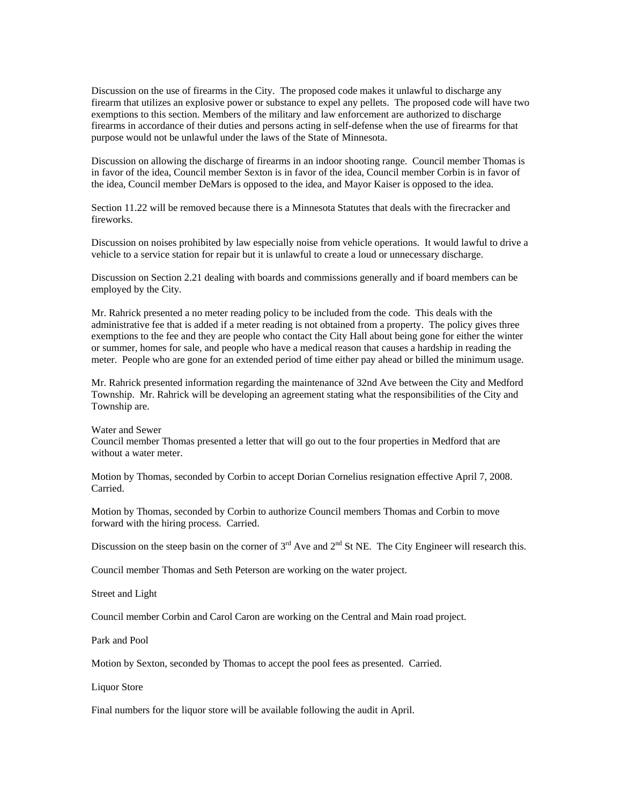Discussion on the use of firearms in the City. The proposed code makes it unlawful to discharge any firearm that utilizes an explosive power or substance to expel any pellets. The proposed code will have two exemptions to this section. Members of the military and law enforcement are authorized to discharge firearms in accordance of their duties and persons acting in self-defense when the use of firearms for that purpose would not be unlawful under the laws of the State of Minnesota.

Discussion on allowing the discharge of firearms in an indoor shooting range. Council member Thomas is in favor of the idea, Council member Sexton is in favor of the idea, Council member Corbin is in favor of the idea, Council member DeMars is opposed to the idea, and Mayor Kaiser is opposed to the idea.

Section 11.22 will be removed because there is a Minnesota Statutes that deals with the firecracker and fireworks.

Discussion on noises prohibited by law especially noise from vehicle operations. It would lawful to drive a vehicle to a service station for repair but it is unlawful to create a loud or unnecessary discharge.

Discussion on Section 2.21 dealing with boards and commissions generally and if board members can be employed by the City.

Mr. Rahrick presented a no meter reading policy to be included from the code. This deals with the administrative fee that is added if a meter reading is not obtained from a property. The policy gives three exemptions to the fee and they are people who contact the City Hall about being gone for either the winter or summer, homes for sale, and people who have a medical reason that causes a hardship in reading the meter. People who are gone for an extended period of time either pay ahead or billed the minimum usage.

Mr. Rahrick presented information regarding the maintenance of 32nd Ave between the City and Medford Township. Mr. Rahrick will be developing an agreement stating what the responsibilities of the City and Township are.

Water and Sewer

Council member Thomas presented a letter that will go out to the four properties in Medford that are without a water meter.

Motion by Thomas, seconded by Corbin to accept Dorian Cornelius resignation effective April 7, 2008. Carried.

Motion by Thomas, seconded by Corbin to authorize Council members Thomas and Corbin to move forward with the hiring process. Carried.

Discussion on the steep basin on the corner of  $3<sup>rd</sup>$  Ave and  $2<sup>nd</sup>$  St NE. The City Engineer will research this.

Council member Thomas and Seth Peterson are working on the water project.

Street and Light

Council member Corbin and Carol Caron are working on the Central and Main road project.

Park and Pool

Motion by Sexton, seconded by Thomas to accept the pool fees as presented. Carried.

Liquor Store

Final numbers for the liquor store will be available following the audit in April.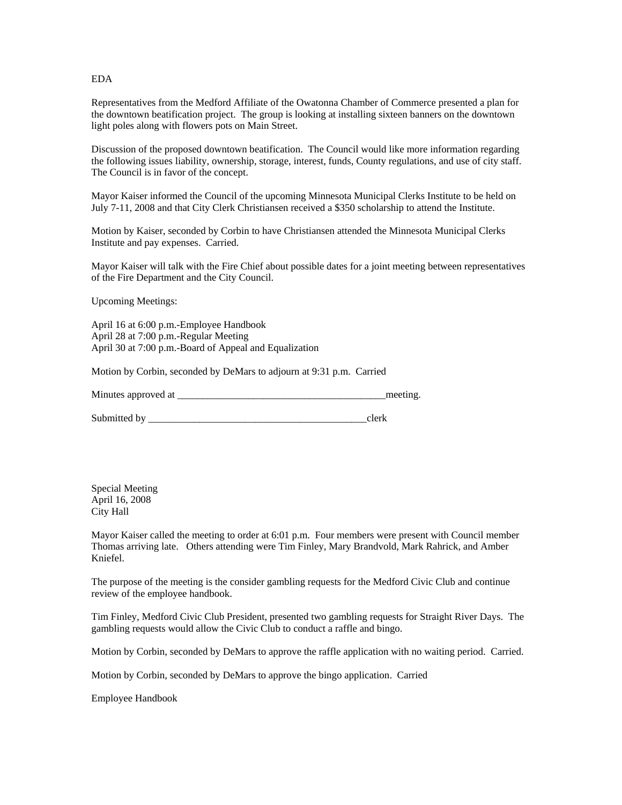EDA

Representatives from the Medford Affiliate of the Owatonna Chamber of Commerce presented a plan for the downtown beatification project. The group is looking at installing sixteen banners on the downtown light poles along with flowers pots on Main Street.

Discussion of the proposed downtown beatification. The Council would like more information regarding the following issues liability, ownership, storage, interest, funds, County regulations, and use of city staff. The Council is in favor of the concept.

Mayor Kaiser informed the Council of the upcoming Minnesota Municipal Clerks Institute to be held on July 7-11, 2008 and that City Clerk Christiansen received a \$350 scholarship to attend the Institute.

Motion by Kaiser, seconded by Corbin to have Christiansen attended the Minnesota Municipal Clerks Institute and pay expenses. Carried.

Mayor Kaiser will talk with the Fire Chief about possible dates for a joint meeting between representatives of the Fire Department and the City Council.

Upcoming Meetings:

April 16 at 6:00 p.m.-Employee Handbook April 28 at 7:00 p.m.-Regular Meeting April 30 at 7:00 p.m.-Board of Appeal and Equalization

Motion by Corbin, seconded by DeMars to adjourn at 9:31 p.m. Carried

Minutes approved at the setting and the setting and the setting.

Submitted by \_\_\_\_\_\_\_\_\_\_\_\_\_\_\_\_\_\_\_\_\_\_\_\_\_\_\_\_\_\_\_\_\_\_\_\_\_\_\_\_\_\_\_clerk

Special Meeting April 16, 2008 City Hall

Mayor Kaiser called the meeting to order at 6:01 p.m. Four members were present with Council member Thomas arriving late. Others attending were Tim Finley, Mary Brandvold, Mark Rahrick, and Amber Kniefel.

The purpose of the meeting is the consider gambling requests for the Medford Civic Club and continue review of the employee handbook.

Tim Finley, Medford Civic Club President, presented two gambling requests for Straight River Days. The gambling requests would allow the Civic Club to conduct a raffle and bingo.

Motion by Corbin, seconded by DeMars to approve the raffle application with no waiting period. Carried.

Motion by Corbin, seconded by DeMars to approve the bingo application. Carried

Employee Handbook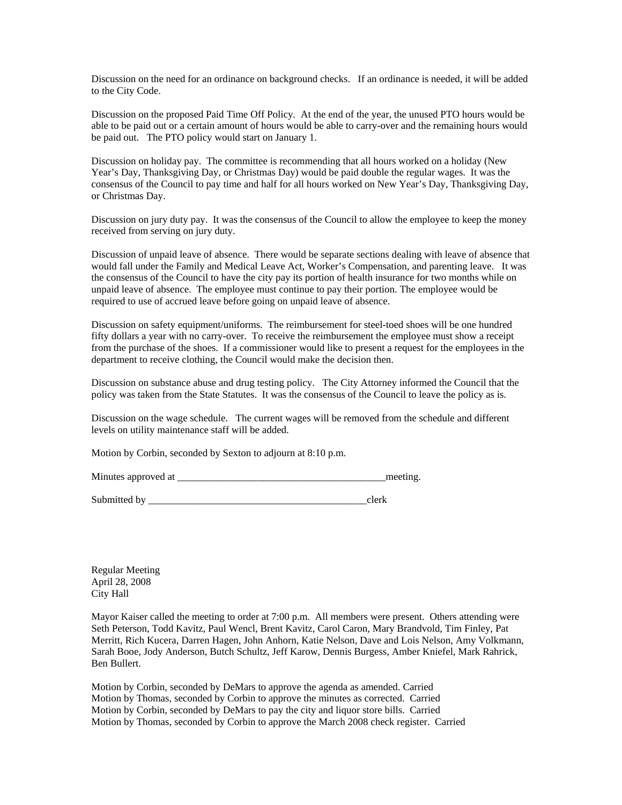Discussion on the need for an ordinance on background checks. If an ordinance is needed, it will be added to the City Code.

Discussion on the proposed Paid Time Off Policy. At the end of the year, the unused PTO hours would be able to be paid out or a certain amount of hours would be able to carry-over and the remaining hours would be paid out. The PTO policy would start on January 1.

Discussion on holiday pay. The committee is recommending that all hours worked on a holiday (New Year's Day, Thanksgiving Day, or Christmas Day) would be paid double the regular wages. It was the consensus of the Council to pay time and half for all hours worked on New Year's Day, Thanksgiving Day, or Christmas Day.

Discussion on jury duty pay. It was the consensus of the Council to allow the employee to keep the money received from serving on jury duty.

Discussion of unpaid leave of absence. There would be separate sections dealing with leave of absence that would fall under the Family and Medical Leave Act, Worker's Compensation, and parenting leave. It was the consensus of the Council to have the city pay its portion of health insurance for two months while on unpaid leave of absence. The employee must continue to pay their portion. The employee would be required to use of accrued leave before going on unpaid leave of absence.

Discussion on safety equipment/uniforms. The reimbursement for steel-toed shoes will be one hundred fifty dollars a year with no carry-over. To receive the reimbursement the employee must show a receipt from the purchase of the shoes. If a commissioner would like to present a request for the employees in the department to receive clothing, the Council would make the decision then.

Discussion on substance abuse and drug testing policy. The City Attorney informed the Council that the policy was taken from the State Statutes. It was the consensus of the Council to leave the policy as is.

Discussion on the wage schedule. The current wages will be removed from the schedule and different levels on utility maintenance staff will be added.

Motion by Corbin, seconded by Sexton to adjourn at 8:10 p.m.

Minutes approved at \_\_\_\_\_\_\_\_\_\_\_\_\_\_\_\_\_\_\_\_\_\_\_\_\_\_\_\_\_\_\_\_\_\_\_\_\_\_\_\_\_meeting.

Submitted by \_\_\_\_\_\_\_\_\_\_\_\_\_\_\_\_\_\_\_\_\_\_\_\_\_\_\_\_\_\_\_\_\_\_\_\_\_\_\_\_\_\_\_clerk

Regular Meeting April 28, 2008 City Hall

Mayor Kaiser called the meeting to order at 7:00 p.m. All members were present. Others attending were Seth Peterson, Todd Kavitz, Paul Wencl, Brent Kavitz, Carol Caron, Mary Brandvold, Tim Finley, Pat Merritt, Rich Kucera, Darren Hagen, John Anhorn, Katie Nelson, Dave and Lois Nelson, Amy Volkmann, Sarah Booe, Jody Anderson, Butch Schultz, Jeff Karow, Dennis Burgess, Amber Kniefel, Mark Rahrick, Ben Bullert.

Motion by Corbin, seconded by DeMars to approve the agenda as amended. Carried Motion by Thomas, seconded by Corbin to approve the minutes as corrected. Carried Motion by Corbin, seconded by DeMars to pay the city and liquor store bills. Carried Motion by Thomas, seconded by Corbin to approve the March 2008 check register. Carried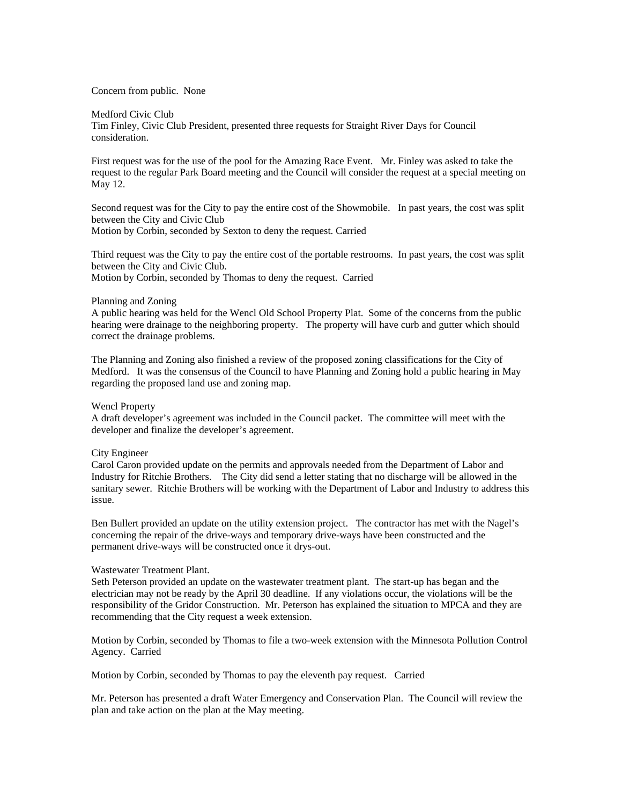### Concern from public. None

### Medford Civic Club

Tim Finley, Civic Club President, presented three requests for Straight River Days for Council consideration.

First request was for the use of the pool for the Amazing Race Event. Mr. Finley was asked to take the request to the regular Park Board meeting and the Council will consider the request at a special meeting on May 12.

Second request was for the City to pay the entire cost of the Showmobile. In past years, the cost was split between the City and Civic Club Motion by Corbin, seconded by Sexton to deny the request. Carried

Third request was the City to pay the entire cost of the portable restrooms. In past years, the cost was split between the City and Civic Club. Motion by Corbin, seconded by Thomas to deny the request. Carried

### Planning and Zoning

A public hearing was held for the Wencl Old School Property Plat. Some of the concerns from the public hearing were drainage to the neighboring property. The property will have curb and gutter which should correct the drainage problems.

The Planning and Zoning also finished a review of the proposed zoning classifications for the City of Medford. It was the consensus of the Council to have Planning and Zoning hold a public hearing in May regarding the proposed land use and zoning map.

### Wencl Property

A draft developer's agreement was included in the Council packet. The committee will meet with the developer and finalize the developer's agreement.

### City Engineer

Carol Caron provided update on the permits and approvals needed from the Department of Labor and Industry for Ritchie Brothers. The City did send a letter stating that no discharge will be allowed in the sanitary sewer. Ritchie Brothers will be working with the Department of Labor and Industry to address this issue.

Ben Bullert provided an update on the utility extension project. The contractor has met with the Nagel's concerning the repair of the drive-ways and temporary drive-ways have been constructed and the permanent drive-ways will be constructed once it drys-out.

## Wastewater Treatment Plant.

Seth Peterson provided an update on the wastewater treatment plant. The start-up has began and the electrician may not be ready by the April 30 deadline. If any violations occur, the violations will be the responsibility of the Gridor Construction. Mr. Peterson has explained the situation to MPCA and they are recommending that the City request a week extension.

Motion by Corbin, seconded by Thomas to file a two-week extension with the Minnesota Pollution Control Agency. Carried

Motion by Corbin, seconded by Thomas to pay the eleventh pay request. Carried

Mr. Peterson has presented a draft Water Emergency and Conservation Plan. The Council will review the plan and take action on the plan at the May meeting.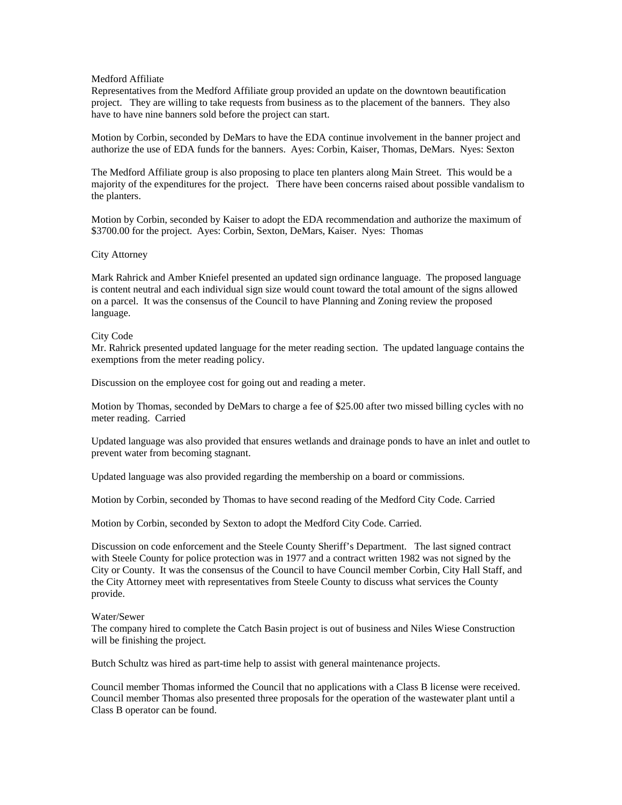### Medford Affiliate

Representatives from the Medford Affiliate group provided an update on the downtown beautification project. They are willing to take requests from business as to the placement of the banners. They also have to have nine banners sold before the project can start.

Motion by Corbin, seconded by DeMars to have the EDA continue involvement in the banner project and authorize the use of EDA funds for the banners. Ayes: Corbin, Kaiser, Thomas, DeMars. Nyes: Sexton

The Medford Affiliate group is also proposing to place ten planters along Main Street. This would be a majority of the expenditures for the project. There have been concerns raised about possible vandalism to the planters.

Motion by Corbin, seconded by Kaiser to adopt the EDA recommendation and authorize the maximum of \$3700.00 for the project. Ayes: Corbin, Sexton, DeMars, Kaiser. Nyes: Thomas

### City Attorney

Mark Rahrick and Amber Kniefel presented an updated sign ordinance language. The proposed language is content neutral and each individual sign size would count toward the total amount of the signs allowed on a parcel. It was the consensus of the Council to have Planning and Zoning review the proposed language.

# City Code

Mr. Rahrick presented updated language for the meter reading section. The updated language contains the exemptions from the meter reading policy.

Discussion on the employee cost for going out and reading a meter.

Motion by Thomas, seconded by DeMars to charge a fee of \$25.00 after two missed billing cycles with no meter reading. Carried

Updated language was also provided that ensures wetlands and drainage ponds to have an inlet and outlet to prevent water from becoming stagnant.

Updated language was also provided regarding the membership on a board or commissions.

Motion by Corbin, seconded by Thomas to have second reading of the Medford City Code. Carried

Motion by Corbin, seconded by Sexton to adopt the Medford City Code. Carried.

Discussion on code enforcement and the Steele County Sheriff's Department. The last signed contract with Steele County for police protection was in 1977 and a contract written 1982 was not signed by the City or County. It was the consensus of the Council to have Council member Corbin, City Hall Staff, and the City Attorney meet with representatives from Steele County to discuss what services the County provide.

### Water/Sewer

The company hired to complete the Catch Basin project is out of business and Niles Wiese Construction will be finishing the project.

Butch Schultz was hired as part-time help to assist with general maintenance projects.

Council member Thomas informed the Council that no applications with a Class B license were received. Council member Thomas also presented three proposals for the operation of the wastewater plant until a Class B operator can be found.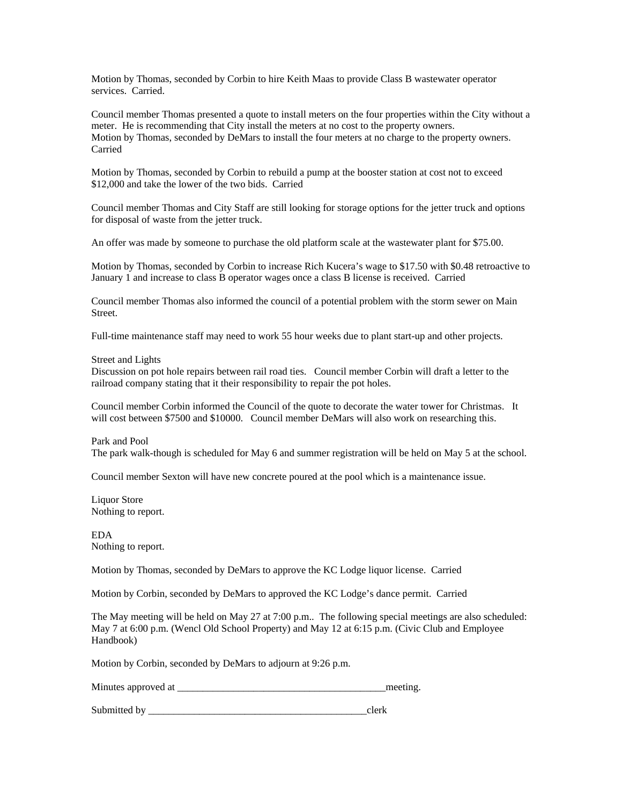Motion by Thomas, seconded by Corbin to hire Keith Maas to provide Class B wastewater operator services. Carried.

Council member Thomas presented a quote to install meters on the four properties within the City without a meter. He is recommending that City install the meters at no cost to the property owners. Motion by Thomas, seconded by DeMars to install the four meters at no charge to the property owners. Carried

Motion by Thomas, seconded by Corbin to rebuild a pump at the booster station at cost not to exceed \$12,000 and take the lower of the two bids. Carried

Council member Thomas and City Staff are still looking for storage options for the jetter truck and options for disposal of waste from the jetter truck.

An offer was made by someone to purchase the old platform scale at the wastewater plant for \$75.00.

Motion by Thomas, seconded by Corbin to increase Rich Kucera's wage to \$17.50 with \$0.48 retroactive to January 1 and increase to class B operator wages once a class B license is received. Carried

Council member Thomas also informed the council of a potential problem with the storm sewer on Main Street.

Full-time maintenance staff may need to work 55 hour weeks due to plant start-up and other projects.

#### Street and Lights

Discussion on pot hole repairs between rail road ties. Council member Corbin will draft a letter to the railroad company stating that it their responsibility to repair the pot holes.

Council member Corbin informed the Council of the quote to decorate the water tower for Christmas. It will cost between \$7500 and \$10000. Council member DeMars will also work on researching this.

Park and Pool The park walk-though is scheduled for May 6 and summer registration will be held on May 5 at the school.

Council member Sexton will have new concrete poured at the pool which is a maintenance issue.

Liquor Store Nothing to report.

EDA Nothing to report.

Motion by Thomas, seconded by DeMars to approve the KC Lodge liquor license. Carried

Motion by Corbin, seconded by DeMars to approved the KC Lodge's dance permit. Carried

The May meeting will be held on May 27 at 7:00 p.m.. The following special meetings are also scheduled: May 7 at 6:00 p.m. (Wencl Old School Property) and May 12 at 6:15 p.m. (Civic Club and Employee Handbook)

Motion by Corbin, seconded by DeMars to adjourn at 9:26 p.m.

Minutes approved at \_\_\_\_\_\_\_\_\_\_\_\_\_\_\_\_\_\_\_\_\_\_\_\_\_\_\_\_\_\_\_\_\_\_\_\_\_\_\_\_\_meeting.

Submitted by \_\_\_\_\_\_\_\_\_\_\_\_\_\_\_\_\_\_\_\_\_\_\_\_\_\_\_\_\_\_\_\_\_\_\_\_\_\_\_\_\_\_\_clerk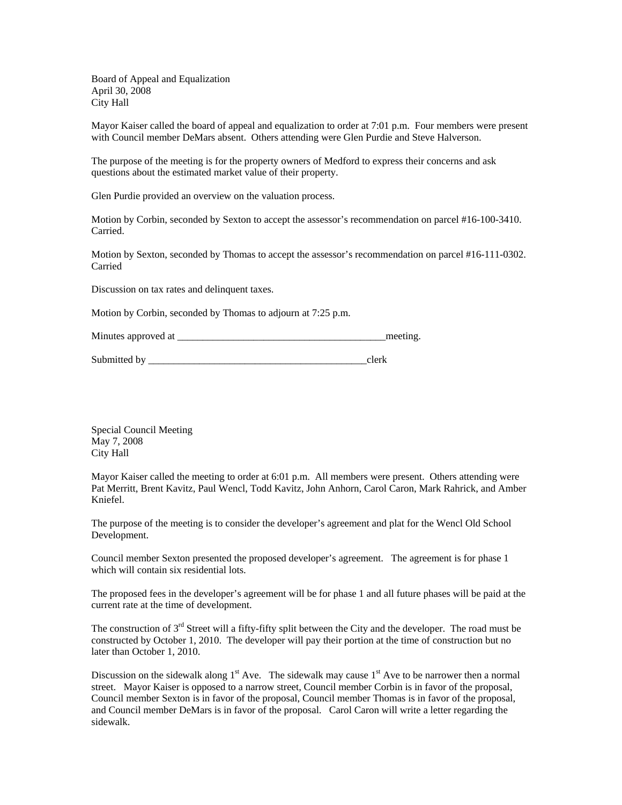Board of Appeal and Equalization April 30, 2008 City Hall

Mayor Kaiser called the board of appeal and equalization to order at 7:01 p.m. Four members were present with Council member DeMars absent. Others attending were Glen Purdie and Steve Halverson.

The purpose of the meeting is for the property owners of Medford to express their concerns and ask questions about the estimated market value of their property.

Glen Purdie provided an overview on the valuation process.

Motion by Corbin, seconded by Sexton to accept the assessor's recommendation on parcel #16-100-3410. Carried.

Motion by Sexton, seconded by Thomas to accept the assessor's recommendation on parcel #16-111-0302. Carried

Discussion on tax rates and delinquent taxes.

Motion by Corbin, seconded by Thomas to adjourn at 7:25 p.m.

Minutes approved at \_\_\_\_\_\_\_\_\_\_\_\_\_\_\_\_\_\_\_\_\_\_\_\_\_\_\_\_\_\_\_\_\_\_\_\_\_\_\_\_\_meeting.

Submitted by \_\_\_\_\_\_\_\_\_\_\_\_\_\_\_\_\_\_\_\_\_\_\_\_\_\_\_\_\_\_\_\_\_\_\_\_\_\_\_\_\_\_\_clerk

Special Council Meeting May 7, 2008 City Hall

Mayor Kaiser called the meeting to order at 6:01 p.m. All members were present. Others attending were Pat Merritt, Brent Kavitz, Paul Wencl, Todd Kavitz, John Anhorn, Carol Caron, Mark Rahrick, and Amber Kniefel.

The purpose of the meeting is to consider the developer's agreement and plat for the Wencl Old School Development.

Council member Sexton presented the proposed developer's agreement. The agreement is for phase 1 which will contain six residential lots.

The proposed fees in the developer's agreement will be for phase 1 and all future phases will be paid at the current rate at the time of development.

The construction of 3<sup>rd</sup> Street will a fifty-fifty split between the City and the developer. The road must be constructed by October 1, 2010. The developer will pay their portion at the time of construction but no later than October 1, 2010.

Discussion on the sidewalk along  $1<sup>st</sup>$  Ave. The sidewalk may cause  $1<sup>st</sup>$  Ave to be narrower then a normal street. Mayor Kaiser is opposed to a narrow street, Council member Corbin is in favor of the proposal, Council member Sexton is in favor of the proposal, Council member Thomas is in favor of the proposal, and Council member DeMars is in favor of the proposal. Carol Caron will write a letter regarding the sidewalk.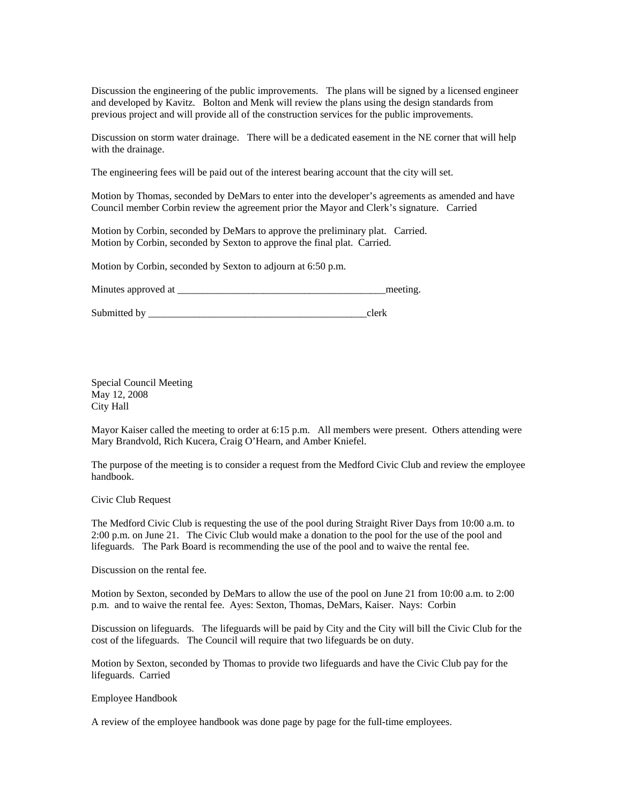Discussion the engineering of the public improvements. The plans will be signed by a licensed engineer and developed by Kavitz. Bolton and Menk will review the plans using the design standards from previous project and will provide all of the construction services for the public improvements.

Discussion on storm water drainage. There will be a dedicated easement in the NE corner that will help with the drainage.

The engineering fees will be paid out of the interest bearing account that the city will set.

Motion by Thomas, seconded by DeMars to enter into the developer's agreements as amended and have Council member Corbin review the agreement prior the Mayor and Clerk's signature. Carried

Motion by Corbin, seconded by DeMars to approve the preliminary plat. Carried. Motion by Corbin, seconded by Sexton to approve the final plat. Carried.

Motion by Corbin, seconded by Sexton to adjourn at 6:50 p.m.

Minutes approved at the setting and the setting and the setting.

Submitted by \_\_\_\_\_\_\_\_\_\_\_\_\_\_\_\_\_\_\_\_\_\_\_\_\_\_\_\_\_\_\_\_\_\_\_\_\_\_\_\_\_\_\_clerk

Special Council Meeting May 12, 2008 City Hall

Mayor Kaiser called the meeting to order at 6:15 p.m. All members were present. Others attending were Mary Brandvold, Rich Kucera, Craig O'Hearn, and Amber Kniefel.

The purpose of the meeting is to consider a request from the Medford Civic Club and review the employee handbook.

Civic Club Request

The Medford Civic Club is requesting the use of the pool during Straight River Days from 10:00 a.m. to 2:00 p.m. on June 21. The Civic Club would make a donation to the pool for the use of the pool and lifeguards. The Park Board is recommending the use of the pool and to waive the rental fee.

Discussion on the rental fee.

Motion by Sexton, seconded by DeMars to allow the use of the pool on June 21 from 10:00 a.m. to 2:00 p.m. and to waive the rental fee. Ayes: Sexton, Thomas, DeMars, Kaiser. Nays: Corbin

Discussion on lifeguards. The lifeguards will be paid by City and the City will bill the Civic Club for the cost of the lifeguards. The Council will require that two lifeguards be on duty.

Motion by Sexton, seconded by Thomas to provide two lifeguards and have the Civic Club pay for the lifeguards. Carried

Employee Handbook

A review of the employee handbook was done page by page for the full-time employees.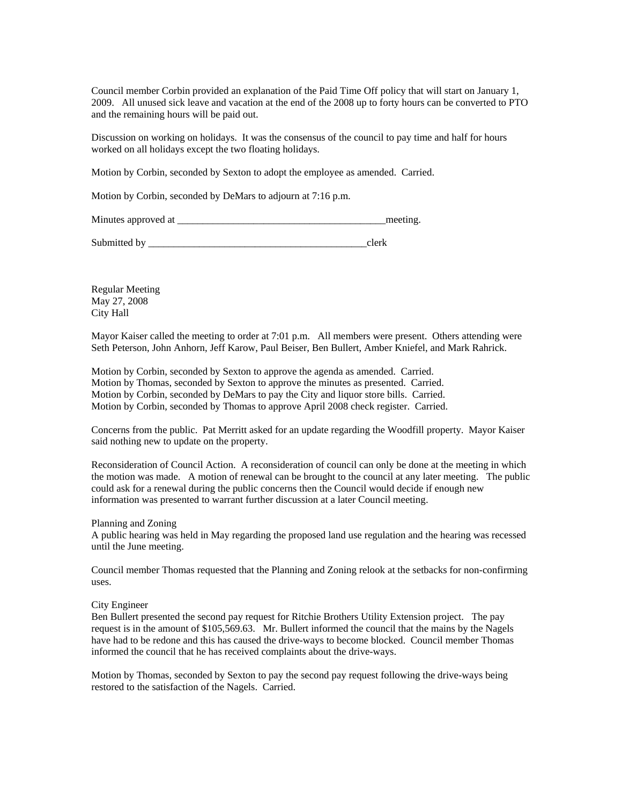Council member Corbin provided an explanation of the Paid Time Off policy that will start on January 1, 2009. All unused sick leave and vacation at the end of the 2008 up to forty hours can be converted to PTO and the remaining hours will be paid out.

Discussion on working on holidays. It was the consensus of the council to pay time and half for hours worked on all holidays except the two floating holidays.

Motion by Corbin, seconded by Sexton to adopt the employee as amended. Carried.

Motion by Corbin, seconded by DeMars to adjourn at 7:16 p.m.

Minutes approved at \_\_\_\_\_\_\_\_\_\_\_\_\_\_\_\_\_\_\_\_\_\_\_\_\_\_\_\_\_\_\_\_\_\_\_\_\_\_\_\_\_meeting.

Submitted by  $\Box$ 

Regular Meeting May 27, 2008 City Hall

Mayor Kaiser called the meeting to order at 7:01 p.m. All members were present. Others attending were Seth Peterson, John Anhorn, Jeff Karow, Paul Beiser, Ben Bullert, Amber Kniefel, and Mark Rahrick.

Motion by Corbin, seconded by Sexton to approve the agenda as amended. Carried. Motion by Thomas, seconded by Sexton to approve the minutes as presented. Carried. Motion by Corbin, seconded by DeMars to pay the City and liquor store bills. Carried. Motion by Corbin, seconded by Thomas to approve April 2008 check register. Carried.

Concerns from the public. Pat Merritt asked for an update regarding the Woodfill property. Mayor Kaiser said nothing new to update on the property.

Reconsideration of Council Action. A reconsideration of council can only be done at the meeting in which the motion was made. A motion of renewal can be brought to the council at any later meeting. The public could ask for a renewal during the public concerns then the Council would decide if enough new information was presented to warrant further discussion at a later Council meeting.

Planning and Zoning

A public hearing was held in May regarding the proposed land use regulation and the hearing was recessed until the June meeting.

Council member Thomas requested that the Planning and Zoning relook at the setbacks for non-confirming uses.

## City Engineer

Ben Bullert presented the second pay request for Ritchie Brothers Utility Extension project. The pay request is in the amount of \$105,569.63. Mr. Bullert informed the council that the mains by the Nagels have had to be redone and this has caused the drive-ways to become blocked. Council member Thomas informed the council that he has received complaints about the drive-ways.

Motion by Thomas, seconded by Sexton to pay the second pay request following the drive-ways being restored to the satisfaction of the Nagels. Carried.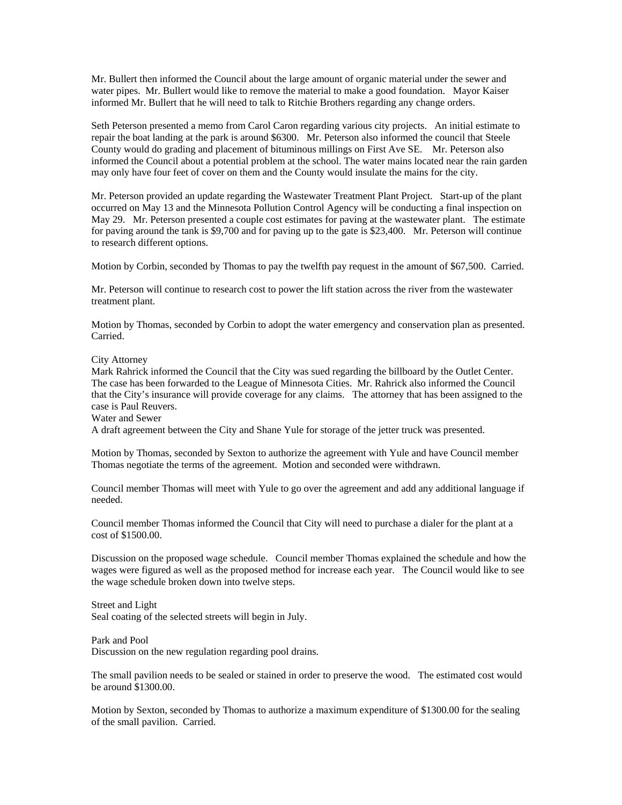Mr. Bullert then informed the Council about the large amount of organic material under the sewer and water pipes. Mr. Bullert would like to remove the material to make a good foundation. Mayor Kaiser informed Mr. Bullert that he will need to talk to Ritchie Brothers regarding any change orders.

Seth Peterson presented a memo from Carol Caron regarding various city projects. An initial estimate to repair the boat landing at the park is around \$6300. Mr. Peterson also informed the council that Steele County would do grading and placement of bituminous millings on First Ave SE. Mr. Peterson also informed the Council about a potential problem at the school. The water mains located near the rain garden may only have four feet of cover on them and the County would insulate the mains for the city.

Mr. Peterson provided an update regarding the Wastewater Treatment Plant Project. Start-up of the plant occurred on May 13 and the Minnesota Pollution Control Agency will be conducting a final inspection on May 29. Mr. Peterson presented a couple cost estimates for paving at the wastewater plant. The estimate for paving around the tank is \$9,700 and for paving up to the gate is \$23,400. Mr. Peterson will continue to research different options.

Motion by Corbin, seconded by Thomas to pay the twelfth pay request in the amount of \$67,500. Carried.

Mr. Peterson will continue to research cost to power the lift station across the river from the wastewater treatment plant.

Motion by Thomas, seconded by Corbin to adopt the water emergency and conservation plan as presented. Carried.

City Attorney

Mark Rahrick informed the Council that the City was sued regarding the billboard by the Outlet Center. The case has been forwarded to the League of Minnesota Cities. Mr. Rahrick also informed the Council that the City's insurance will provide coverage for any claims. The attorney that has been assigned to the case is Paul Reuvers.

Water and Sewer

A draft agreement between the City and Shane Yule for storage of the jetter truck was presented.

Motion by Thomas, seconded by Sexton to authorize the agreement with Yule and have Council member Thomas negotiate the terms of the agreement. Motion and seconded were withdrawn.

Council member Thomas will meet with Yule to go over the agreement and add any additional language if needed.

Council member Thomas informed the Council that City will need to purchase a dialer for the plant at a cost of \$1500.00.

Discussion on the proposed wage schedule. Council member Thomas explained the schedule and how the wages were figured as well as the proposed method for increase each year. The Council would like to see the wage schedule broken down into twelve steps.

Street and Light Seal coating of the selected streets will begin in July.

Park and Pool Discussion on the new regulation regarding pool drains.

The small pavilion needs to be sealed or stained in order to preserve the wood. The estimated cost would be around \$1300.00.

Motion by Sexton, seconded by Thomas to authorize a maximum expenditure of \$1300.00 for the sealing of the small pavilion. Carried.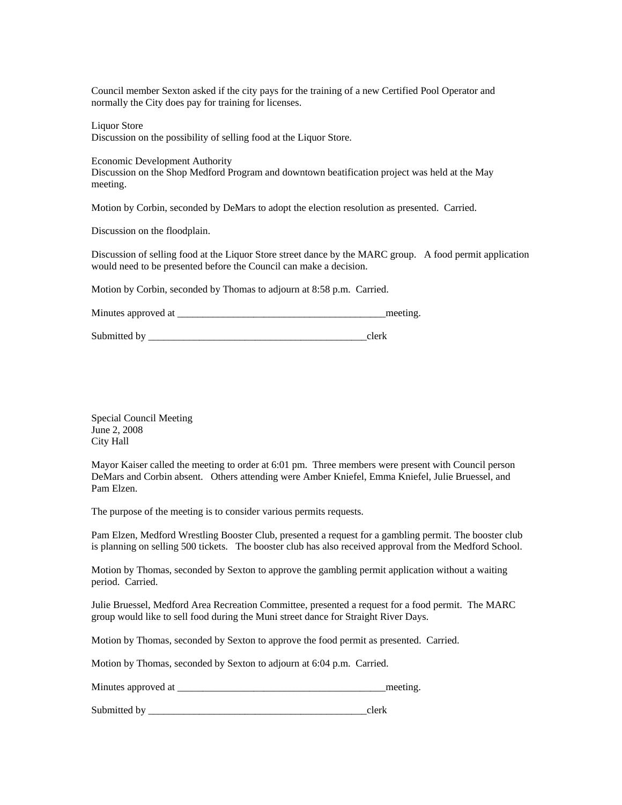Council member Sexton asked if the city pays for the training of a new Certified Pool Operator and normally the City does pay for training for licenses.

Liquor Store

Discussion on the possibility of selling food at the Liquor Store.

Economic Development Authority

Discussion on the Shop Medford Program and downtown beatification project was held at the May meeting.

Motion by Corbin, seconded by DeMars to adopt the election resolution as presented. Carried.

Discussion on the floodplain.

Discussion of selling food at the Liquor Store street dance by the MARC group. A food permit application would need to be presented before the Council can make a decision.

Motion by Corbin, seconded by Thomas to adjourn at 8:58 p.m. Carried.

Minutes approved at \_\_\_\_\_\_\_\_\_\_\_\_\_\_\_\_\_\_\_\_\_\_\_\_\_\_\_\_\_\_\_\_\_\_\_\_\_\_\_\_\_meeting.

Submitted by \_\_\_\_\_\_\_\_\_\_\_\_\_\_\_\_\_\_\_\_\_\_\_\_\_\_\_\_\_\_\_\_\_\_\_\_\_\_\_\_\_\_\_clerk

Special Council Meeting June 2, 2008 City Hall

Mayor Kaiser called the meeting to order at 6:01 pm. Three members were present with Council person DeMars and Corbin absent. Others attending were Amber Kniefel, Emma Kniefel, Julie Bruessel, and Pam Elzen.

The purpose of the meeting is to consider various permits requests.

Pam Elzen, Medford Wrestling Booster Club, presented a request for a gambling permit. The booster club is planning on selling 500 tickets. The booster club has also received approval from the Medford School.

Motion by Thomas, seconded by Sexton to approve the gambling permit application without a waiting period. Carried.

Julie Bruessel, Medford Area Recreation Committee, presented a request for a food permit. The MARC group would like to sell food during the Muni street dance for Straight River Days.

Motion by Thomas, seconded by Sexton to approve the food permit as presented. Carried.

Motion by Thomas, seconded by Sexton to adjourn at 6:04 p.m. Carried.

Minutes approved at \_\_\_\_\_\_\_\_\_\_\_\_\_\_\_\_\_\_\_\_\_\_\_\_\_\_\_\_\_\_\_\_\_\_\_\_\_\_\_\_\_meeting.

Submitted by \_\_\_\_\_\_\_\_\_\_\_\_\_\_\_\_\_\_\_\_\_\_\_\_\_\_\_\_\_\_\_\_\_\_\_\_\_\_\_\_\_\_\_clerk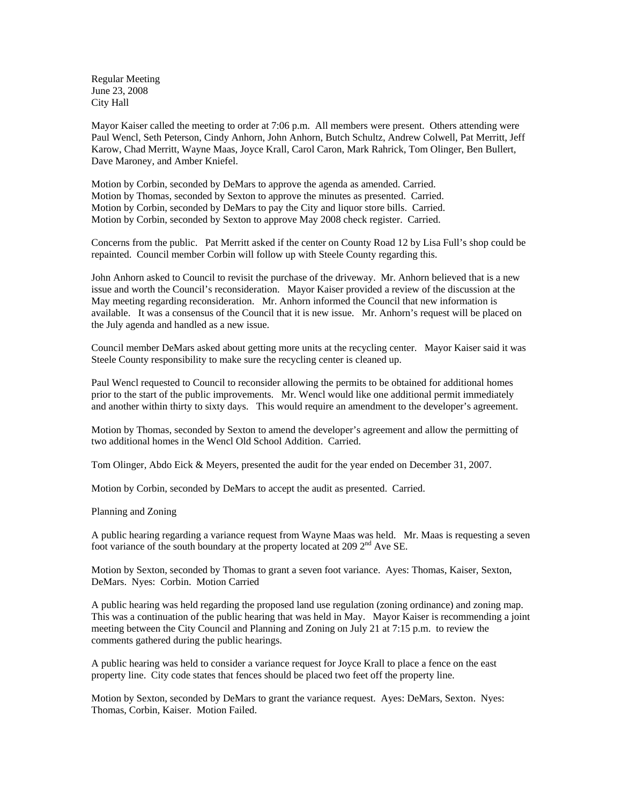Regular Meeting June 23, 2008 City Hall

Mayor Kaiser called the meeting to order at 7:06 p.m. All members were present. Others attending were Paul Wencl, Seth Peterson, Cindy Anhorn, John Anhorn, Butch Schultz, Andrew Colwell, Pat Merritt, Jeff Karow, Chad Merritt, Wayne Maas, Joyce Krall, Carol Caron, Mark Rahrick, Tom Olinger, Ben Bullert, Dave Maroney, and Amber Kniefel.

Motion by Corbin, seconded by DeMars to approve the agenda as amended. Carried. Motion by Thomas, seconded by Sexton to approve the minutes as presented. Carried. Motion by Corbin, seconded by DeMars to pay the City and liquor store bills. Carried. Motion by Corbin, seconded by Sexton to approve May 2008 check register. Carried.

Concerns from the public. Pat Merritt asked if the center on County Road 12 by Lisa Full's shop could be repainted. Council member Corbin will follow up with Steele County regarding this.

John Anhorn asked to Council to revisit the purchase of the driveway. Mr. Anhorn believed that is a new issue and worth the Council's reconsideration. Mayor Kaiser provided a review of the discussion at the May meeting regarding reconsideration. Mr. Anhorn informed the Council that new information is available. It was a consensus of the Council that it is new issue. Mr. Anhorn's request will be placed on the July agenda and handled as a new issue.

Council member DeMars asked about getting more units at the recycling center. Mayor Kaiser said it was Steele County responsibility to make sure the recycling center is cleaned up.

Paul Wencl requested to Council to reconsider allowing the permits to be obtained for additional homes prior to the start of the public improvements. Mr. Wencl would like one additional permit immediately and another within thirty to sixty days. This would require an amendment to the developer's agreement.

Motion by Thomas, seconded by Sexton to amend the developer's agreement and allow the permitting of two additional homes in the Wencl Old School Addition. Carried.

Tom Olinger, Abdo Eick & Meyers, presented the audit for the year ended on December 31, 2007.

Motion by Corbin, seconded by DeMars to accept the audit as presented. Carried.

Planning and Zoning

A public hearing regarding a variance request from Wayne Maas was held. Mr. Maas is requesting a seven foot variance of the south boundary at the property located at 209  $2<sup>nd</sup>$  Ave SE.

Motion by Sexton, seconded by Thomas to grant a seven foot variance. Ayes: Thomas, Kaiser, Sexton, DeMars. Nyes: Corbin. Motion Carried

A public hearing was held regarding the proposed land use regulation (zoning ordinance) and zoning map. This was a continuation of the public hearing that was held in May. Mayor Kaiser is recommending a joint meeting between the City Council and Planning and Zoning on July 21 at 7:15 p.m. to review the comments gathered during the public hearings.

A public hearing was held to consider a variance request for Joyce Krall to place a fence on the east property line. City code states that fences should be placed two feet off the property line.

Motion by Sexton, seconded by DeMars to grant the variance request. Ayes: DeMars, Sexton. Nyes: Thomas, Corbin, Kaiser. Motion Failed.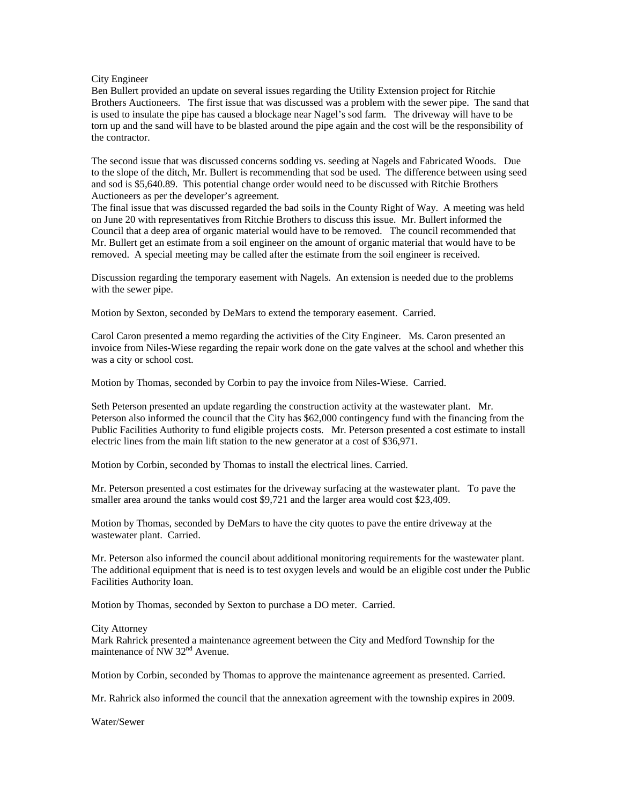### City Engineer

Ben Bullert provided an update on several issues regarding the Utility Extension project for Ritchie Brothers Auctioneers. The first issue that was discussed was a problem with the sewer pipe. The sand that is used to insulate the pipe has caused a blockage near Nagel's sod farm. The driveway will have to be torn up and the sand will have to be blasted around the pipe again and the cost will be the responsibility of the contractor.

The second issue that was discussed concerns sodding vs. seeding at Nagels and Fabricated Woods. Due to the slope of the ditch, Mr. Bullert is recommending that sod be used. The difference between using seed and sod is \$5,640.89. This potential change order would need to be discussed with Ritchie Brothers Auctioneers as per the developer's agreement.

The final issue that was discussed regarded the bad soils in the County Right of Way. A meeting was held on June 20 with representatives from Ritchie Brothers to discuss this issue. Mr. Bullert informed the Council that a deep area of organic material would have to be removed. The council recommended that Mr. Bullert get an estimate from a soil engineer on the amount of organic material that would have to be removed. A special meeting may be called after the estimate from the soil engineer is received.

Discussion regarding the temporary easement with Nagels. An extension is needed due to the problems with the sewer pipe.

Motion by Sexton, seconded by DeMars to extend the temporary easement. Carried.

Carol Caron presented a memo regarding the activities of the City Engineer. Ms. Caron presented an invoice from Niles-Wiese regarding the repair work done on the gate valves at the school and whether this was a city or school cost.

Motion by Thomas, seconded by Corbin to pay the invoice from Niles-Wiese. Carried.

Seth Peterson presented an update regarding the construction activity at the wastewater plant. Mr. Peterson also informed the council that the City has \$62,000 contingency fund with the financing from the Public Facilities Authority to fund eligible projects costs. Mr. Peterson presented a cost estimate to install electric lines from the main lift station to the new generator at a cost of \$36,971.

Motion by Corbin, seconded by Thomas to install the electrical lines. Carried.

Mr. Peterson presented a cost estimates for the driveway surfacing at the wastewater plant. To pave the smaller area around the tanks would cost \$9,721 and the larger area would cost \$23,409.

Motion by Thomas, seconded by DeMars to have the city quotes to pave the entire driveway at the wastewater plant. Carried.

Mr. Peterson also informed the council about additional monitoring requirements for the wastewater plant. The additional equipment that is need is to test oxygen levels and would be an eligible cost under the Public Facilities Authority loan.

Motion by Thomas, seconded by Sexton to purchase a DO meter. Carried.

### City Attorney

Mark Rahrick presented a maintenance agreement between the City and Medford Township for the maintenance of NW 32<sup>nd</sup> Avenue.

Motion by Corbin, seconded by Thomas to approve the maintenance agreement as presented. Carried.

Mr. Rahrick also informed the council that the annexation agreement with the township expires in 2009.

Water/Sewer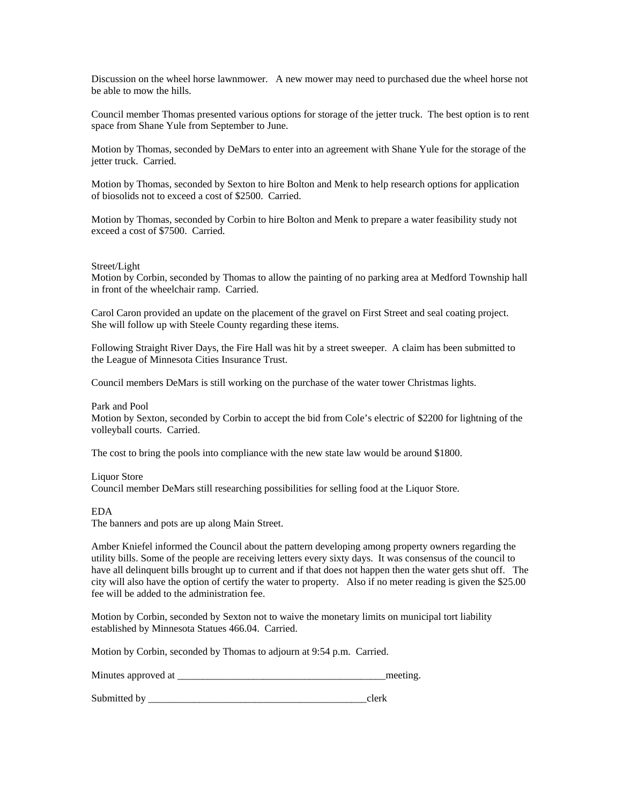Discussion on the wheel horse lawnmower. A new mower may need to purchased due the wheel horse not be able to mow the hills.

Council member Thomas presented various options for storage of the jetter truck. The best option is to rent space from Shane Yule from September to June.

Motion by Thomas, seconded by DeMars to enter into an agreement with Shane Yule for the storage of the jetter truck. Carried.

Motion by Thomas, seconded by Sexton to hire Bolton and Menk to help research options for application of biosolids not to exceed a cost of \$2500. Carried.

Motion by Thomas, seconded by Corbin to hire Bolton and Menk to prepare a water feasibility study not exceed a cost of \$7500. Carried.

### Street/Light

Motion by Corbin, seconded by Thomas to allow the painting of no parking area at Medford Township hall in front of the wheelchair ramp. Carried.

Carol Caron provided an update on the placement of the gravel on First Street and seal coating project. She will follow up with Steele County regarding these items.

Following Straight River Days, the Fire Hall was hit by a street sweeper. A claim has been submitted to the League of Minnesota Cities Insurance Trust.

Council members DeMars is still working on the purchase of the water tower Christmas lights.

### Park and Pool

Motion by Sexton, seconded by Corbin to accept the bid from Cole's electric of \$2200 for lightning of the volleyball courts. Carried.

The cost to bring the pools into compliance with the new state law would be around \$1800.

#### Liquor Store

Council member DeMars still researching possibilities for selling food at the Liquor Store.

EDA

The banners and pots are up along Main Street.

Amber Kniefel informed the Council about the pattern developing among property owners regarding the utility bills. Some of the people are receiving letters every sixty days. It was consensus of the council to have all delinquent bills brought up to current and if that does not happen then the water gets shut off. The city will also have the option of certify the water to property. Also if no meter reading is given the \$25.00 fee will be added to the administration fee.

Motion by Corbin, seconded by Sexton not to waive the monetary limits on municipal tort liability established by Minnesota Statues 466.04. Carried.

Motion by Corbin, seconded by Thomas to adjourn at 9:54 p.m. Carried.

Minutes approved at \_\_\_\_\_\_\_\_\_\_\_\_\_\_\_\_\_\_\_\_\_\_\_\_\_\_\_\_\_\_\_\_\_\_\_\_\_\_\_\_\_meeting.

Submitted by \_\_\_\_\_\_\_\_\_\_\_\_\_\_\_\_\_\_\_\_\_\_\_\_\_\_\_\_\_\_\_\_\_\_\_\_\_\_\_\_\_\_\_clerk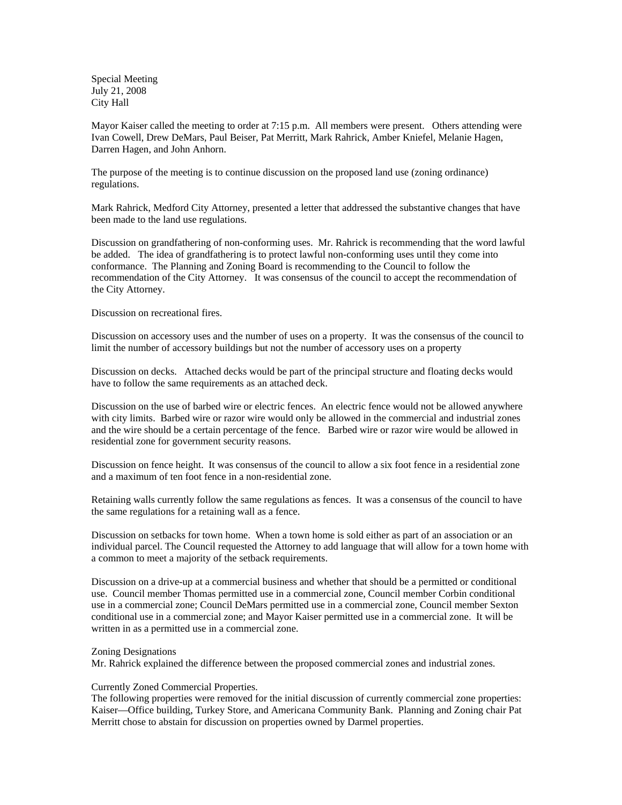Special Meeting July 21, 2008 City Hall

Mayor Kaiser called the meeting to order at 7:15 p.m. All members were present. Others attending were Ivan Cowell, Drew DeMars, Paul Beiser, Pat Merritt, Mark Rahrick, Amber Kniefel, Melanie Hagen, Darren Hagen, and John Anhorn.

The purpose of the meeting is to continue discussion on the proposed land use (zoning ordinance) regulations.

Mark Rahrick, Medford City Attorney, presented a letter that addressed the substantive changes that have been made to the land use regulations.

Discussion on grandfathering of non-conforming uses. Mr. Rahrick is recommending that the word lawful be added. The idea of grandfathering is to protect lawful non-conforming uses until they come into conformance. The Planning and Zoning Board is recommending to the Council to follow the recommendation of the City Attorney. It was consensus of the council to accept the recommendation of the City Attorney.

Discussion on recreational fires.

Discussion on accessory uses and the number of uses on a property. It was the consensus of the council to limit the number of accessory buildings but not the number of accessory uses on a property

Discussion on decks. Attached decks would be part of the principal structure and floating decks would have to follow the same requirements as an attached deck.

Discussion on the use of barbed wire or electric fences. An electric fence would not be allowed anywhere with city limits. Barbed wire or razor wire would only be allowed in the commercial and industrial zones and the wire should be a certain percentage of the fence. Barbed wire or razor wire would be allowed in residential zone for government security reasons.

Discussion on fence height. It was consensus of the council to allow a six foot fence in a residential zone and a maximum of ten foot fence in a non-residential zone.

Retaining walls currently follow the same regulations as fences. It was a consensus of the council to have the same regulations for a retaining wall as a fence.

Discussion on setbacks for town home. When a town home is sold either as part of an association or an individual parcel. The Council requested the Attorney to add language that will allow for a town home with a common to meet a majority of the setback requirements.

Discussion on a drive-up at a commercial business and whether that should be a permitted or conditional use. Council member Thomas permitted use in a commercial zone, Council member Corbin conditional use in a commercial zone; Council DeMars permitted use in a commercial zone, Council member Sexton conditional use in a commercial zone; and Mayor Kaiser permitted use in a commercial zone. It will be written in as a permitted use in a commercial zone.

### Zoning Designations

Mr. Rahrick explained the difference between the proposed commercial zones and industrial zones.

# Currently Zoned Commercial Properties.

The following properties were removed for the initial discussion of currently commercial zone properties: Kaiser—Office building, Turkey Store, and Americana Community Bank. Planning and Zoning chair Pat Merritt chose to abstain for discussion on properties owned by Darmel properties.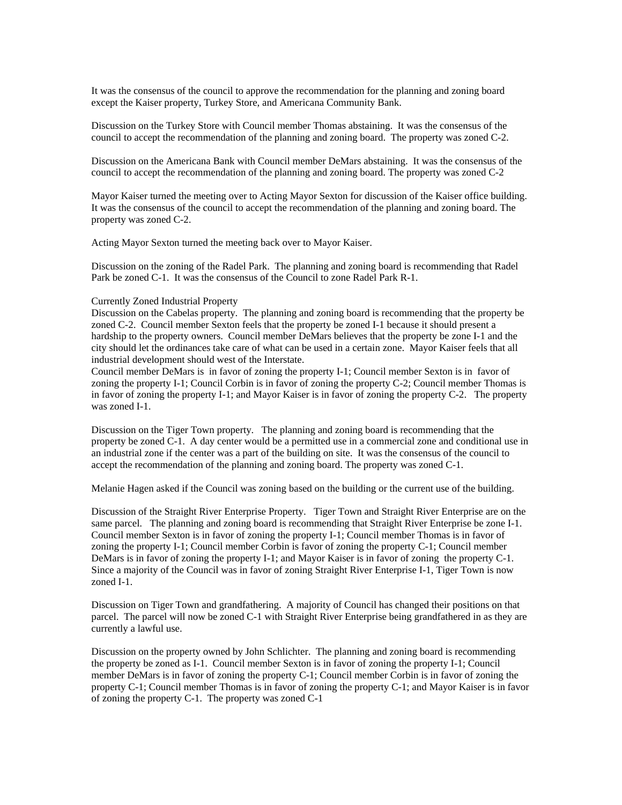It was the consensus of the council to approve the recommendation for the planning and zoning board except the Kaiser property, Turkey Store, and Americana Community Bank.

Discussion on the Turkey Store with Council member Thomas abstaining. It was the consensus of the council to accept the recommendation of the planning and zoning board. The property was zoned C-2.

Discussion on the Americana Bank with Council member DeMars abstaining. It was the consensus of the council to accept the recommendation of the planning and zoning board. The property was zoned C-2

Mayor Kaiser turned the meeting over to Acting Mayor Sexton for discussion of the Kaiser office building. It was the consensus of the council to accept the recommendation of the planning and zoning board. The property was zoned C-2.

Acting Mayor Sexton turned the meeting back over to Mayor Kaiser.

Discussion on the zoning of the Radel Park. The planning and zoning board is recommending that Radel Park be zoned C-1. It was the consensus of the Council to zone Radel Park R-1.

### Currently Zoned Industrial Property

Discussion on the Cabelas property. The planning and zoning board is recommending that the property be zoned C-2. Council member Sexton feels that the property be zoned I-1 because it should present a hardship to the property owners. Council member DeMars believes that the property be zone I-1 and the city should let the ordinances take care of what can be used in a certain zone. Mayor Kaiser feels that all industrial development should west of the Interstate.

Council member DeMars is in favor of zoning the property I-1; Council member Sexton is in favor of zoning the property I-1; Council Corbin is in favor of zoning the property C-2; Council member Thomas is in favor of zoning the property I-1; and Mayor Kaiser is in favor of zoning the property C-2. The property was zoned I-1.

Discussion on the Tiger Town property. The planning and zoning board is recommending that the property be zoned C-1. A day center would be a permitted use in a commercial zone and conditional use in an industrial zone if the center was a part of the building on site. It was the consensus of the council to accept the recommendation of the planning and zoning board. The property was zoned C-1.

Melanie Hagen asked if the Council was zoning based on the building or the current use of the building.

Discussion of the Straight River Enterprise Property. Tiger Town and Straight River Enterprise are on the same parcel. The planning and zoning board is recommending that Straight River Enterprise be zone I-1. Council member Sexton is in favor of zoning the property I-1; Council member Thomas is in favor of zoning the property I-1; Council member Corbin is favor of zoning the property C-1; Council member DeMars is in favor of zoning the property I-1; and Mayor Kaiser is in favor of zoning the property C-1. Since a majority of the Council was in favor of zoning Straight River Enterprise I-1, Tiger Town is now zoned I-1.

Discussion on Tiger Town and grandfathering. A majority of Council has changed their positions on that parcel. The parcel will now be zoned C-1 with Straight River Enterprise being grandfathered in as they are currently a lawful use.

Discussion on the property owned by John Schlichter. The planning and zoning board is recommending the property be zoned as I-1. Council member Sexton is in favor of zoning the property I-1; Council member DeMars is in favor of zoning the property C-1; Council member Corbin is in favor of zoning the property C-1; Council member Thomas is in favor of zoning the property C-1; and Mayor Kaiser is in favor of zoning the property C-1. The property was zoned C-1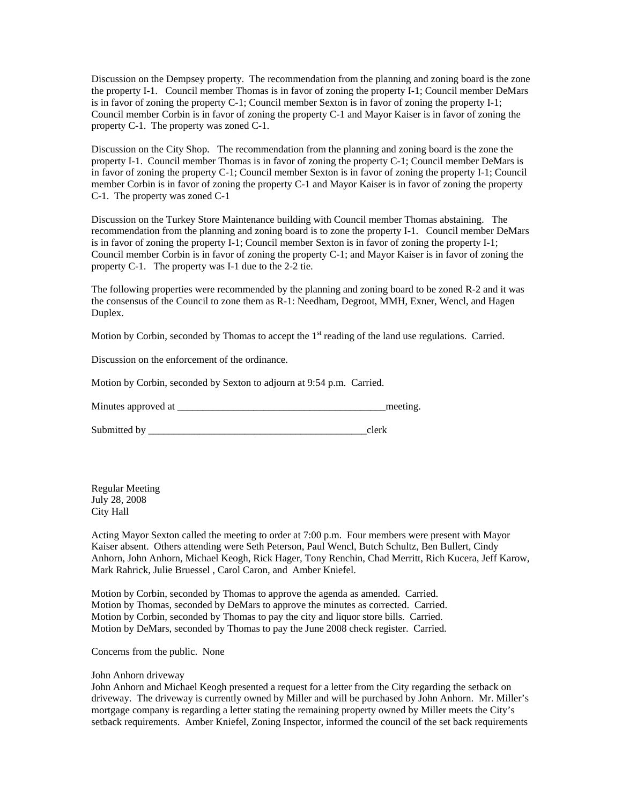Discussion on the Dempsey property. The recommendation from the planning and zoning board is the zone the property I-1. Council member Thomas is in favor of zoning the property I-1; Council member DeMars is in favor of zoning the property C-1; Council member Sexton is in favor of zoning the property I-1; Council member Corbin is in favor of zoning the property C-1 and Mayor Kaiser is in favor of zoning the property C-1. The property was zoned C-1.

Discussion on the City Shop. The recommendation from the planning and zoning board is the zone the property I-1. Council member Thomas is in favor of zoning the property C-1; Council member DeMars is in favor of zoning the property C-1; Council member Sexton is in favor of zoning the property I-1; Council member Corbin is in favor of zoning the property C-1 and Mayor Kaiser is in favor of zoning the property C-1. The property was zoned C-1

Discussion on the Turkey Store Maintenance building with Council member Thomas abstaining. The recommendation from the planning and zoning board is to zone the property I-1. Council member DeMars is in favor of zoning the property I-1; Council member Sexton is in favor of zoning the property I-1; Council member Corbin is in favor of zoning the property C-1; and Mayor Kaiser is in favor of zoning the property C-1. The property was I-1 due to the 2-2 tie.

The following properties were recommended by the planning and zoning board to be zoned R-2 and it was the consensus of the Council to zone them as R-1: Needham, Degroot, MMH, Exner, Wencl, and Hagen Duplex.

Motion by Corbin, seconded by Thomas to accept the  $1<sup>st</sup>$  reading of the land use regulations. Carried.

Discussion on the enforcement of the ordinance.

Motion by Corbin, seconded by Sexton to adjourn at 9:54 p.m. Carried.

Minutes approved at \_\_\_\_\_\_\_\_\_\_\_\_\_\_\_\_\_\_\_\_\_\_\_\_\_\_\_\_\_\_\_\_\_\_\_\_\_\_\_\_\_meeting.

Submitted by \_\_\_\_\_\_\_\_\_\_\_\_\_\_\_\_\_\_\_\_\_\_\_\_\_\_\_\_\_\_\_\_\_\_\_\_\_\_\_\_\_\_\_clerk

Regular Meeting July 28, 2008 City Hall

Acting Mayor Sexton called the meeting to order at 7:00 p.m. Four members were present with Mayor Kaiser absent. Others attending were Seth Peterson, Paul Wencl, Butch Schultz, Ben Bullert, Cindy Anhorn, John Anhorn, Michael Keogh, Rick Hager, Tony Renchin, Chad Merritt, Rich Kucera, Jeff Karow, Mark Rahrick, Julie Bruessel , Carol Caron, and Amber Kniefel.

Motion by Corbin, seconded by Thomas to approve the agenda as amended. Carried. Motion by Thomas, seconded by DeMars to approve the minutes as corrected. Carried. Motion by Corbin, seconded by Thomas to pay the city and liquor store bills. Carried. Motion by DeMars, seconded by Thomas to pay the June 2008 check register. Carried.

Concerns from the public. None

## John Anhorn driveway

John Anhorn and Michael Keogh presented a request for a letter from the City regarding the setback on driveway. The driveway is currently owned by Miller and will be purchased by John Anhorn. Mr. Miller's mortgage company is regarding a letter stating the remaining property owned by Miller meets the City's setback requirements. Amber Kniefel, Zoning Inspector, informed the council of the set back requirements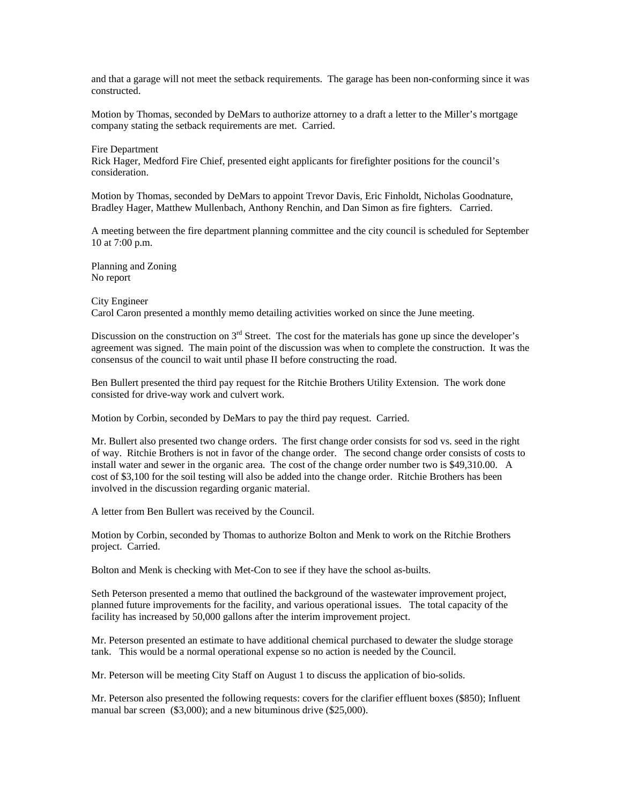and that a garage will not meet the setback requirements. The garage has been non-conforming since it was constructed.

Motion by Thomas, seconded by DeMars to authorize attorney to a draft a letter to the Miller's mortgage company stating the setback requirements are met. Carried.

Fire Department Rick Hager, Medford Fire Chief, presented eight applicants for firefighter positions for the council's consideration.

Motion by Thomas, seconded by DeMars to appoint Trevor Davis, Eric Finholdt, Nicholas Goodnature, Bradley Hager, Matthew Mullenbach, Anthony Renchin, and Dan Simon as fire fighters. Carried.

A meeting between the fire department planning committee and the city council is scheduled for September 10 at 7:00 p.m.

Planning and Zoning No report

#### City Engineer

Carol Caron presented a monthly memo detailing activities worked on since the June meeting.

Discussion on the construction on  $3<sup>rd</sup>$  Street. The cost for the materials has gone up since the developer's agreement was signed. The main point of the discussion was when to complete the construction. It was the consensus of the council to wait until phase II before constructing the road.

Ben Bullert presented the third pay request for the Ritchie Brothers Utility Extension. The work done consisted for drive-way work and culvert work.

Motion by Corbin, seconded by DeMars to pay the third pay request. Carried.

Mr. Bullert also presented two change orders. The first change order consists for sod vs. seed in the right of way. Ritchie Brothers is not in favor of the change order. The second change order consists of costs to install water and sewer in the organic area. The cost of the change order number two is \$49,310.00. A cost of \$3,100 for the soil testing will also be added into the change order. Ritchie Brothers has been involved in the discussion regarding organic material.

A letter from Ben Bullert was received by the Council.

Motion by Corbin, seconded by Thomas to authorize Bolton and Menk to work on the Ritchie Brothers project. Carried.

Bolton and Menk is checking with Met-Con to see if they have the school as-builts.

Seth Peterson presented a memo that outlined the background of the wastewater improvement project, planned future improvements for the facility, and various operational issues. The total capacity of the facility has increased by 50,000 gallons after the interim improvement project.

Mr. Peterson presented an estimate to have additional chemical purchased to dewater the sludge storage tank. This would be a normal operational expense so no action is needed by the Council.

Mr. Peterson will be meeting City Staff on August 1 to discuss the application of bio-solids.

Mr. Peterson also presented the following requests: covers for the clarifier effluent boxes (\$850); Influent manual bar screen (\$3,000); and a new bituminous drive (\$25,000).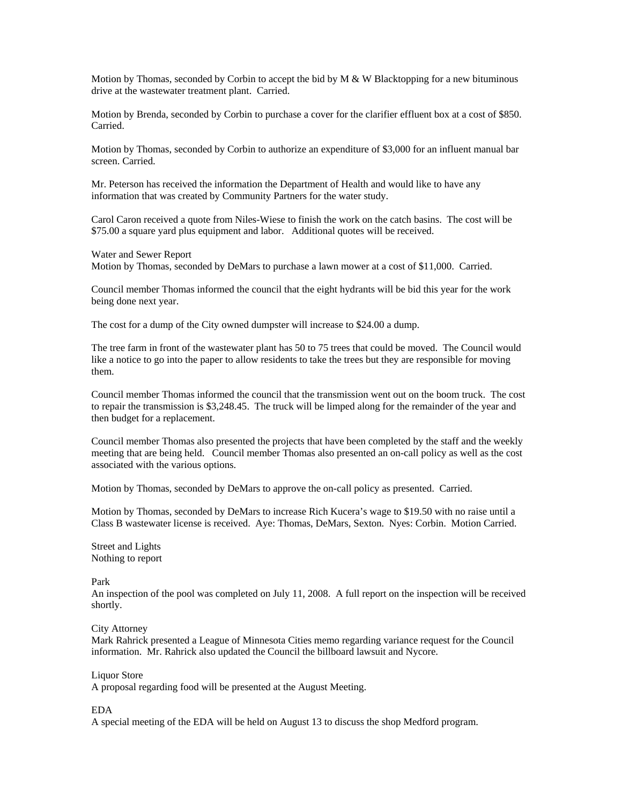Motion by Thomas, seconded by Corbin to accept the bid by  $M \& W$  Blacktopping for a new bituminous drive at the wastewater treatment plant. Carried.

Motion by Brenda, seconded by Corbin to purchase a cover for the clarifier effluent box at a cost of \$850. Carried.

Motion by Thomas, seconded by Corbin to authorize an expenditure of \$3,000 for an influent manual bar screen. Carried.

Mr. Peterson has received the information the Department of Health and would like to have any information that was created by Community Partners for the water study.

Carol Caron received a quote from Niles-Wiese to finish the work on the catch basins. The cost will be \$75.00 a square yard plus equipment and labor. Additional quotes will be received.

Water and Sewer Report Motion by Thomas, seconded by DeMars to purchase a lawn mower at a cost of \$11,000. Carried.

Council member Thomas informed the council that the eight hydrants will be bid this year for the work being done next year.

The cost for a dump of the City owned dumpster will increase to \$24.00 a dump.

The tree farm in front of the wastewater plant has 50 to 75 trees that could be moved. The Council would like a notice to go into the paper to allow residents to take the trees but they are responsible for moving them.

Council member Thomas informed the council that the transmission went out on the boom truck. The cost to repair the transmission is \$3,248.45. The truck will be limped along for the remainder of the year and then budget for a replacement.

Council member Thomas also presented the projects that have been completed by the staff and the weekly meeting that are being held. Council member Thomas also presented an on-call policy as well as the cost associated with the various options.

Motion by Thomas, seconded by DeMars to approve the on-call policy as presented. Carried.

Motion by Thomas, seconded by DeMars to increase Rich Kucera's wage to \$19.50 with no raise until a Class B wastewater license is received. Aye: Thomas, DeMars, Sexton. Nyes: Corbin. Motion Carried.

Street and Lights Nothing to report

Park

An inspection of the pool was completed on July 11, 2008. A full report on the inspection will be received shortly.

City Attorney

Mark Rahrick presented a League of Minnesota Cities memo regarding variance request for the Council information. Mr. Rahrick also updated the Council the billboard lawsuit and Nycore.

# Liquor Store

A proposal regarding food will be presented at the August Meeting.

### EDA

A special meeting of the EDA will be held on August 13 to discuss the shop Medford program.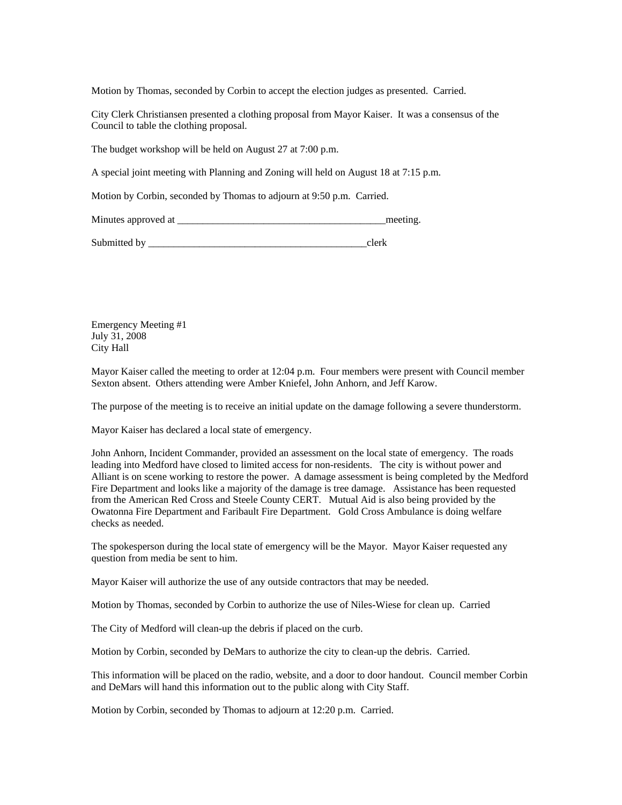Motion by Thomas, seconded by Corbin to accept the election judges as presented. Carried.

City Clerk Christiansen presented a clothing proposal from Mayor Kaiser. It was a consensus of the Council to table the clothing proposal.

The budget workshop will be held on August 27 at 7:00 p.m.

A special joint meeting with Planning and Zoning will held on August 18 at 7:15 p.m.

Motion by Corbin, seconded by Thomas to adjourn at 9:50 p.m. Carried.

Minutes approved at \_\_\_\_\_\_\_\_\_\_\_\_\_\_\_\_\_\_\_\_\_\_\_\_\_\_\_\_\_\_\_\_\_\_\_\_\_\_\_\_\_meeting.

Submitted by  $\qquad \qquad \text{clerk}$ 

Emergency Meeting #1 July 31, 2008 City Hall

Mayor Kaiser called the meeting to order at 12:04 p.m. Four members were present with Council member Sexton absent. Others attending were Amber Kniefel, John Anhorn, and Jeff Karow.

The purpose of the meeting is to receive an initial update on the damage following a severe thunderstorm.

Mayor Kaiser has declared a local state of emergency.

John Anhorn, Incident Commander, provided an assessment on the local state of emergency. The roads leading into Medford have closed to limited access for non-residents. The city is without power and Alliant is on scene working to restore the power. A damage assessment is being completed by the Medford Fire Department and looks like a majority of the damage is tree damage. Assistance has been requested from the American Red Cross and Steele County CERT. Mutual Aid is also being provided by the Owatonna Fire Department and Faribault Fire Department. Gold Cross Ambulance is doing welfare checks as needed.

The spokesperson during the local state of emergency will be the Mayor. Mayor Kaiser requested any question from media be sent to him.

Mayor Kaiser will authorize the use of any outside contractors that may be needed.

Motion by Thomas, seconded by Corbin to authorize the use of Niles-Wiese for clean up. Carried

The City of Medford will clean-up the debris if placed on the curb.

Motion by Corbin, seconded by DeMars to authorize the city to clean-up the debris. Carried.

This information will be placed on the radio, website, and a door to door handout. Council member Corbin and DeMars will hand this information out to the public along with City Staff.

Motion by Corbin, seconded by Thomas to adjourn at 12:20 p.m. Carried.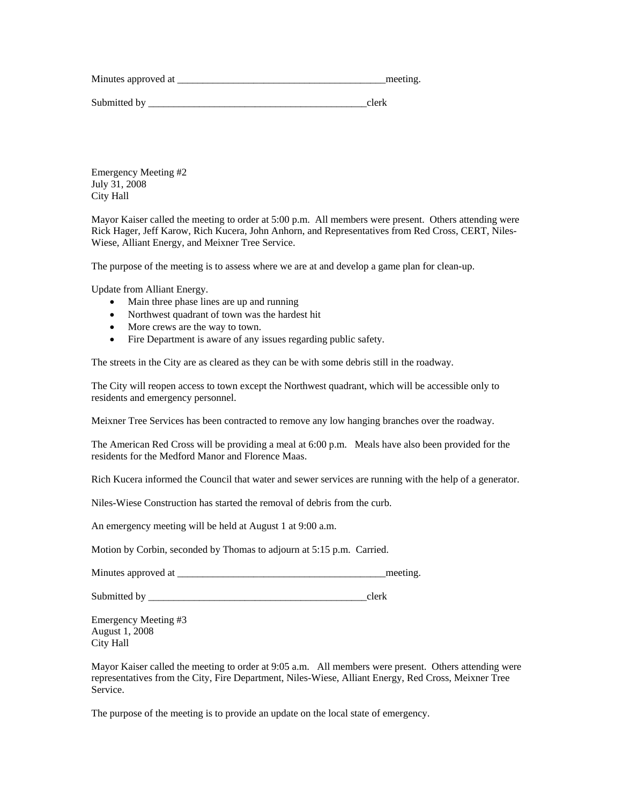Minutes approved at \_\_\_\_\_\_\_\_\_\_\_\_\_\_\_\_\_\_\_\_\_\_\_\_\_\_\_\_\_\_\_\_\_\_\_\_\_\_\_\_\_meeting.

Submitted by  $\qquad \qquad \text{clerk}$ 

Emergency Meeting #2 July 31, 2008 City Hall

Mayor Kaiser called the meeting to order at 5:00 p.m. All members were present. Others attending were Rick Hager, Jeff Karow, Rich Kucera, John Anhorn, and Representatives from Red Cross, CERT, Niles-Wiese, Alliant Energy, and Meixner Tree Service.

The purpose of the meeting is to assess where we are at and develop a game plan for clean-up.

Update from Alliant Energy.

- Main three phase lines are up and running
- Northwest quadrant of town was the hardest hit
- More crews are the way to town.
- Fire Department is aware of any issues regarding public safety.

The streets in the City are as cleared as they can be with some debris still in the roadway.

The City will reopen access to town except the Northwest quadrant, which will be accessible only to residents and emergency personnel.

Meixner Tree Services has been contracted to remove any low hanging branches over the roadway.

The American Red Cross will be providing a meal at 6:00 p.m. Meals have also been provided for the residents for the Medford Manor and Florence Maas.

Rich Kucera informed the Council that water and sewer services are running with the help of a generator.

Niles-Wiese Construction has started the removal of debris from the curb.

An emergency meeting will be held at August 1 at 9:00 a.m.

Motion by Corbin, seconded by Thomas to adjourn at 5:15 p.m. Carried.

Minutes approved at \_\_\_\_\_\_\_\_\_\_\_\_\_\_\_\_\_\_\_\_\_\_\_\_\_\_\_\_\_\_\_\_\_\_\_\_\_\_\_\_\_meeting.

Submitted by \_\_\_\_\_\_\_\_\_\_\_\_\_\_\_\_\_\_\_\_\_\_\_\_\_\_\_\_\_\_\_\_\_\_\_\_\_\_\_\_\_\_\_clerk

Emergency Meeting #3 August 1, 2008 City Hall

Mayor Kaiser called the meeting to order at 9:05 a.m. All members were present. Others attending were representatives from the City, Fire Department, Niles-Wiese, Alliant Energy, Red Cross, Meixner Tree Service.

The purpose of the meeting is to provide an update on the local state of emergency.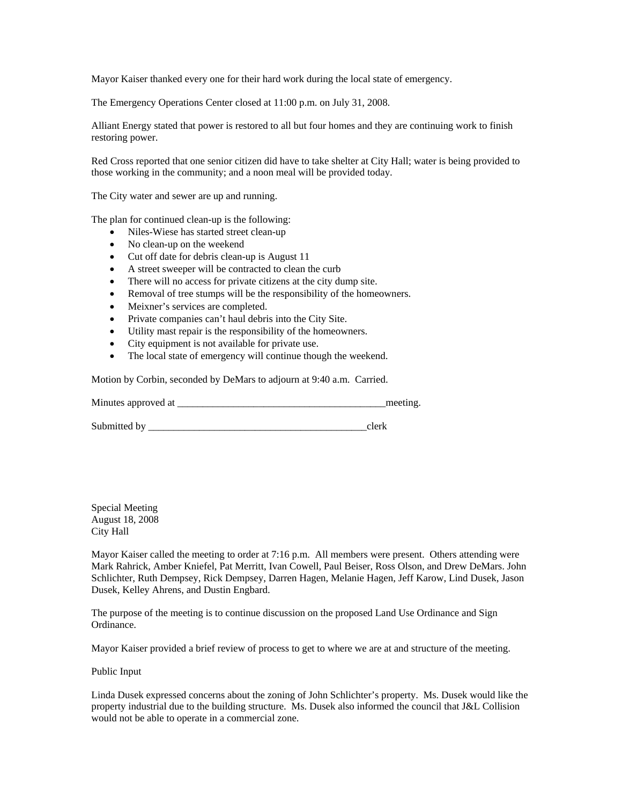Mayor Kaiser thanked every one for their hard work during the local state of emergency.

The Emergency Operations Center closed at 11:00 p.m. on July 31, 2008.

Alliant Energy stated that power is restored to all but four homes and they are continuing work to finish restoring power.

Red Cross reported that one senior citizen did have to take shelter at City Hall; water is being provided to those working in the community; and a noon meal will be provided today.

The City water and sewer are up and running.

The plan for continued clean-up is the following:

- Niles-Wiese has started street clean-up
- No clean-up on the weekend
- Cut off date for debris clean-up is August 11
- A street sweeper will be contracted to clean the curb
- There will no access for private citizens at the city dump site.
- Removal of tree stumps will be the responsibility of the homeowners.
- Meixner's services are completed.
- Private companies can't haul debris into the City Site.
- Utility mast repair is the responsibility of the homeowners.
- City equipment is not available for private use.
- The local state of emergency will continue though the weekend.

Motion by Corbin, seconded by DeMars to adjourn at 9:40 a.m. Carried.

Minutes approved at \_\_\_\_\_\_\_\_\_\_\_\_\_\_\_\_\_\_\_\_\_\_\_\_\_\_\_\_\_\_\_\_\_\_\_\_\_\_\_\_\_meeting.

Submitted by \_\_\_\_\_\_\_\_\_\_\_\_\_\_\_\_\_\_\_\_\_\_\_\_\_\_\_\_\_\_\_\_\_\_\_\_\_\_\_\_\_\_\_clerk

Special Meeting August 18, 2008 City Hall

Mayor Kaiser called the meeting to order at 7:16 p.m. All members were present. Others attending were Mark Rahrick, Amber Kniefel, Pat Merritt, Ivan Cowell, Paul Beiser, Ross Olson, and Drew DeMars. John Schlichter, Ruth Dempsey, Rick Dempsey, Darren Hagen, Melanie Hagen, Jeff Karow, Lind Dusek, Jason Dusek, Kelley Ahrens, and Dustin Engbard.

The purpose of the meeting is to continue discussion on the proposed Land Use Ordinance and Sign Ordinance.

Mayor Kaiser provided a brief review of process to get to where we are at and structure of the meeting.

Public Input

Linda Dusek expressed concerns about the zoning of John Schlichter's property. Ms. Dusek would like the property industrial due to the building structure. Ms. Dusek also informed the council that J&L Collision would not be able to operate in a commercial zone.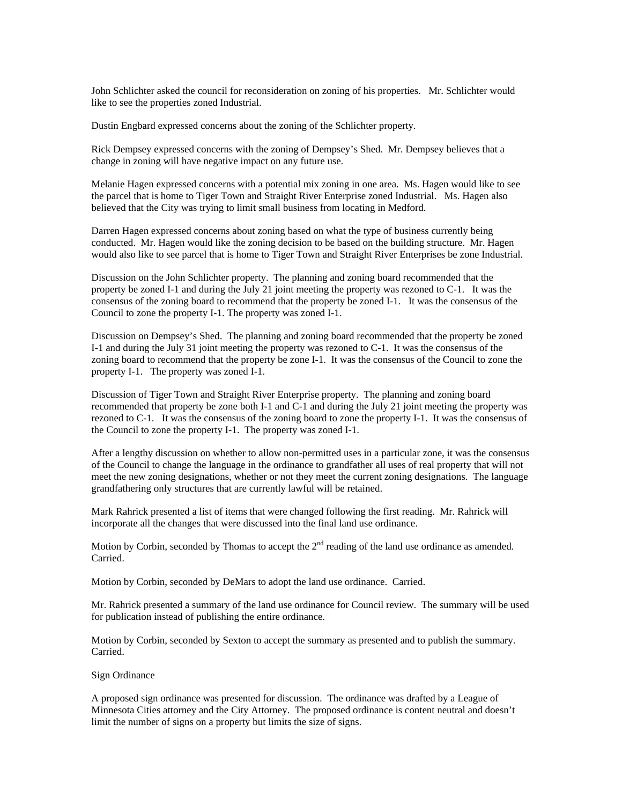John Schlichter asked the council for reconsideration on zoning of his properties. Mr. Schlichter would like to see the properties zoned Industrial.

Dustin Engbard expressed concerns about the zoning of the Schlichter property.

Rick Dempsey expressed concerns with the zoning of Dempsey's Shed. Mr. Dempsey believes that a change in zoning will have negative impact on any future use.

Melanie Hagen expressed concerns with a potential mix zoning in one area. Ms. Hagen would like to see the parcel that is home to Tiger Town and Straight River Enterprise zoned Industrial. Ms. Hagen also believed that the City was trying to limit small business from locating in Medford.

Darren Hagen expressed concerns about zoning based on what the type of business currently being conducted. Mr. Hagen would like the zoning decision to be based on the building structure. Mr. Hagen would also like to see parcel that is home to Tiger Town and Straight River Enterprises be zone Industrial.

Discussion on the John Schlichter property. The planning and zoning board recommended that the property be zoned I-1 and during the July 21 joint meeting the property was rezoned to C-1. It was the consensus of the zoning board to recommend that the property be zoned I-1. It was the consensus of the Council to zone the property I-1. The property was zoned I-1.

Discussion on Dempsey's Shed. The planning and zoning board recommended that the property be zoned I-1 and during the July 31 joint meeting the property was rezoned to C-1. It was the consensus of the zoning board to recommend that the property be zone I-1. It was the consensus of the Council to zone the property I-1. The property was zoned I-1.

Discussion of Tiger Town and Straight River Enterprise property. The planning and zoning board recommended that property be zone both I-1 and C-1 and during the July 21 joint meeting the property was rezoned to C-1. It was the consensus of the zoning board to zone the property I-1. It was the consensus of the Council to zone the property I-1. The property was zoned I-1.

After a lengthy discussion on whether to allow non-permitted uses in a particular zone, it was the consensus of the Council to change the language in the ordinance to grandfather all uses of real property that will not meet the new zoning designations, whether or not they meet the current zoning designations. The language grandfathering only structures that are currently lawful will be retained.

Mark Rahrick presented a list of items that were changed following the first reading. Mr. Rahrick will incorporate all the changes that were discussed into the final land use ordinance.

Motion by Corbin, seconded by Thomas to accept the  $2<sup>nd</sup>$  reading of the land use ordinance as amended. Carried.

Motion by Corbin, seconded by DeMars to adopt the land use ordinance. Carried.

Mr. Rahrick presented a summary of the land use ordinance for Council review. The summary will be used for publication instead of publishing the entire ordinance.

Motion by Corbin, seconded by Sexton to accept the summary as presented and to publish the summary. Carried.

Sign Ordinance

A proposed sign ordinance was presented for discussion. The ordinance was drafted by a League of Minnesota Cities attorney and the City Attorney. The proposed ordinance is content neutral and doesn't limit the number of signs on a property but limits the size of signs.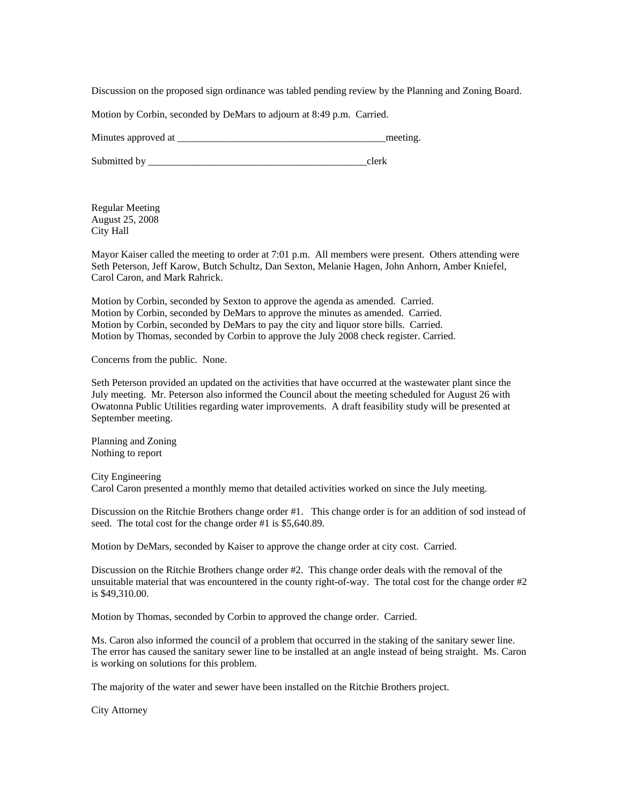Discussion on the proposed sign ordinance was tabled pending review by the Planning and Zoning Board.

Motion by Corbin, seconded by DeMars to adjourn at 8:49 p.m. Carried.

Minutes approved at the setting and the setting and the setting and the setting.

Submitted by \_\_\_\_\_\_\_\_\_\_\_\_\_\_\_\_\_\_\_\_\_\_\_\_\_\_\_\_\_\_\_\_\_\_\_\_\_\_\_\_\_\_\_clerk

Regular Meeting August 25, 2008 City Hall

Mayor Kaiser called the meeting to order at 7:01 p.m. All members were present. Others attending were Seth Peterson, Jeff Karow, Butch Schultz, Dan Sexton, Melanie Hagen, John Anhorn, Amber Kniefel, Carol Caron, and Mark Rahrick.

Motion by Corbin, seconded by Sexton to approve the agenda as amended. Carried. Motion by Corbin, seconded by DeMars to approve the minutes as amended. Carried. Motion by Corbin, seconded by DeMars to pay the city and liquor store bills. Carried. Motion by Thomas, seconded by Corbin to approve the July 2008 check register. Carried.

Concerns from the public. None.

Seth Peterson provided an updated on the activities that have occurred at the wastewater plant since the July meeting. Mr. Peterson also informed the Council about the meeting scheduled for August 26 with Owatonna Public Utilities regarding water improvements. A draft feasibility study will be presented at September meeting.

Planning and Zoning Nothing to report

City Engineering Carol Caron presented a monthly memo that detailed activities worked on since the July meeting.

Discussion on the Ritchie Brothers change order #1. This change order is for an addition of sod instead of seed. The total cost for the change order #1 is \$5,640.89.

Motion by DeMars, seconded by Kaiser to approve the change order at city cost. Carried.

Discussion on the Ritchie Brothers change order #2. This change order deals with the removal of the unsuitable material that was encountered in the county right-of-way. The total cost for the change order  $#2$ is \$49,310.00.

Motion by Thomas, seconded by Corbin to approved the change order. Carried.

Ms. Caron also informed the council of a problem that occurred in the staking of the sanitary sewer line. The error has caused the sanitary sewer line to be installed at an angle instead of being straight. Ms. Caron is working on solutions for this problem.

The majority of the water and sewer have been installed on the Ritchie Brothers project.

City Attorney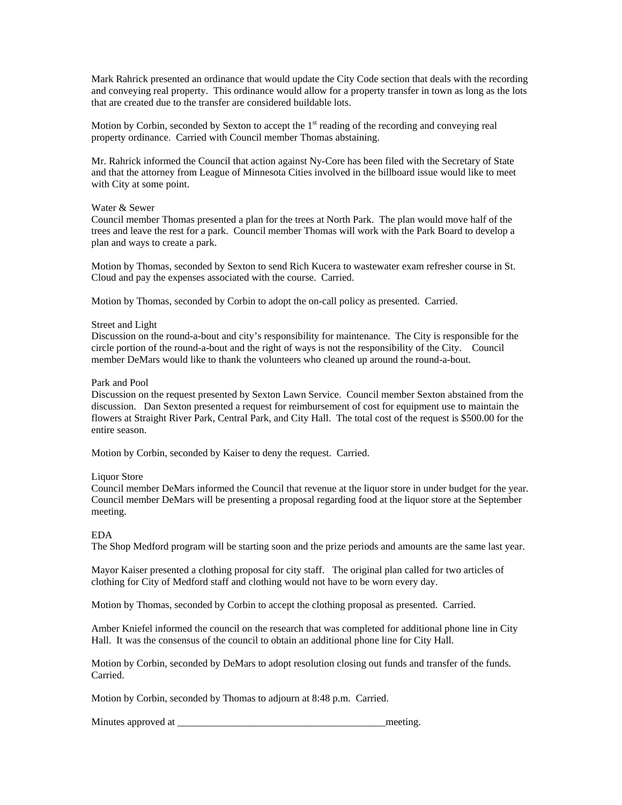Mark Rahrick presented an ordinance that would update the City Code section that deals with the recording and conveying real property. This ordinance would allow for a property transfer in town as long as the lots that are created due to the transfer are considered buildable lots.

Motion by Corbin, seconded by Sexton to accept the  $1<sup>st</sup>$  reading of the recording and conveying real property ordinance. Carried with Council member Thomas abstaining.

Mr. Rahrick informed the Council that action against Ny-Core has been filed with the Secretary of State and that the attorney from League of Minnesota Cities involved in the billboard issue would like to meet with City at some point.

### Water & Sewer

Council member Thomas presented a plan for the trees at North Park. The plan would move half of the trees and leave the rest for a park. Council member Thomas will work with the Park Board to develop a plan and ways to create a park.

Motion by Thomas, seconded by Sexton to send Rich Kucera to wastewater exam refresher course in St. Cloud and pay the expenses associated with the course. Carried.

Motion by Thomas, seconded by Corbin to adopt the on-call policy as presented. Carried.

### Street and Light

Discussion on the round-a-bout and city's responsibility for maintenance. The City is responsible for the circle portion of the round-a-bout and the right of ways is not the responsibility of the City. Council member DeMars would like to thank the volunteers who cleaned up around the round-a-bout.

### Park and Pool

Discussion on the request presented by Sexton Lawn Service. Council member Sexton abstained from the discussion. Dan Sexton presented a request for reimbursement of cost for equipment use to maintain the flowers at Straight River Park, Central Park, and City Hall. The total cost of the request is \$500.00 for the entire season.

Motion by Corbin, seconded by Kaiser to deny the request. Carried.

### Liquor Store

Council member DeMars informed the Council that revenue at the liquor store in under budget for the year. Council member DeMars will be presenting a proposal regarding food at the liquor store at the September meeting.

### EDA

The Shop Medford program will be starting soon and the prize periods and amounts are the same last year.

Mayor Kaiser presented a clothing proposal for city staff. The original plan called for two articles of clothing for City of Medford staff and clothing would not have to be worn every day.

Motion by Thomas, seconded by Corbin to accept the clothing proposal as presented. Carried.

Amber Kniefel informed the council on the research that was completed for additional phone line in City Hall. It was the consensus of the council to obtain an additional phone line for City Hall.

Motion by Corbin, seconded by DeMars to adopt resolution closing out funds and transfer of the funds. Carried.

Motion by Corbin, seconded by Thomas to adjourn at 8:48 p.m. Carried.

Minutes approved at \_\_\_\_\_\_\_\_\_\_\_\_\_\_\_\_\_\_\_\_\_\_\_\_\_\_\_\_\_\_\_\_\_\_\_\_\_\_\_\_\_meeting.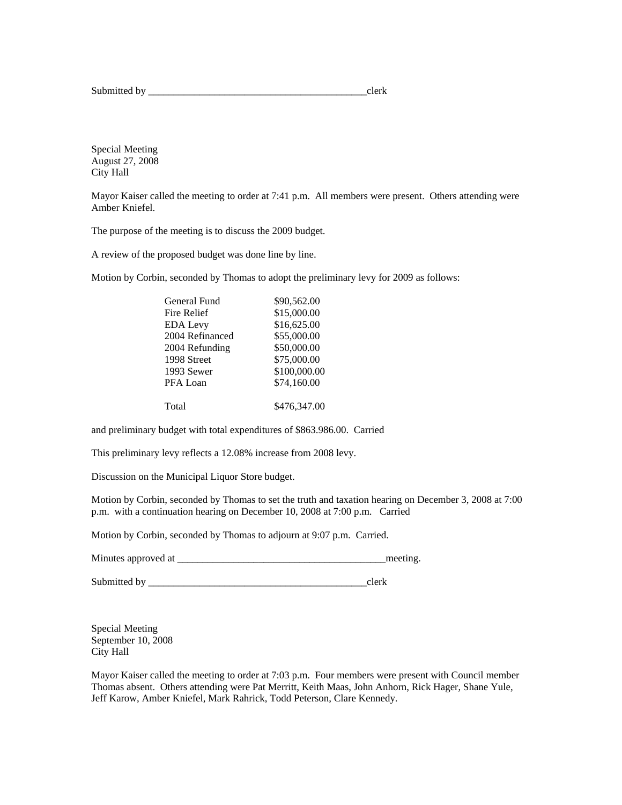Submitted by \_\_\_\_\_\_\_\_\_\_\_\_\_\_\_\_\_\_\_\_\_\_\_\_\_\_\_\_\_\_\_\_\_\_\_\_\_\_\_\_\_\_\_clerk

Special Meeting August 27, 2008 City Hall

Mayor Kaiser called the meeting to order at 7:41 p.m. All members were present. Others attending were Amber Kniefel.

The purpose of the meeting is to discuss the 2009 budget.

A review of the proposed budget was done line by line.

Motion by Corbin, seconded by Thomas to adopt the preliminary levy for 2009 as follows:

| General Fund    | \$90,562.00  |
|-----------------|--------------|
| Fire Relief     | \$15,000.00  |
| <b>EDA Levy</b> | \$16,625.00  |
| 2004 Refinanced | \$55,000.00  |
| 2004 Refunding  | \$50,000.00  |
| 1998 Street     | \$75,000.00  |
| 1993 Sewer      | \$100,000.00 |
| PFA Loan        | \$74,160.00  |
| Total           | \$476,347.00 |
|                 |              |

and preliminary budget with total expenditures of \$863.986.00. Carried

This preliminary levy reflects a 12.08% increase from 2008 levy.

Discussion on the Municipal Liquor Store budget.

Motion by Corbin, seconded by Thomas to set the truth and taxation hearing on December 3, 2008 at 7:00 p.m. with a continuation hearing on December 10, 2008 at 7:00 p.m. Carried

Motion by Corbin, seconded by Thomas to adjourn at 9:07 p.m. Carried.

Minutes approved at \_\_\_\_\_\_\_\_\_\_\_\_\_\_\_\_\_\_\_\_\_\_\_\_\_\_\_\_\_\_\_\_\_\_\_\_\_\_\_\_\_meeting.

Submitted by \_\_\_\_\_\_\_\_\_\_\_\_\_\_\_\_\_\_\_\_\_\_\_\_\_\_\_\_\_\_\_\_\_\_\_\_\_\_\_\_\_\_\_clerk

Special Meeting September 10, 2008 City Hall

Mayor Kaiser called the meeting to order at 7:03 p.m. Four members were present with Council member Thomas absent. Others attending were Pat Merritt, Keith Maas, John Anhorn, Rick Hager, Shane Yule, Jeff Karow, Amber Kniefel, Mark Rahrick, Todd Peterson, Clare Kennedy.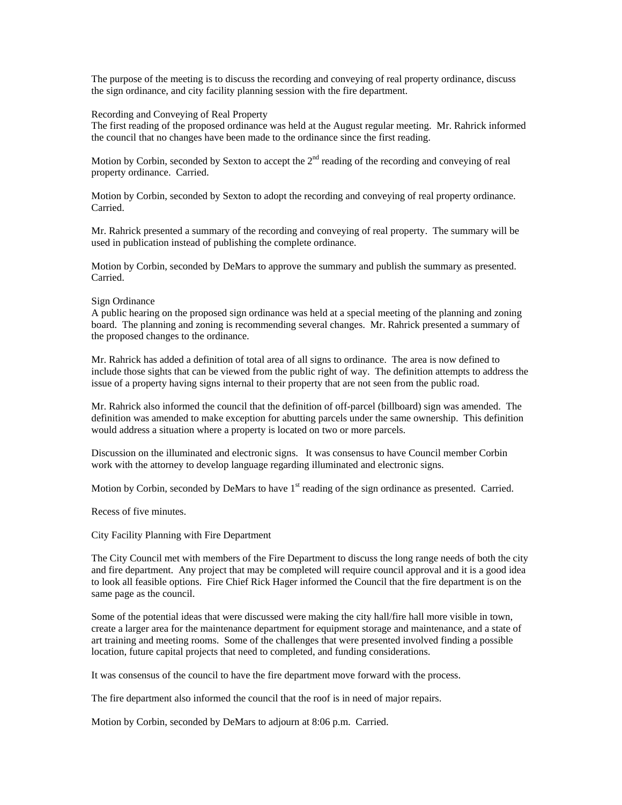The purpose of the meeting is to discuss the recording and conveying of real property ordinance, discuss the sign ordinance, and city facility planning session with the fire department.

### Recording and Conveying of Real Property

The first reading of the proposed ordinance was held at the August regular meeting. Mr. Rahrick informed the council that no changes have been made to the ordinance since the first reading.

Motion by Corbin, seconded by Sexton to accept the  $2<sup>nd</sup>$  reading of the recording and conveying of real property ordinance. Carried.

Motion by Corbin, seconded by Sexton to adopt the recording and conveying of real property ordinance. Carried.

Mr. Rahrick presented a summary of the recording and conveying of real property. The summary will be used in publication instead of publishing the complete ordinance.

Motion by Corbin, seconded by DeMars to approve the summary and publish the summary as presented. Carried.

## Sign Ordinance

A public hearing on the proposed sign ordinance was held at a special meeting of the planning and zoning board. The planning and zoning is recommending several changes. Mr. Rahrick presented a summary of the proposed changes to the ordinance.

Mr. Rahrick has added a definition of total area of all signs to ordinance. The area is now defined to include those sights that can be viewed from the public right of way. The definition attempts to address the issue of a property having signs internal to their property that are not seen from the public road.

Mr. Rahrick also informed the council that the definition of off-parcel (billboard) sign was amended. The definition was amended to make exception for abutting parcels under the same ownership. This definition would address a situation where a property is located on two or more parcels.

Discussion on the illuminated and electronic signs. It was consensus to have Council member Corbin work with the attorney to develop language regarding illuminated and electronic signs.

Motion by Corbin, seconded by DeMars to have  $1<sup>st</sup>$  reading of the sign ordinance as presented. Carried.

Recess of five minutes.

City Facility Planning with Fire Department

The City Council met with members of the Fire Department to discuss the long range needs of both the city and fire department. Any project that may be completed will require council approval and it is a good idea to look all feasible options. Fire Chief Rick Hager informed the Council that the fire department is on the same page as the council.

Some of the potential ideas that were discussed were making the city hall/fire hall more visible in town, create a larger area for the maintenance department for equipment storage and maintenance, and a state of art training and meeting rooms. Some of the challenges that were presented involved finding a possible location, future capital projects that need to completed, and funding considerations.

It was consensus of the council to have the fire department move forward with the process.

The fire department also informed the council that the roof is in need of major repairs.

Motion by Corbin, seconded by DeMars to adjourn at 8:06 p.m. Carried.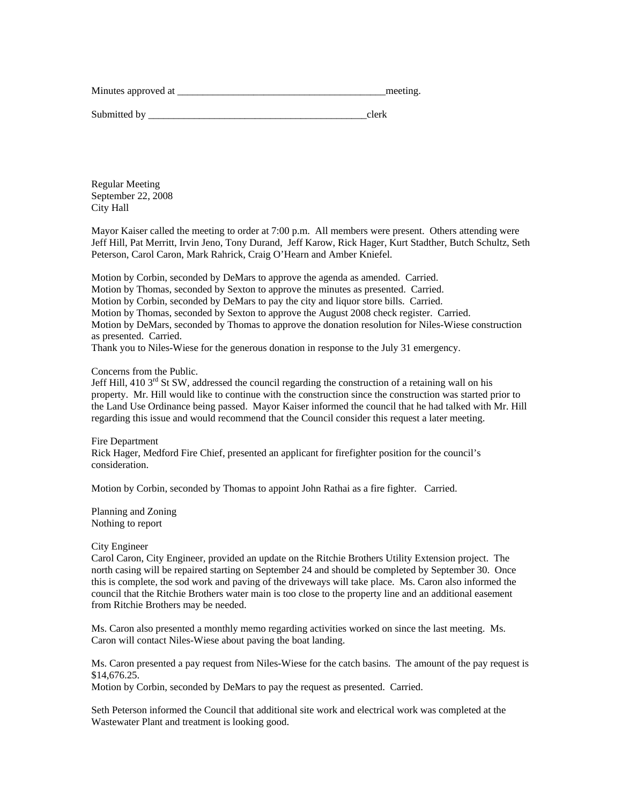| Minutes approved at | meeting. |
|---------------------|----------|
|                     |          |

Submitted by  $\Box$ 

Regular Meeting September 22, 2008 City Hall

Mayor Kaiser called the meeting to order at 7:00 p.m. All members were present. Others attending were Jeff Hill, Pat Merritt, Irvin Jeno, Tony Durand, Jeff Karow, Rick Hager, Kurt Stadther, Butch Schultz, Seth Peterson, Carol Caron, Mark Rahrick, Craig O'Hearn and Amber Kniefel.

Motion by Corbin, seconded by DeMars to approve the agenda as amended. Carried. Motion by Thomas, seconded by Sexton to approve the minutes as presented. Carried. Motion by Corbin, seconded by DeMars to pay the city and liquor store bills. Carried. Motion by Thomas, seconded by Sexton to approve the August 2008 check register. Carried. Motion by DeMars, seconded by Thomas to approve the donation resolution for Niles-Wiese construction as presented. Carried. Thank you to Niles-Wiese for the generous donation in response to the July 31 emergency.

### Concerns from the Public.

Jeff Hill, 410 3<sup>rd</sup> St SW, addressed the council regarding the construction of a retaining wall on his property. Mr. Hill would like to continue with the construction since the construction was started prior to the Land Use Ordinance being passed. Mayor Kaiser informed the council that he had talked with Mr. Hill regarding this issue and would recommend that the Council consider this request a later meeting.

Fire Department Rick Hager, Medford Fire Chief, presented an applicant for firefighter position for the council's consideration.

Motion by Corbin, seconded by Thomas to appoint John Rathai as a fire fighter. Carried.

Planning and Zoning Nothing to report

### City Engineer

Carol Caron, City Engineer, provided an update on the Ritchie Brothers Utility Extension project. The north casing will be repaired starting on September 24 and should be completed by September 30. Once this is complete, the sod work and paving of the driveways will take place. Ms. Caron also informed the council that the Ritchie Brothers water main is too close to the property line and an additional easement from Ritchie Brothers may be needed.

Ms. Caron also presented a monthly memo regarding activities worked on since the last meeting. Ms. Caron will contact Niles-Wiese about paving the boat landing.

Ms. Caron presented a pay request from Niles-Wiese for the catch basins. The amount of the pay request is \$14,676.25.

Motion by Corbin, seconded by DeMars to pay the request as presented. Carried.

Seth Peterson informed the Council that additional site work and electrical work was completed at the Wastewater Plant and treatment is looking good.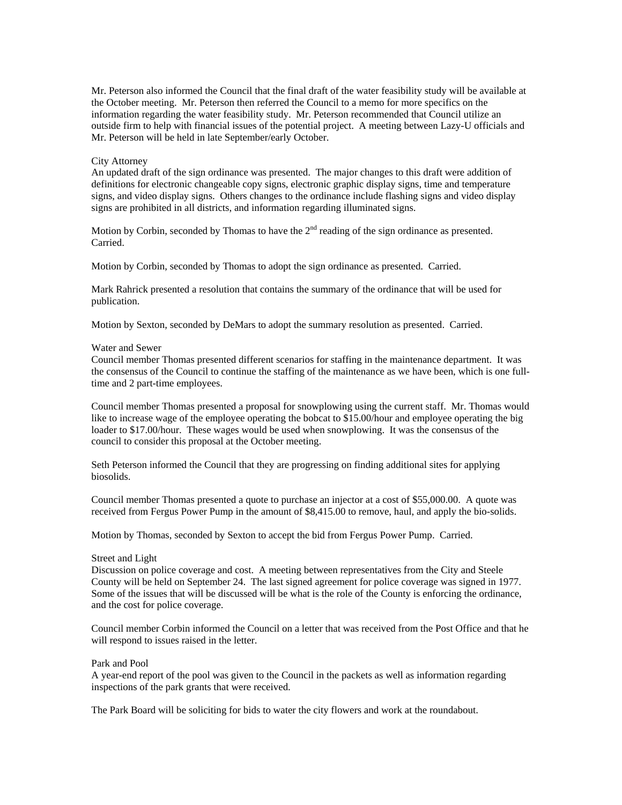Mr. Peterson also informed the Council that the final draft of the water feasibility study will be available at the October meeting. Mr. Peterson then referred the Council to a memo for more specifics on the information regarding the water feasibility study. Mr. Peterson recommended that Council utilize an outside firm to help with financial issues of the potential project. A meeting between Lazy-U officials and Mr. Peterson will be held in late September/early October.

### City Attorney

An updated draft of the sign ordinance was presented. The major changes to this draft were addition of definitions for electronic changeable copy signs, electronic graphic display signs, time and temperature signs, and video display signs. Others changes to the ordinance include flashing signs and video display signs are prohibited in all districts, and information regarding illuminated signs.

Motion by Corbin, seconded by Thomas to have the  $2<sup>nd</sup>$  reading of the sign ordinance as presented. Carried.

Motion by Corbin, seconded by Thomas to adopt the sign ordinance as presented. Carried.

Mark Rahrick presented a resolution that contains the summary of the ordinance that will be used for publication.

Motion by Sexton, seconded by DeMars to adopt the summary resolution as presented. Carried.

### Water and Sewer

Council member Thomas presented different scenarios for staffing in the maintenance department. It was the consensus of the Council to continue the staffing of the maintenance as we have been, which is one fulltime and 2 part-time employees.

Council member Thomas presented a proposal for snowplowing using the current staff. Mr. Thomas would like to increase wage of the employee operating the bobcat to \$15.00/hour and employee operating the big loader to \$17.00/hour. These wages would be used when snowplowing. It was the consensus of the council to consider this proposal at the October meeting.

Seth Peterson informed the Council that they are progressing on finding additional sites for applying biosolids.

Council member Thomas presented a quote to purchase an injector at a cost of \$55,000.00. A quote was received from Fergus Power Pump in the amount of \$8,415.00 to remove, haul, and apply the bio-solids.

Motion by Thomas, seconded by Sexton to accept the bid from Fergus Power Pump. Carried.

### Street and Light

Discussion on police coverage and cost. A meeting between representatives from the City and Steele County will be held on September 24. The last signed agreement for police coverage was signed in 1977. Some of the issues that will be discussed will be what is the role of the County is enforcing the ordinance, and the cost for police coverage.

Council member Corbin informed the Council on a letter that was received from the Post Office and that he will respond to issues raised in the letter.

### Park and Pool

A year-end report of the pool was given to the Council in the packets as well as information regarding inspections of the park grants that were received.

The Park Board will be soliciting for bids to water the city flowers and work at the roundabout.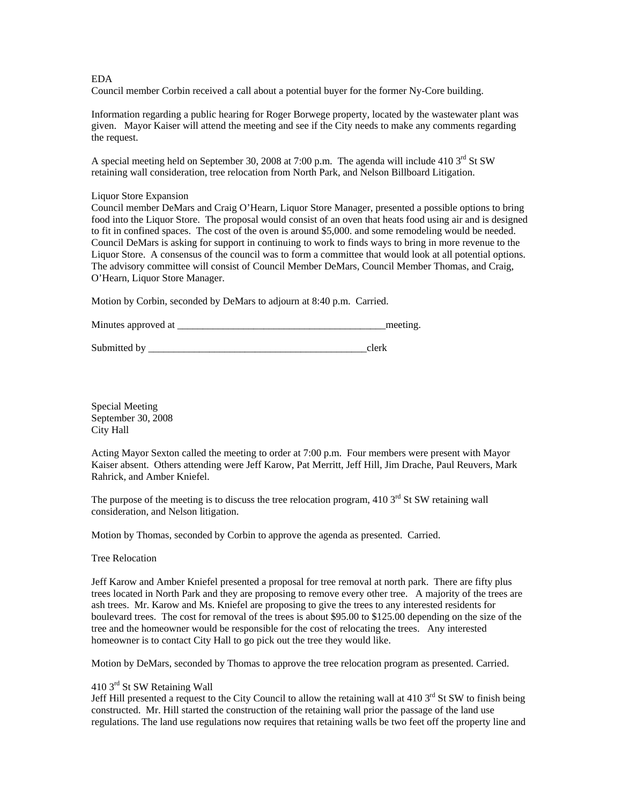# EDA

Council member Corbin received a call about a potential buyer for the former Ny-Core building.

Information regarding a public hearing for Roger Borwege property, located by the wastewater plant was given. Mayor Kaiser will attend the meeting and see if the City needs to make any comments regarding the request.

A special meeting held on September 30, 2008 at 7:00 p.m. The agenda will include 410 3<sup>rd</sup> St SW retaining wall consideration, tree relocation from North Park, and Nelson Billboard Litigation.

### Liquor Store Expansion

Council member DeMars and Craig O'Hearn, Liquor Store Manager, presented a possible options to bring food into the Liquor Store. The proposal would consist of an oven that heats food using air and is designed to fit in confined spaces. The cost of the oven is around \$5,000. and some remodeling would be needed. Council DeMars is asking for support in continuing to work to finds ways to bring in more revenue to the Liquor Store. A consensus of the council was to form a committee that would look at all potential options. The advisory committee will consist of Council Member DeMars, Council Member Thomas, and Craig, O'Hearn, Liquor Store Manager.

Motion by Corbin, seconded by DeMars to adjourn at 8:40 p.m. Carried.

Minutes approved at the setting and the setting meeting.

Submitted by \_\_\_\_\_\_\_\_\_\_\_\_\_\_\_\_\_\_\_\_\_\_\_\_\_\_\_\_\_\_\_\_\_\_\_\_\_\_\_\_\_\_\_clerk

Special Meeting September 30, 2008 City Hall

Acting Mayor Sexton called the meeting to order at 7:00 p.m. Four members were present with Mayor Kaiser absent. Others attending were Jeff Karow, Pat Merritt, Jeff Hill, Jim Drache, Paul Reuvers, Mark Rahrick, and Amber Kniefel.

The purpose of the meeting is to discuss the tree relocation program, 410  $3<sup>rd</sup>$  St SW retaining wall consideration, and Nelson litigation.

Motion by Thomas, seconded by Corbin to approve the agenda as presented. Carried.

Tree Relocation

Jeff Karow and Amber Kniefel presented a proposal for tree removal at north park. There are fifty plus trees located in North Park and they are proposing to remove every other tree. A majority of the trees are ash trees. Mr. Karow and Ms. Kniefel are proposing to give the trees to any interested residents for boulevard trees. The cost for removal of the trees is about \$95.00 to \$125.00 depending on the size of the tree and the homeowner would be responsible for the cost of relocating the trees. Any interested homeowner is to contact City Hall to go pick out the tree they would like.

Motion by DeMars, seconded by Thomas to approve the tree relocation program as presented. Carried.

# 410 3<sup>rd</sup> St SW Retaining Wall

Jeff Hill presented a request to the City Council to allow the retaining wall at 410  $3<sup>rd</sup>$  St SW to finish being constructed. Mr. Hill started the construction of the retaining wall prior the passage of the land use regulations. The land use regulations now requires that retaining walls be two feet off the property line and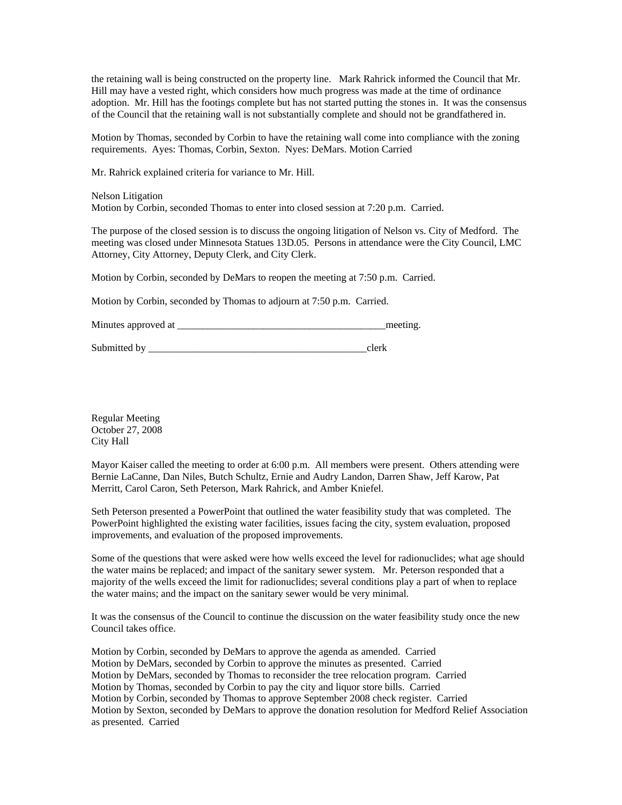the retaining wall is being constructed on the property line. Mark Rahrick informed the Council that Mr. Hill may have a vested right, which considers how much progress was made at the time of ordinance adoption. Mr. Hill has the footings complete but has not started putting the stones in. It was the consensus of the Council that the retaining wall is not substantially complete and should not be grandfathered in.

Motion by Thomas, seconded by Corbin to have the retaining wall come into compliance with the zoning requirements. Ayes: Thomas, Corbin, Sexton. Nyes: DeMars. Motion Carried

Mr. Rahrick explained criteria for variance to Mr. Hill.

Nelson Litigation Motion by Corbin, seconded Thomas to enter into closed session at 7:20 p.m. Carried.

The purpose of the closed session is to discuss the ongoing litigation of Nelson vs. City of Medford. The meeting was closed under Minnesota Statues 13D.05. Persons in attendance were the City Council, LMC Attorney, City Attorney, Deputy Clerk, and City Clerk.

Motion by Corbin, seconded by DeMars to reopen the meeting at 7:50 p.m. Carried.

Motion by Corbin, seconded by Thomas to adjourn at 7:50 p.m. Carried.

Minutes approved at the setting and the setting and the setting.

Submitted by \_\_\_\_\_\_\_\_\_\_\_\_\_\_\_\_\_\_\_\_\_\_\_\_\_\_\_\_\_\_\_\_\_\_\_\_\_\_\_\_\_\_\_clerk

Regular Meeting October 27, 2008 City Hall

Mayor Kaiser called the meeting to order at 6:00 p.m. All members were present. Others attending were Bernie LaCanne, Dan Niles, Butch Schultz, Ernie and Audry Landon, Darren Shaw, Jeff Karow, Pat Merritt, Carol Caron, Seth Peterson, Mark Rahrick, and Amber Kniefel.

Seth Peterson presented a PowerPoint that outlined the water feasibility study that was completed. The PowerPoint highlighted the existing water facilities, issues facing the city, system evaluation, proposed improvements, and evaluation of the proposed improvements.

Some of the questions that were asked were how wells exceed the level for radionuclides; what age should the water mains be replaced; and impact of the sanitary sewer system. Mr. Peterson responded that a majority of the wells exceed the limit for radionuclides; several conditions play a part of when to replace the water mains; and the impact on the sanitary sewer would be very minimal.

It was the consensus of the Council to continue the discussion on the water feasibility study once the new Council takes office.

Motion by Corbin, seconded by DeMars to approve the agenda as amended. Carried Motion by DeMars, seconded by Corbin to approve the minutes as presented. Carried Motion by DeMars, seconded by Thomas to reconsider the tree relocation program. Carried Motion by Thomas, seconded by Corbin to pay the city and liquor store bills. Carried Motion by Corbin, seconded by Thomas to approve September 2008 check register. Carried Motion by Sexton, seconded by DeMars to approve the donation resolution for Medford Relief Association as presented. Carried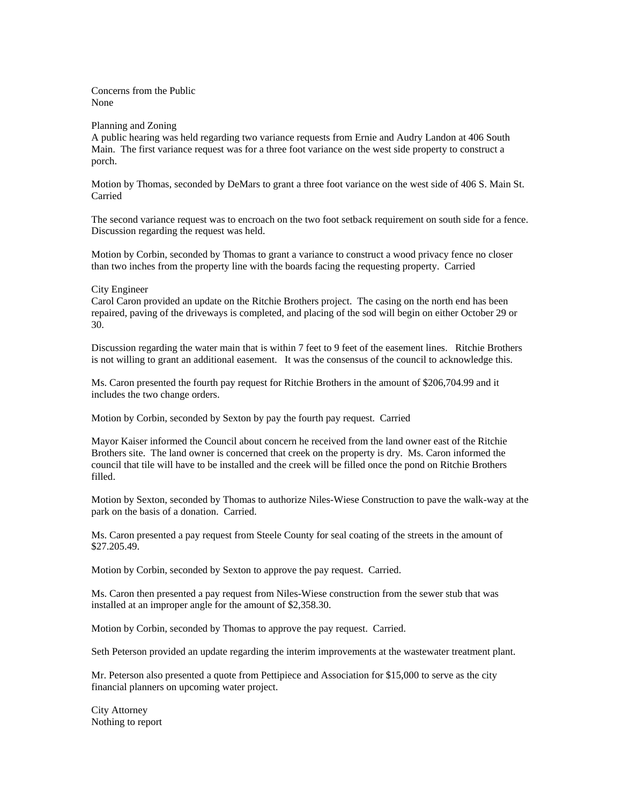Concerns from the Public None

### Planning and Zoning

A public hearing was held regarding two variance requests from Ernie and Audry Landon at 406 South Main. The first variance request was for a three foot variance on the west side property to construct a porch.

Motion by Thomas, seconded by DeMars to grant a three foot variance on the west side of 406 S. Main St. Carried

The second variance request was to encroach on the two foot setback requirement on south side for a fence. Discussion regarding the request was held.

Motion by Corbin, seconded by Thomas to grant a variance to construct a wood privacy fence no closer than two inches from the property line with the boards facing the requesting property. Carried

### City Engineer

Carol Caron provided an update on the Ritchie Brothers project. The casing on the north end has been repaired, paving of the driveways is completed, and placing of the sod will begin on either October 29 or 30.

Discussion regarding the water main that is within 7 feet to 9 feet of the easement lines. Ritchie Brothers is not willing to grant an additional easement. It was the consensus of the council to acknowledge this.

Ms. Caron presented the fourth pay request for Ritchie Brothers in the amount of \$206,704.99 and it includes the two change orders.

Motion by Corbin, seconded by Sexton by pay the fourth pay request. Carried

Mayor Kaiser informed the Council about concern he received from the land owner east of the Ritchie Brothers site. The land owner is concerned that creek on the property is dry. Ms. Caron informed the council that tile will have to be installed and the creek will be filled once the pond on Ritchie Brothers filled.

Motion by Sexton, seconded by Thomas to authorize Niles-Wiese Construction to pave the walk-way at the park on the basis of a donation. Carried.

Ms. Caron presented a pay request from Steele County for seal coating of the streets in the amount of \$27.205.49.

Motion by Corbin, seconded by Sexton to approve the pay request. Carried.

Ms. Caron then presented a pay request from Niles-Wiese construction from the sewer stub that was installed at an improper angle for the amount of \$2,358.30.

Motion by Corbin, seconded by Thomas to approve the pay request. Carried.

Seth Peterson provided an update regarding the interim improvements at the wastewater treatment plant.

Mr. Peterson also presented a quote from Pettipiece and Association for \$15,000 to serve as the city financial planners on upcoming water project.

City Attorney Nothing to report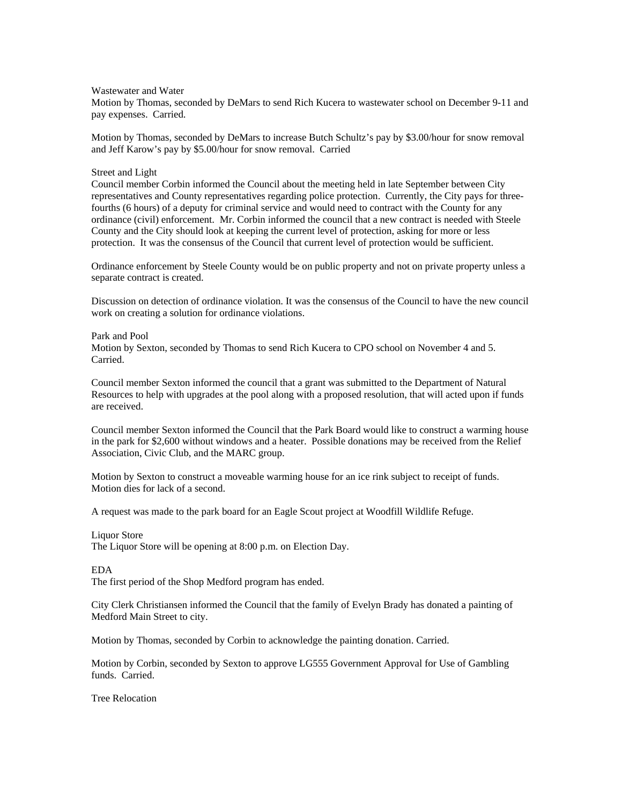Wastewater and Water

Motion by Thomas, seconded by DeMars to send Rich Kucera to wastewater school on December 9-11 and pay expenses. Carried.

Motion by Thomas, seconded by DeMars to increase Butch Schultz's pay by \$3.00/hour for snow removal and Jeff Karow's pay by \$5.00/hour for snow removal. Carried

### Street and Light

Council member Corbin informed the Council about the meeting held in late September between City representatives and County representatives regarding police protection. Currently, the City pays for threefourths (6 hours) of a deputy for criminal service and would need to contract with the County for any ordinance (civil) enforcement. Mr. Corbin informed the council that a new contract is needed with Steele County and the City should look at keeping the current level of protection, asking for more or less protection. It was the consensus of the Council that current level of protection would be sufficient.

Ordinance enforcement by Steele County would be on public property and not on private property unless a separate contract is created.

Discussion on detection of ordinance violation. It was the consensus of the Council to have the new council work on creating a solution for ordinance violations.

Park and Pool Motion by Sexton, seconded by Thomas to send Rich Kucera to CPO school on November 4 and 5. Carried.

Council member Sexton informed the council that a grant was submitted to the Department of Natural Resources to help with upgrades at the pool along with a proposed resolution, that will acted upon if funds are received.

Council member Sexton informed the Council that the Park Board would like to construct a warming house in the park for \$2,600 without windows and a heater. Possible donations may be received from the Relief Association, Civic Club, and the MARC group.

Motion by Sexton to construct a moveable warming house for an ice rink subject to receipt of funds. Motion dies for lack of a second.

A request was made to the park board for an Eagle Scout project at Woodfill Wildlife Refuge.

#### Liquor Store

The Liquor Store will be opening at 8:00 p.m. on Election Day.

### EDA

The first period of the Shop Medford program has ended.

City Clerk Christiansen informed the Council that the family of Evelyn Brady has donated a painting of Medford Main Street to city.

Motion by Thomas, seconded by Corbin to acknowledge the painting donation. Carried.

Motion by Corbin, seconded by Sexton to approve LG555 Government Approval for Use of Gambling funds. Carried.

Tree Relocation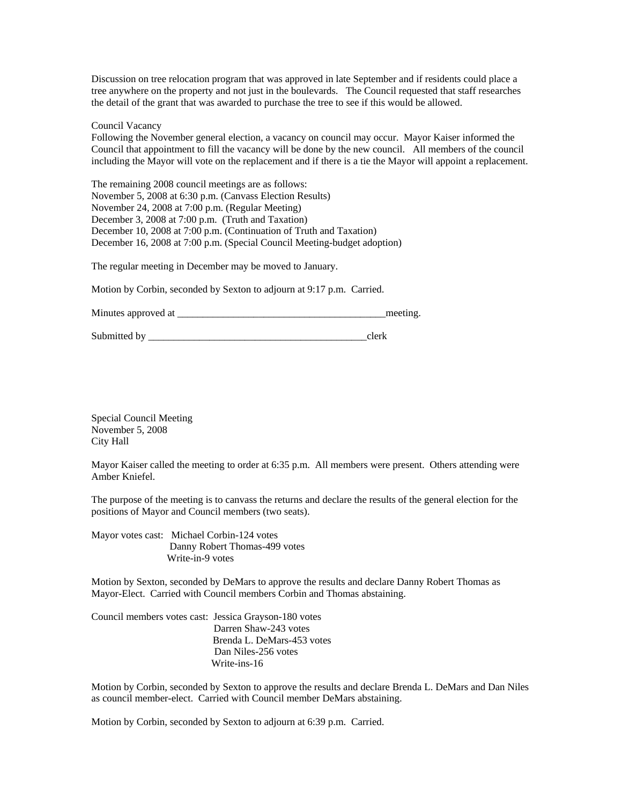Discussion on tree relocation program that was approved in late September and if residents could place a tree anywhere on the property and not just in the boulevards. The Council requested that staff researches the detail of the grant that was awarded to purchase the tree to see if this would be allowed.

Council Vacancy

Following the November general election, a vacancy on council may occur. Mayor Kaiser informed the Council that appointment to fill the vacancy will be done by the new council. All members of the council including the Mayor will vote on the replacement and if there is a tie the Mayor will appoint a replacement.

The remaining 2008 council meetings are as follows: November 5, 2008 at 6:30 p.m. (Canvass Election Results) November 24, 2008 at 7:00 p.m. (Regular Meeting) December 3, 2008 at 7:00 p.m. (Truth and Taxation) December 10, 2008 at 7:00 p.m. (Continuation of Truth and Taxation) December 16, 2008 at 7:00 p.m. (Special Council Meeting-budget adoption)

The regular meeting in December may be moved to January.

Motion by Corbin, seconded by Sexton to adjourn at 9:17 p.m. Carried.

Minutes approved at \_\_\_\_\_\_\_\_\_\_\_\_\_\_\_\_\_\_\_\_\_\_\_\_\_\_\_\_\_\_\_\_\_\_\_\_\_\_\_\_\_meeting.

Submitted by \_\_\_\_\_\_\_\_\_\_\_\_\_\_\_\_\_\_\_\_\_\_\_\_\_\_\_\_\_\_\_\_\_\_\_\_\_\_\_\_\_\_\_clerk

Special Council Meeting November 5, 2008 City Hall

Mayor Kaiser called the meeting to order at 6:35 p.m. All members were present. Others attending were Amber Kniefel.

The purpose of the meeting is to canvass the returns and declare the results of the general election for the positions of Mayor and Council members (two seats).

Mayor votes cast: Michael Corbin-124 votes Danny Robert Thomas-499 votes Write-in-9 votes

Motion by Sexton, seconded by DeMars to approve the results and declare Danny Robert Thomas as Mayor-Elect. Carried with Council members Corbin and Thomas abstaining.

Council members votes cast: Jessica Grayson-180 votes Darren Shaw-243 votes Brenda L. DeMars-453 votes Dan Niles-256 votes Write-ins-16

Motion by Corbin, seconded by Sexton to approve the results and declare Brenda L. DeMars and Dan Niles as council member-elect. Carried with Council member DeMars abstaining.

Motion by Corbin, seconded by Sexton to adjourn at 6:39 p.m. Carried.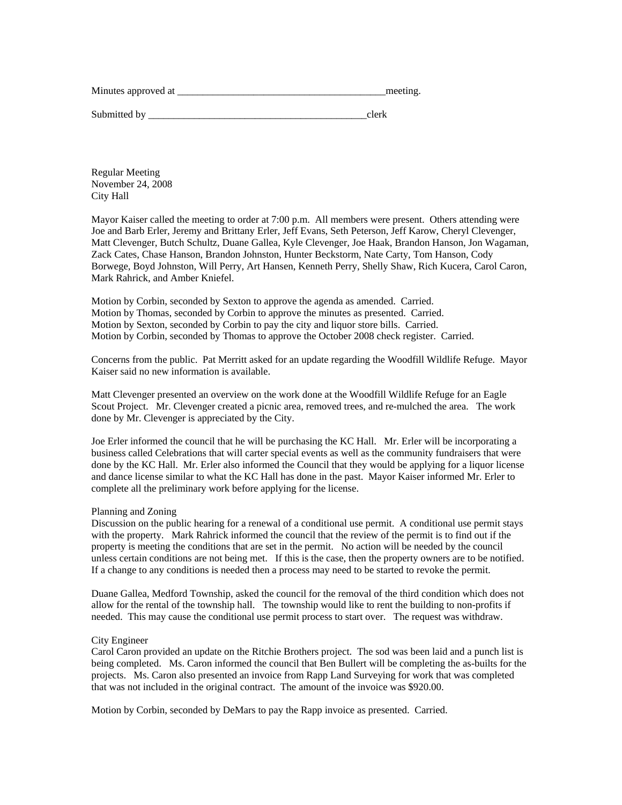| Minutes approved at | meeting. |
|---------------------|----------|
|                     |          |

Submitted by  $\qquad \qquad \text{clerk}$ 

Regular Meeting November 24, 2008 City Hall

Mayor Kaiser called the meeting to order at 7:00 p.m. All members were present. Others attending were Joe and Barb Erler, Jeremy and Brittany Erler, Jeff Evans, Seth Peterson, Jeff Karow, Cheryl Clevenger, Matt Clevenger, Butch Schultz, Duane Gallea, Kyle Clevenger, Joe Haak, Brandon Hanson, Jon Wagaman, Zack Cates, Chase Hanson, Brandon Johnston, Hunter Beckstorm, Nate Carty, Tom Hanson, Cody Borwege, Boyd Johnston, Will Perry, Art Hansen, Kenneth Perry, Shelly Shaw, Rich Kucera, Carol Caron, Mark Rahrick, and Amber Kniefel.

Motion by Corbin, seconded by Sexton to approve the agenda as amended. Carried. Motion by Thomas, seconded by Corbin to approve the minutes as presented. Carried. Motion by Sexton, seconded by Corbin to pay the city and liquor store bills. Carried. Motion by Corbin, seconded by Thomas to approve the October 2008 check register. Carried.

Concerns from the public. Pat Merritt asked for an update regarding the Woodfill Wildlife Refuge. Mayor Kaiser said no new information is available.

Matt Clevenger presented an overview on the work done at the Woodfill Wildlife Refuge for an Eagle Scout Project. Mr. Clevenger created a picnic area, removed trees, and re-mulched the area. The work done by Mr. Clevenger is appreciated by the City.

Joe Erler informed the council that he will be purchasing the KC Hall. Mr. Erler will be incorporating a business called Celebrations that will carter special events as well as the community fundraisers that were done by the KC Hall. Mr. Erler also informed the Council that they would be applying for a liquor license and dance license similar to what the KC Hall has done in the past. Mayor Kaiser informed Mr. Erler to complete all the preliminary work before applying for the license.

### Planning and Zoning

Discussion on the public hearing for a renewal of a conditional use permit. A conditional use permit stays with the property. Mark Rahrick informed the council that the review of the permit is to find out if the property is meeting the conditions that are set in the permit. No action will be needed by the council unless certain conditions are not being met. If this is the case, then the property owners are to be notified. If a change to any conditions is needed then a process may need to be started to revoke the permit.

Duane Gallea, Medford Township, asked the council for the removal of the third condition which does not allow for the rental of the township hall. The township would like to rent the building to non-profits if needed. This may cause the conditional use permit process to start over. The request was withdraw.

### City Engineer

Carol Caron provided an update on the Ritchie Brothers project. The sod was been laid and a punch list is being completed. Ms. Caron informed the council that Ben Bullert will be completing the as-builts for the projects. Ms. Caron also presented an invoice from Rapp Land Surveying for work that was completed that was not included in the original contract. The amount of the invoice was \$920.00.

Motion by Corbin, seconded by DeMars to pay the Rapp invoice as presented. Carried.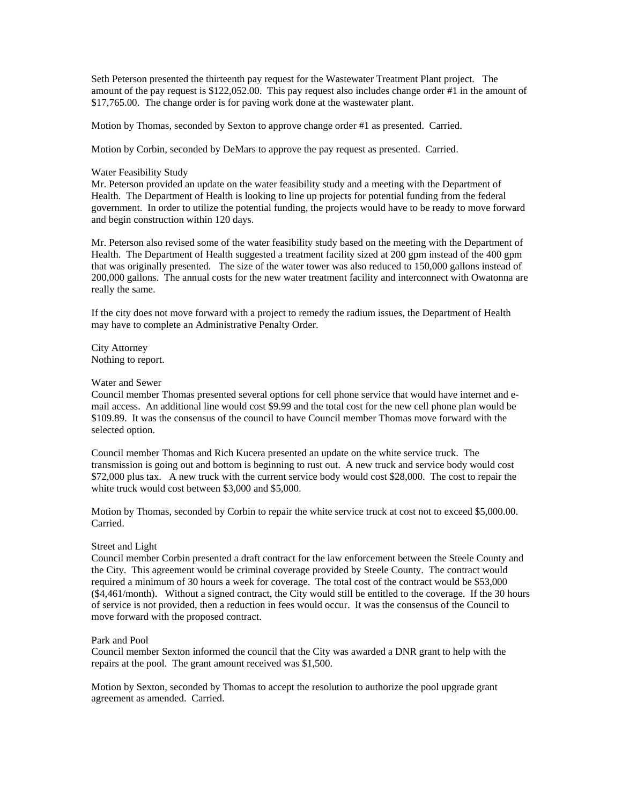Seth Peterson presented the thirteenth pay request for the Wastewater Treatment Plant project. The amount of the pay request is \$122,052.00. This pay request also includes change order #1 in the amount of \$17,765.00. The change order is for paving work done at the wastewater plant.

Motion by Thomas, seconded by Sexton to approve change order #1 as presented. Carried.

Motion by Corbin, seconded by DeMars to approve the pay request as presented. Carried.

## Water Feasibility Study

Mr. Peterson provided an update on the water feasibility study and a meeting with the Department of Health. The Department of Health is looking to line up projects for potential funding from the federal government. In order to utilize the potential funding, the projects would have to be ready to move forward and begin construction within 120 days.

Mr. Peterson also revised some of the water feasibility study based on the meeting with the Department of Health. The Department of Health suggested a treatment facility sized at 200 gpm instead of the 400 gpm that was originally presented. The size of the water tower was also reduced to 150,000 gallons instead of 200,000 gallons. The annual costs for the new water treatment facility and interconnect with Owatonna are really the same.

If the city does not move forward with a project to remedy the radium issues, the Department of Health may have to complete an Administrative Penalty Order.

City Attorney Nothing to report.

### Water and Sewer

Council member Thomas presented several options for cell phone service that would have internet and email access. An additional line would cost \$9.99 and the total cost for the new cell phone plan would be \$109.89. It was the consensus of the council to have Council member Thomas move forward with the selected option.

Council member Thomas and Rich Kucera presented an update on the white service truck. The transmission is going out and bottom is beginning to rust out. A new truck and service body would cost \$72,000 plus tax. A new truck with the current service body would cost \$28,000. The cost to repair the white truck would cost between \$3,000 and \$5,000.

Motion by Thomas, seconded by Corbin to repair the white service truck at cost not to exceed \$5,000.00. Carried.

### Street and Light

Council member Corbin presented a draft contract for the law enforcement between the Steele County and the City. This agreement would be criminal coverage provided by Steele County. The contract would required a minimum of 30 hours a week for coverage. The total cost of the contract would be \$53,000 (\$4,461/month). Without a signed contract, the City would still be entitled to the coverage. If the 30 hours of service is not provided, then a reduction in fees would occur. It was the consensus of the Council to move forward with the proposed contract.

## Park and Pool

Council member Sexton informed the council that the City was awarded a DNR grant to help with the repairs at the pool. The grant amount received was \$1,500.

Motion by Sexton, seconded by Thomas to accept the resolution to authorize the pool upgrade grant agreement as amended. Carried.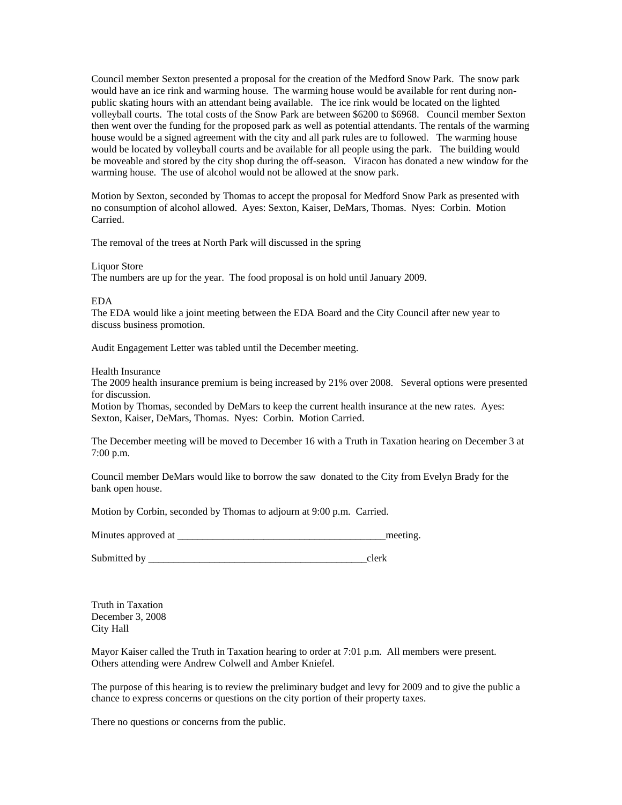Council member Sexton presented a proposal for the creation of the Medford Snow Park. The snow park would have an ice rink and warming house. The warming house would be available for rent during nonpublic skating hours with an attendant being available. The ice rink would be located on the lighted volleyball courts. The total costs of the Snow Park are between \$6200 to \$6968. Council member Sexton then went over the funding for the proposed park as well as potential attendants. The rentals of the warming house would be a signed agreement with the city and all park rules are to followed. The warming house would be located by volleyball courts and be available for all people using the park. The building would be moveable and stored by the city shop during the off-season. Viracon has donated a new window for the warming house. The use of alcohol would not be allowed at the snow park.

Motion by Sexton, seconded by Thomas to accept the proposal for Medford Snow Park as presented with no consumption of alcohol allowed. Ayes: Sexton, Kaiser, DeMars, Thomas. Nyes: Corbin. Motion Carried.

The removal of the trees at North Park will discussed in the spring

Liquor Store

The numbers are up for the year. The food proposal is on hold until January 2009.

#### EDA

The EDA would like a joint meeting between the EDA Board and the City Council after new year to discuss business promotion.

Audit Engagement Letter was tabled until the December meeting.

### Health Insurance

The 2009 health insurance premium is being increased by 21% over 2008. Several options were presented for discussion.

Motion by Thomas, seconded by DeMars to keep the current health insurance at the new rates. Ayes: Sexton, Kaiser, DeMars, Thomas. Nyes: Corbin. Motion Carried.

The December meeting will be moved to December 16 with a Truth in Taxation hearing on December 3 at 7:00 p.m.

Council member DeMars would like to borrow the saw donated to the City from Evelyn Brady for the bank open house.

Motion by Corbin, seconded by Thomas to adjourn at 9:00 p.m. Carried.

Minutes approved at \_\_\_\_\_\_\_\_\_\_\_\_\_\_\_\_\_\_\_\_\_\_\_\_\_\_\_\_\_\_\_\_\_\_\_\_\_\_\_\_\_meeting.

Submitted by \_\_\_\_\_\_\_\_\_\_\_\_\_\_\_\_\_\_\_\_\_\_\_\_\_\_\_\_\_\_\_\_\_\_\_\_\_\_\_\_\_\_\_clerk

Truth in Taxation December 3, 2008 City Hall

Mayor Kaiser called the Truth in Taxation hearing to order at 7:01 p.m. All members were present. Others attending were Andrew Colwell and Amber Kniefel.

The purpose of this hearing is to review the preliminary budget and levy for 2009 and to give the public a chance to express concerns or questions on the city portion of their property taxes.

There no questions or concerns from the public.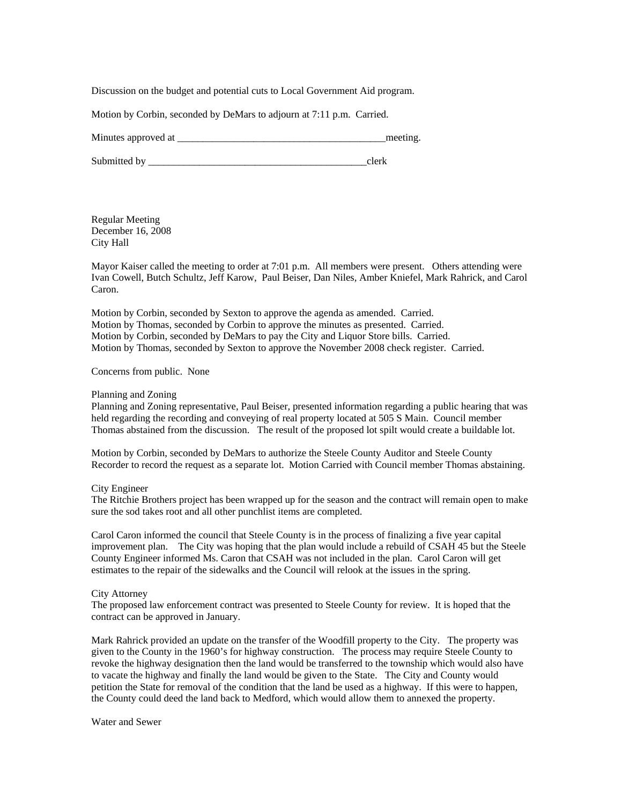Discussion on the budget and potential cuts to Local Government Aid program.

Motion by Corbin, seconded by DeMars to adjourn at 7:11 p.m. Carried.

Minutes approved at the setting and the setting and the setting and the setting.

Submitted by \_\_\_\_\_\_\_\_\_\_\_\_\_\_\_\_\_\_\_\_\_\_\_\_\_\_\_\_\_\_\_\_\_\_\_\_\_\_\_\_\_\_\_clerk

Regular Meeting December 16, 2008 City Hall

Mayor Kaiser called the meeting to order at 7:01 p.m. All members were present. Others attending were Ivan Cowell, Butch Schultz, Jeff Karow, Paul Beiser, Dan Niles, Amber Kniefel, Mark Rahrick, and Carol Caron.

Motion by Corbin, seconded by Sexton to approve the agenda as amended. Carried. Motion by Thomas, seconded by Corbin to approve the minutes as presented. Carried. Motion by Corbin, seconded by DeMars to pay the City and Liquor Store bills. Carried. Motion by Thomas, seconded by Sexton to approve the November 2008 check register. Carried.

Concerns from public. None

### Planning and Zoning

Planning and Zoning representative, Paul Beiser, presented information regarding a public hearing that was held regarding the recording and conveying of real property located at 505 S Main. Council member Thomas abstained from the discussion. The result of the proposed lot spilt would create a buildable lot.

Motion by Corbin, seconded by DeMars to authorize the Steele County Auditor and Steele County Recorder to record the request as a separate lot. Motion Carried with Council member Thomas abstaining.

City Engineer

The Ritchie Brothers project has been wrapped up for the season and the contract will remain open to make sure the sod takes root and all other punchlist items are completed.

Carol Caron informed the council that Steele County is in the process of finalizing a five year capital improvement plan. The City was hoping that the plan would include a rebuild of CSAH 45 but the Steele County Engineer informed Ms. Caron that CSAH was not included in the plan. Carol Caron will get estimates to the repair of the sidewalks and the Council will relook at the issues in the spring.

### City Attorney

The proposed law enforcement contract was presented to Steele County for review. It is hoped that the contract can be approved in January.

Mark Rahrick provided an update on the transfer of the Woodfill property to the City. The property was given to the County in the 1960's for highway construction. The process may require Steele County to revoke the highway designation then the land would be transferred to the township which would also have to vacate the highway and finally the land would be given to the State. The City and County would petition the State for removal of the condition that the land be used as a highway. If this were to happen, the County could deed the land back to Medford, which would allow them to annexed the property.

Water and Sewer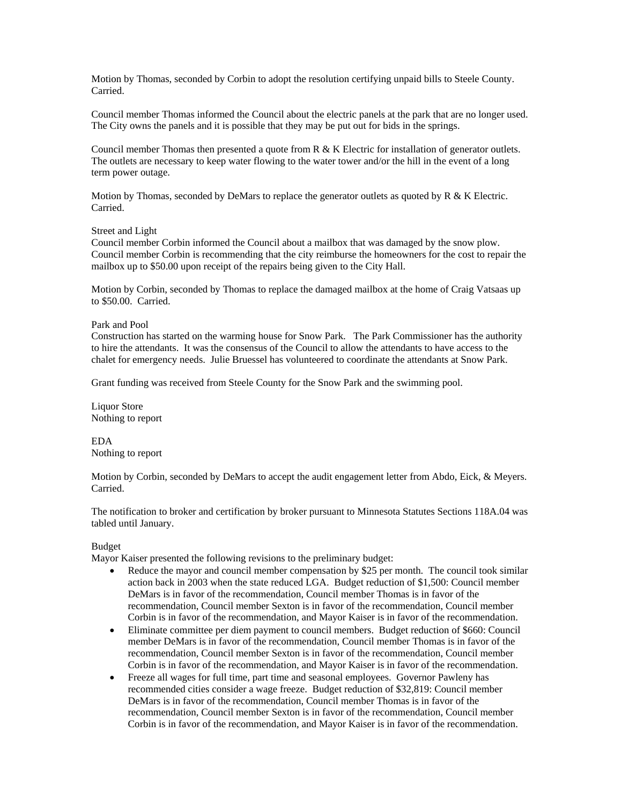Motion by Thomas, seconded by Corbin to adopt the resolution certifying unpaid bills to Steele County. Carried.

Council member Thomas informed the Council about the electric panels at the park that are no longer used. The City owns the panels and it is possible that they may be put out for bids in the springs.

Council member Thomas then presented a quote from R & K Electric for installation of generator outlets. The outlets are necessary to keep water flowing to the water tower and/or the hill in the event of a long term power outage.

Motion by Thomas, seconded by DeMars to replace the generator outlets as quoted by  $R \& K$  Electric. Carried.

### Street and Light

Council member Corbin informed the Council about a mailbox that was damaged by the snow plow. Council member Corbin is recommending that the city reimburse the homeowners for the cost to repair the mailbox up to \$50.00 upon receipt of the repairs being given to the City Hall.

Motion by Corbin, seconded by Thomas to replace the damaged mailbox at the home of Craig Vatsaas up to \$50.00. Carried.

### Park and Pool

Construction has started on the warming house for Snow Park. The Park Commissioner has the authority to hire the attendants. It was the consensus of the Council to allow the attendants to have access to the chalet for emergency needs. Julie Bruessel has volunteered to coordinate the attendants at Snow Park.

Grant funding was received from Steele County for the Snow Park and the swimming pool.

Liquor Store Nothing to report

EDA Nothing to report

Motion by Corbin, seconded by DeMars to accept the audit engagement letter from Abdo, Eick, & Meyers. Carried.

The notification to broker and certification by broker pursuant to Minnesota Statutes Sections 118A.04 was tabled until January.

Budget

Mayor Kaiser presented the following revisions to the preliminary budget:

- Reduce the mayor and council member compensation by \$25 per month. The council took similar action back in 2003 when the state reduced LGA. Budget reduction of \$1,500: Council member DeMars is in favor of the recommendation, Council member Thomas is in favor of the recommendation, Council member Sexton is in favor of the recommendation, Council member Corbin is in favor of the recommendation, and Mayor Kaiser is in favor of the recommendation.
- Eliminate committee per diem payment to council members. Budget reduction of \$660: Council member DeMars is in favor of the recommendation, Council member Thomas is in favor of the recommendation, Council member Sexton is in favor of the recommendation, Council member Corbin is in favor of the recommendation, and Mayor Kaiser is in favor of the recommendation.
- Freeze all wages for full time, part time and seasonal employees. Governor Pawleny has recommended cities consider a wage freeze. Budget reduction of \$32,819: Council member DeMars is in favor of the recommendation, Council member Thomas is in favor of the recommendation, Council member Sexton is in favor of the recommendation, Council member Corbin is in favor of the recommendation, and Mayor Kaiser is in favor of the recommendation.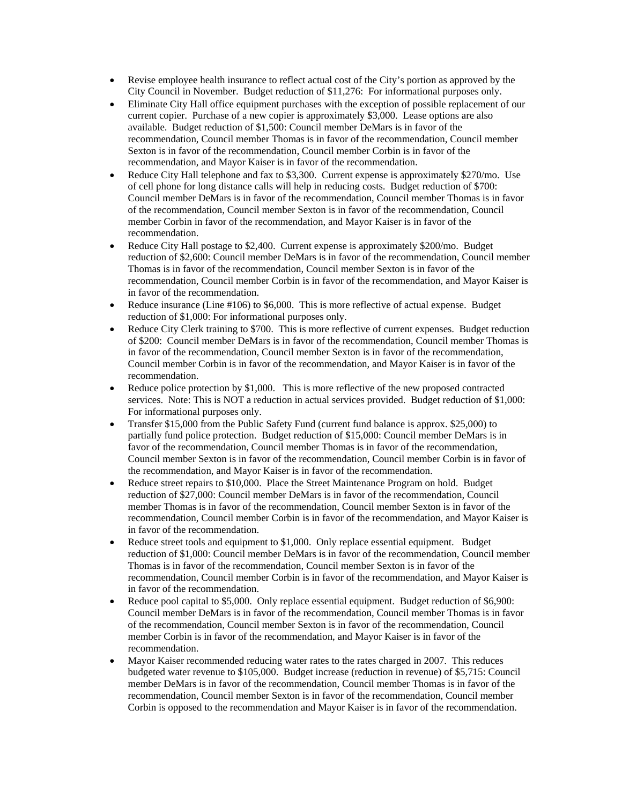- Revise employee health insurance to reflect actual cost of the City's portion as approved by the City Council in November. Budget reduction of \$11,276: For informational purposes only.
- Eliminate City Hall office equipment purchases with the exception of possible replacement of our current copier. Purchase of a new copier is approximately \$3,000. Lease options are also available. Budget reduction of \$1,500: Council member DeMars is in favor of the recommendation, Council member Thomas is in favor of the recommendation, Council member Sexton is in favor of the recommendation, Council member Corbin is in favor of the recommendation, and Mayor Kaiser is in favor of the recommendation.
- Reduce City Hall telephone and fax to \$3,300. Current expense is approximately \$270/mo. Use of cell phone for long distance calls will help in reducing costs. Budget reduction of \$700: Council member DeMars is in favor of the recommendation, Council member Thomas is in favor of the recommendation, Council member Sexton is in favor of the recommendation, Council member Corbin in favor of the recommendation, and Mayor Kaiser is in favor of the recommendation.
- Reduce City Hall postage to \$2,400. Current expense is approximately \$200/mo. Budget reduction of \$2,600: Council member DeMars is in favor of the recommendation, Council member Thomas is in favor of the recommendation, Council member Sexton is in favor of the recommendation, Council member Corbin is in favor of the recommendation, and Mayor Kaiser is in favor of the recommendation.
- Reduce insurance (Line #106) to \$6,000. This is more reflective of actual expense. Budget reduction of \$1,000: For informational purposes only.
- Reduce City Clerk training to \$700. This is more reflective of current expenses. Budget reduction of \$200: Council member DeMars is in favor of the recommendation, Council member Thomas is in favor of the recommendation, Council member Sexton is in favor of the recommendation, Council member Corbin is in favor of the recommendation, and Mayor Kaiser is in favor of the recommendation.
- Reduce police protection by \$1,000. This is more reflective of the new proposed contracted services. Note: This is NOT a reduction in actual services provided. Budget reduction of \$1,000: For informational purposes only.
- Transfer \$15,000 from the Public Safety Fund (current fund balance is approx. \$25,000) to partially fund police protection. Budget reduction of \$15,000: Council member DeMars is in favor of the recommendation, Council member Thomas is in favor of the recommendation, Council member Sexton is in favor of the recommendation, Council member Corbin is in favor of the recommendation, and Mayor Kaiser is in favor of the recommendation.
- Reduce street repairs to \$10,000. Place the Street Maintenance Program on hold. Budget reduction of \$27,000: Council member DeMars is in favor of the recommendation, Council member Thomas is in favor of the recommendation, Council member Sexton is in favor of the recommendation, Council member Corbin is in favor of the recommendation, and Mayor Kaiser is in favor of the recommendation.
- Reduce street tools and equipment to \$1,000. Only replace essential equipment. Budget reduction of \$1,000: Council member DeMars is in favor of the recommendation, Council member Thomas is in favor of the recommendation, Council member Sexton is in favor of the recommendation, Council member Corbin is in favor of the recommendation, and Mayor Kaiser is in favor of the recommendation.
- Reduce pool capital to \$5,000. Only replace essential equipment. Budget reduction of \$6,900: Council member DeMars is in favor of the recommendation, Council member Thomas is in favor of the recommendation, Council member Sexton is in favor of the recommendation, Council member Corbin is in favor of the recommendation, and Mayor Kaiser is in favor of the recommendation.
- Mayor Kaiser recommended reducing water rates to the rates charged in 2007. This reduces budgeted water revenue to \$105,000. Budget increase (reduction in revenue) of \$5,715: Council member DeMars is in favor of the recommendation, Council member Thomas is in favor of the recommendation, Council member Sexton is in favor of the recommendation, Council member Corbin is opposed to the recommendation and Mayor Kaiser is in favor of the recommendation.